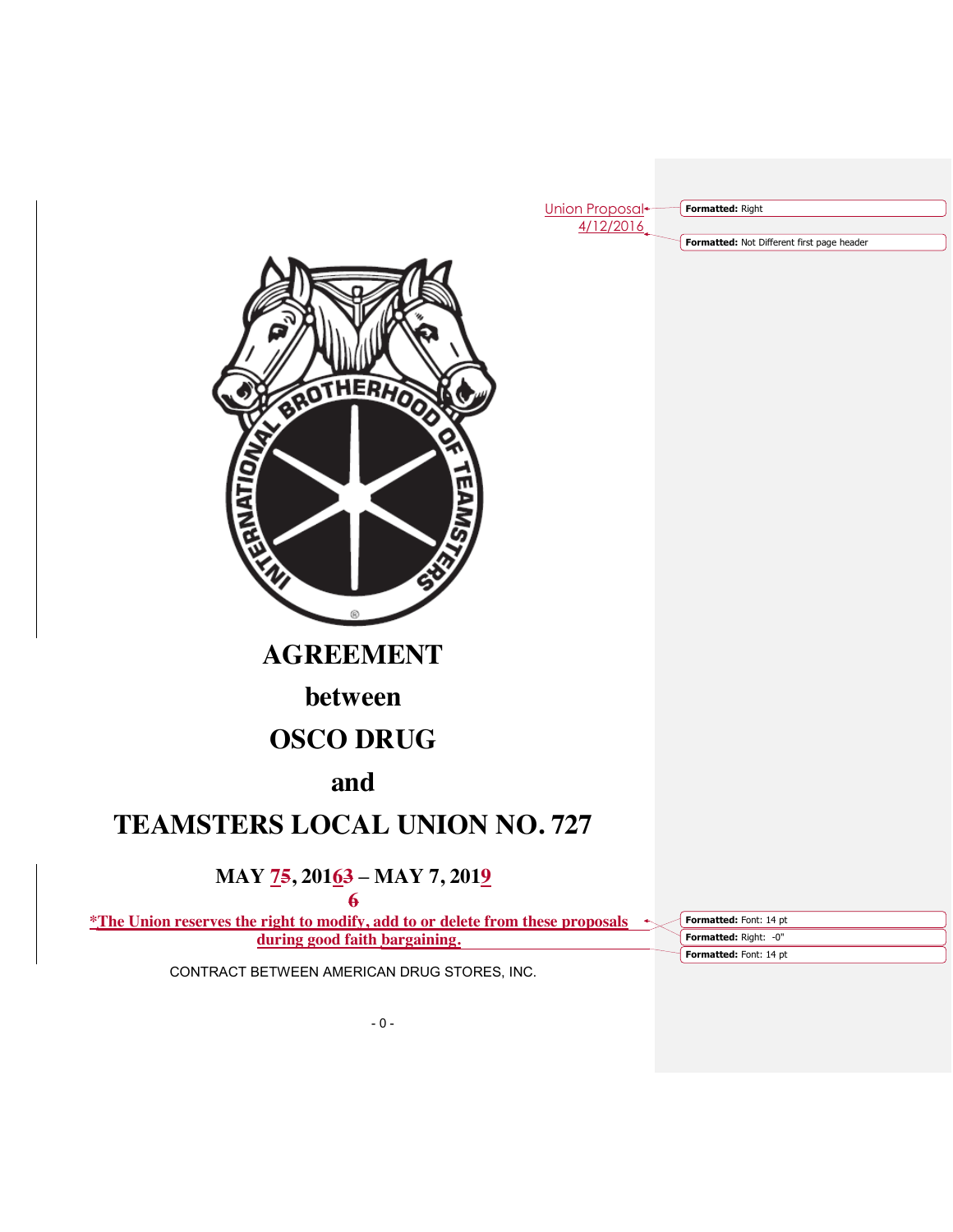Union Proposal<sup>+</sup> 4/12/2016

**Formatted:** Right

**Formatted:** Not Different first page header



**AGREEMENT**

# **between**

# **OSCO DRUG**

# **and**

# **TEAMSTERS LOCAL UNION NO. 727**

# **MAY 75, 20163 – MAY 7, 2019**

**6 \*The Union reserves the right to modify, add to or delete from these proposals** 

**during good faith bargaining.**

**Formatted:** Right: -0" **Formatted:** Font: 14 pt **Formatted:** Font: 14 pt

CONTRACT BETWEEN AMERICAN DRUG STORES, INC.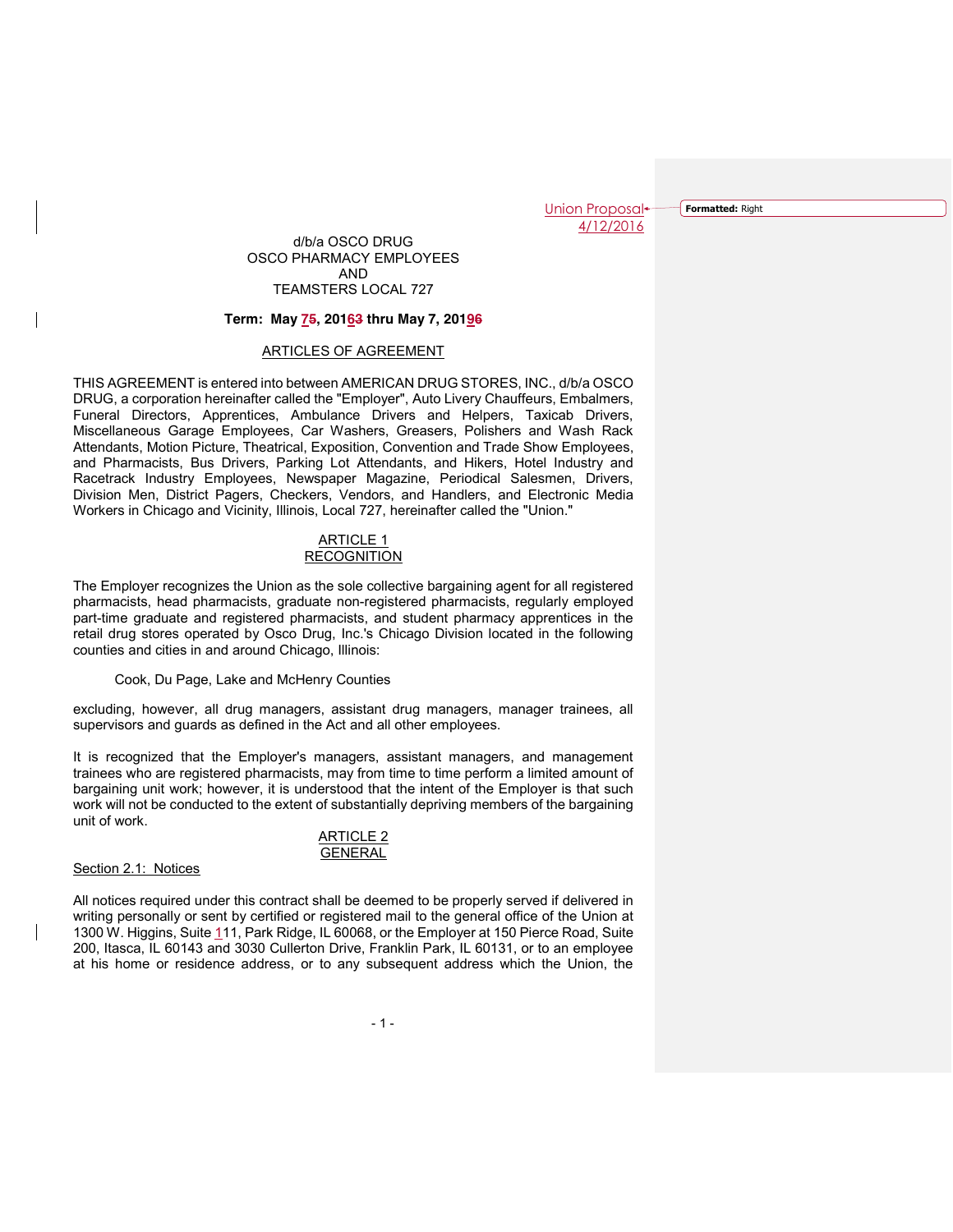**Formatted:** Right

## d/b/a OSCO DRUG OSCO PHARMACY EMPLOYEES AND TEAMSTERS LOCAL 727

#### **Term: May 75, 20163 thru May 7, 20196**

## ARTICLES OF AGREEMENT

THIS AGREEMENT is entered into between AMERICAN DRUG STORES, INC., d/b/a OSCO DRUG, a corporation hereinafter called the "Employer", Auto Livery Chauffeurs, Embalmers, Funeral Directors, Apprentices, Ambulance Drivers and Helpers, Taxicab Drivers, Miscellaneous Garage Employees, Car Washers, Greasers, Polishers and Wash Rack Attendants, Motion Picture, Theatrical, Exposition, Convention and Trade Show Employees, and Pharmacists, Bus Drivers, Parking Lot Attendants, and Hikers, Hotel Industry and Racetrack Industry Employees, Newspaper Magazine, Periodical Salesmen, Drivers, Division Men, District Pagers, Checkers, Vendors, and Handlers, and Electronic Media Workers in Chicago and Vicinity, Illinois, Local 727, hereinafter called the "Union."

# **ARTICLE 1 RECOGNITION**

The Employer recognizes the Union as the sole collective bargaining agent for all registered pharmacists, head pharmacists, graduate non-registered pharmacists, regularly employed part-time graduate and registered pharmacists, and student pharmacy apprentices in the retail drug stores operated by Osco Drug, Inc.'s Chicago Division located in the following counties and cities in and around Chicago, Illinois:

Cook, Du Page, Lake and McHenry Counties

excluding, however, all drug managers, assistant drug managers, manager trainees, all supervisors and guards as defined in the Act and all other employees.

It is recognized that the Employer's managers, assistant managers, and management trainees who are registered pharmacists, may from time to time perform a limited amount of bargaining unit work; however, it is understood that the intent of the Employer is that such work will not be conducted to the extent of substantially depriving members of the bargaining unit of work.

## ARTICLE 2 GENERAL

## Section 2.1: Notices

All notices required under this contract shall be deemed to be properly served if delivered in writing personally or sent by certified or registered mail to the general office of the Union at 1300 W. Higgins, Suite 111, Park Ridge, IL 60068, or the Employer at 150 Pierce Road, Suite 200, Itasca, IL 60143 and 3030 Cullerton Drive, Franklin Park, IL 60131, or to an employee at his home or residence address, or to any subsequent address which the Union, the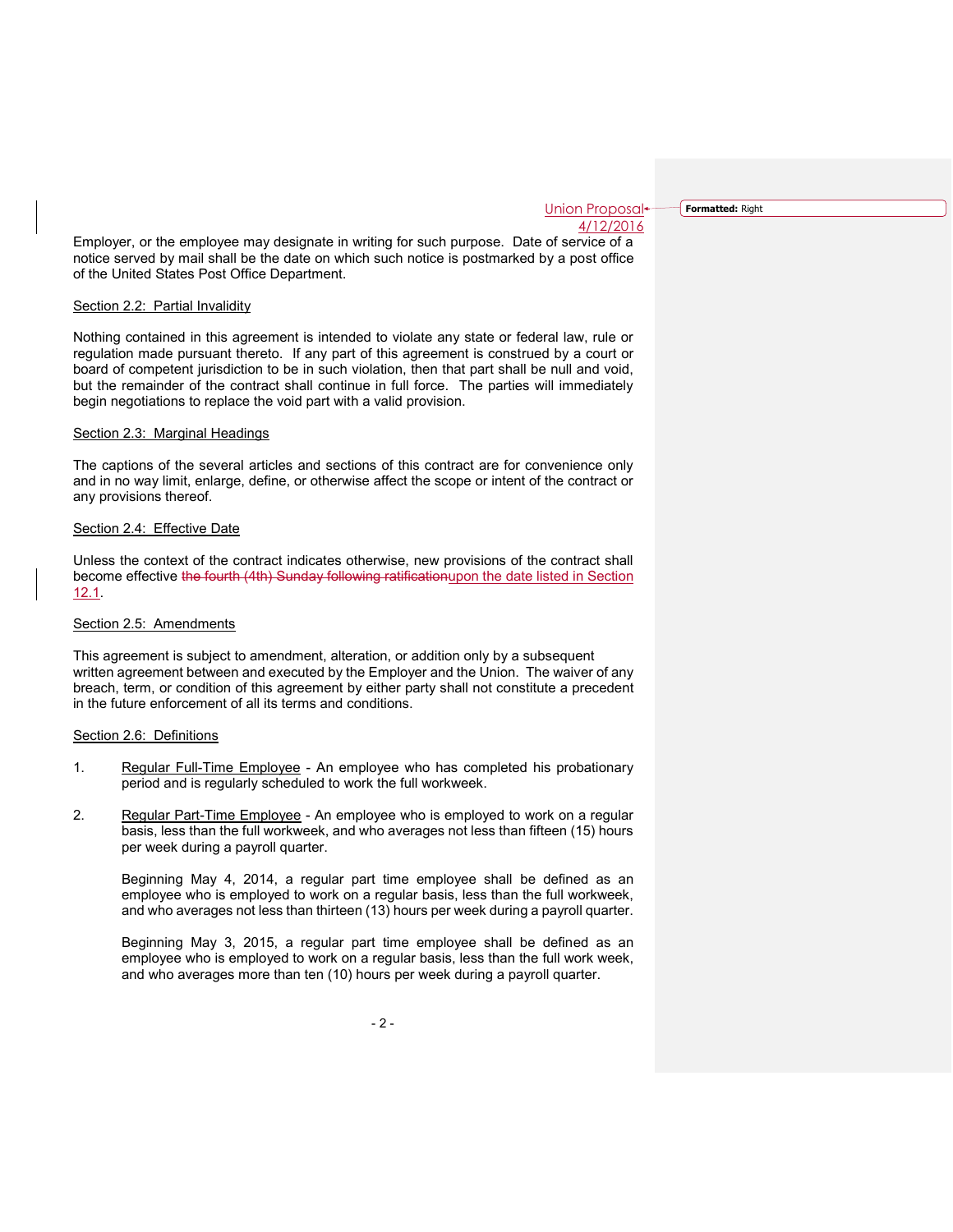**Formatted:** Right

Employer, or the employee may designate in writing for such purpose. Date of service of a notice served by mail shall be the date on which such notice is postmarked by a post office of the United States Post Office Department.

# Section 2.2: Partial Invalidity

Nothing contained in this agreement is intended to violate any state or federal law, rule or regulation made pursuant thereto. If any part of this agreement is construed by a court or board of competent jurisdiction to be in such violation, then that part shall be null and void, but the remainder of the contract shall continue in full force. The parties will immediately begin negotiations to replace the void part with a valid provision.

## Section 2.3: Marginal Headings

The captions of the several articles and sections of this contract are for convenience only and in no way limit, enlarge, define, or otherwise affect the scope or intent of the contract or any provisions thereof.

## Section 2.4: Effective Date

Unless the context of the contract indicates otherwise, new provisions of the contract shall become effective the fourth (4th) Sunday following ratificationupon the date listed in Section 12.1.

#### Section 2.5: Amendments

This agreement is subject to amendment, alteration, or addition only by a subsequent written agreement between and executed by the Employer and the Union. The waiver of any breach, term, or condition of this agreement by either party shall not constitute a precedent in the future enforcement of all its terms and conditions.

#### Section 2.6: Definitions

- 1. Regular Full-Time Employee An employee who has completed his probationary period and is regularly scheduled to work the full workweek.
- 2. Regular Part-Time Employee An employee who is employed to work on a regular basis, less than the full workweek, and who averages not less than fifteen (15) hours per week during a payroll quarter.

Beginning May 4, 2014, a regular part time employee shall be defined as an employee who is employed to work on a regular basis, less than the full workweek, and who averages not less than thirteen (13) hours per week during a payroll quarter.

Beginning May 3, 2015, a regular part time employee shall be defined as an employee who is employed to work on a regular basis, less than the full work week, and who averages more than ten (10) hours per week during a payroll quarter.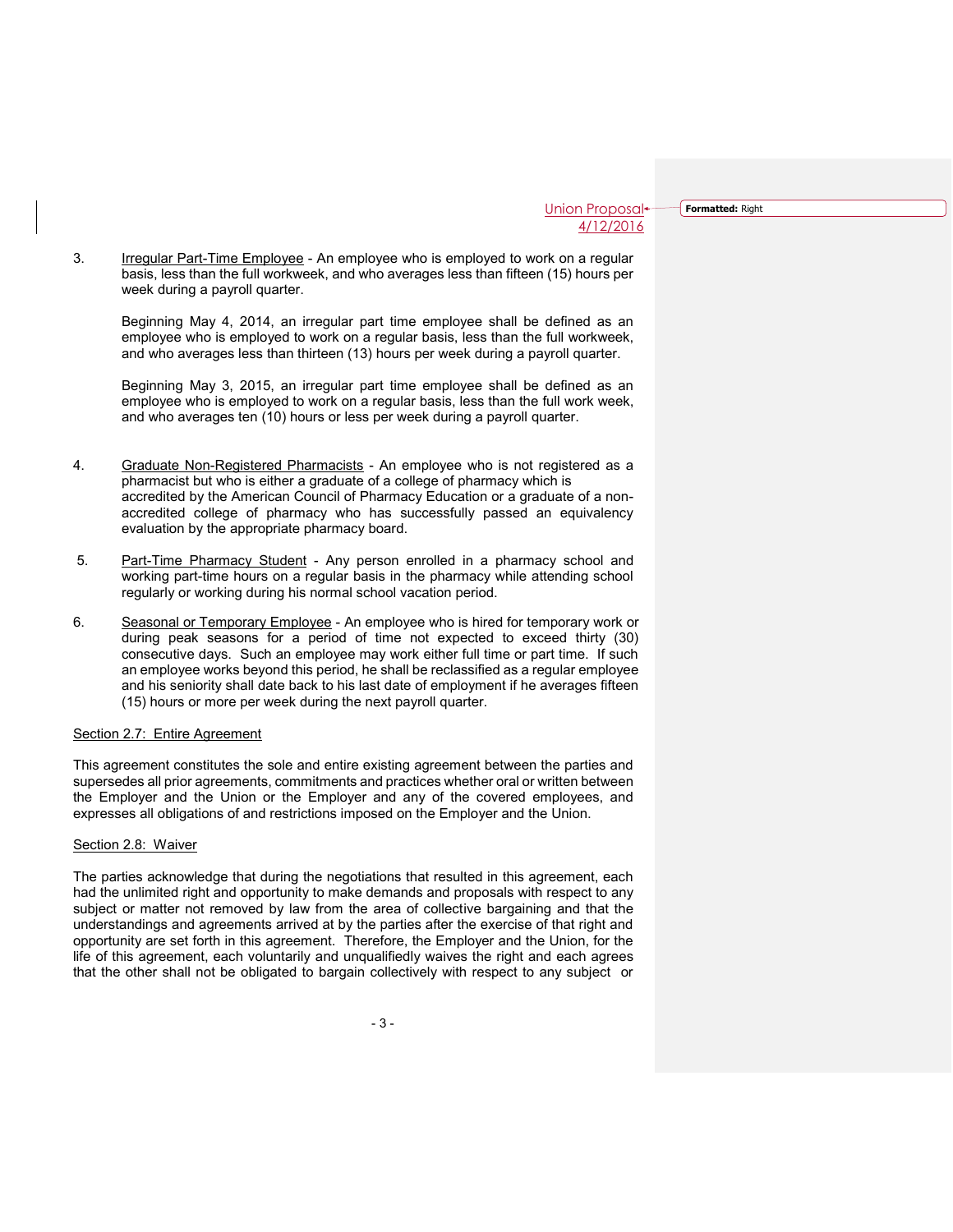**Formatted:** Right

3. Irregular Part-Time Employee - An employee who is employed to work on a regular basis, less than the full workweek, and who averages less than fifteen (15) hours per week during a payroll quarter.

Beginning May 4, 2014, an irregular part time employee shall be defined as an employee who is employed to work on a regular basis, less than the full workweek, and who averages less than thirteen (13) hours per week during a payroll quarter.

Beginning May 3, 2015, an irregular part time employee shall be defined as an employee who is employed to work on a regular basis, less than the full work week, and who averages ten (10) hours or less per week during a payroll quarter.

- 4. Graduate Non-Registered Pharmacists An employee who is not registered as a pharmacist but who is either a graduate of a college of pharmacy which is accredited by the American Council of Pharmacy Education or a graduate of a nonaccredited college of pharmacy who has successfully passed an equivalency evaluation by the appropriate pharmacy board.
- 5. Part-Time Pharmacy Student Any person enrolled in a pharmacy school and working part-time hours on a regular basis in the pharmacy while attending school regularly or working during his normal school vacation period.
- 6. Seasonal or Temporary Employee An employee who is hired for temporary work or during peak seasons for a period of time not expected to exceed thirty (30) consecutive days. Such an employee may work either full time or part time. If such an employee works beyond this period, he shall be reclassified as a regular employee and his seniority shall date back to his last date of employment if he averages fifteen (15) hours or more per week during the next payroll quarter.

#### Section 2.7: Entire Agreement

This agreement constitutes the sole and entire existing agreement between the parties and supersedes all prior agreements, commitments and practices whether oral or written between the Employer and the Union or the Employer and any of the covered employees, and expresses all obligations of and restrictions imposed on the Employer and the Union.

## Section 2.8: Waiver

The parties acknowledge that during the negotiations that resulted in this agreement, each had the unlimited right and opportunity to make demands and proposals with respect to any subject or matter not removed by law from the area of collective bargaining and that the understandings and agreements arrived at by the parties after the exercise of that right and opportunity are set forth in this agreement. Therefore, the Employer and the Union, for the life of this agreement, each voluntarily and unqualifiedly waives the right and each agrees that the other shall not be obligated to bargain collectively with respect to any subject or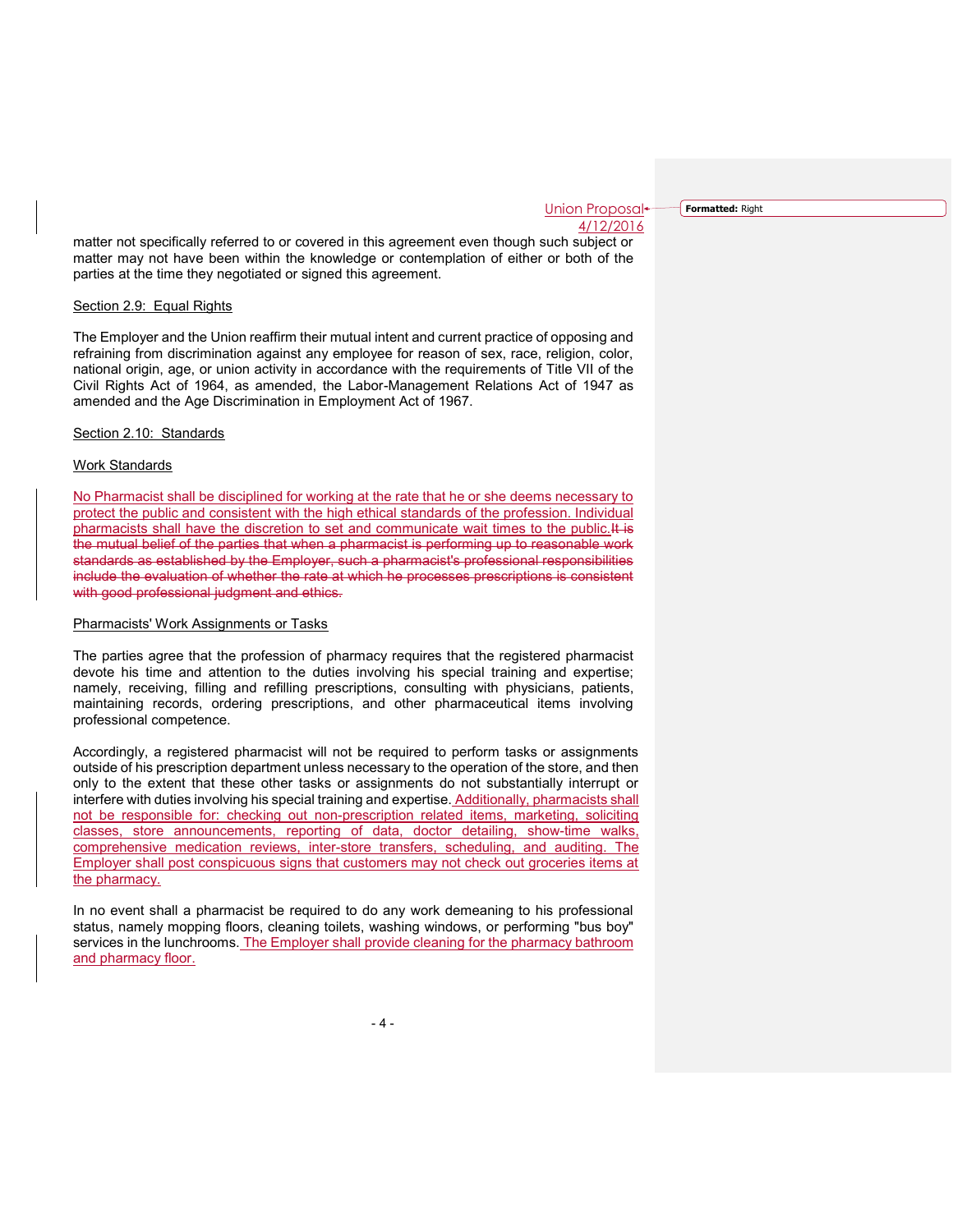**Formatted:** Right

matter not specifically referred to or covered in this agreement even though such subject or matter may not have been within the knowledge or contemplation of either or both of the parties at the time they negotiated or signed this agreement.

#### Section 2.9: Equal Rights

The Employer and the Union reaffirm their mutual intent and current practice of opposing and refraining from discrimination against any employee for reason of sex, race, religion, color, national origin, age, or union activity in accordance with the requirements of Title VII of the Civil Rights Act of 1964, as amended, the Labor-Management Relations Act of 1947 as amended and the Age Discrimination in Employment Act of 1967.

#### Section 2.10: Standards

## Work Standards

No Pharmacist shall be disciplined for working at the rate that he or she deems necessary to protect the public and consistent with the high ethical standards of the profession. Individual pharmacists shall have the discretion to set and communicate wait times to the public.<sup>It is</sup> the mutual belief of the parties that when a pharmacist is performing up to reasonable work standards as established by the Employer, such a pharmacist's professional responsibilities include the evaluation of whether the rate at which he processes prescriptions is consistent with good professional judgment and ethics.

#### Pharmacists' Work Assignments or Tasks

The parties agree that the profession of pharmacy requires that the registered pharmacist devote his time and attention to the duties involving his special training and expertise; namely, receiving, filling and refilling prescriptions, consulting with physicians, patients, maintaining records, ordering prescriptions, and other pharmaceutical items involving professional competence.

Accordingly, a registered pharmacist will not be required to perform tasks or assignments outside of his prescription department unless necessary to the operation of the store, and then only to the extent that these other tasks or assignments do not substantially interrupt or interfere with duties involving his special training and expertise. Additionally, pharmacists shall not be responsible for: checking out non-prescription related items, marketing, soliciting classes, store announcements, reporting of data, doctor detailing, show-time walks, comprehensive medication reviews, inter-store transfers, scheduling, and auditing. The Employer shall post conspicuous signs that customers may not check out groceries items at the pharmacy.

In no event shall a pharmacist be required to do any work demeaning to his professional status, namely mopping floors, cleaning toilets, washing windows, or performing "bus boy" services in the lunchrooms. The Employer shall provide cleaning for the pharmacy bathroom and pharmacy floor.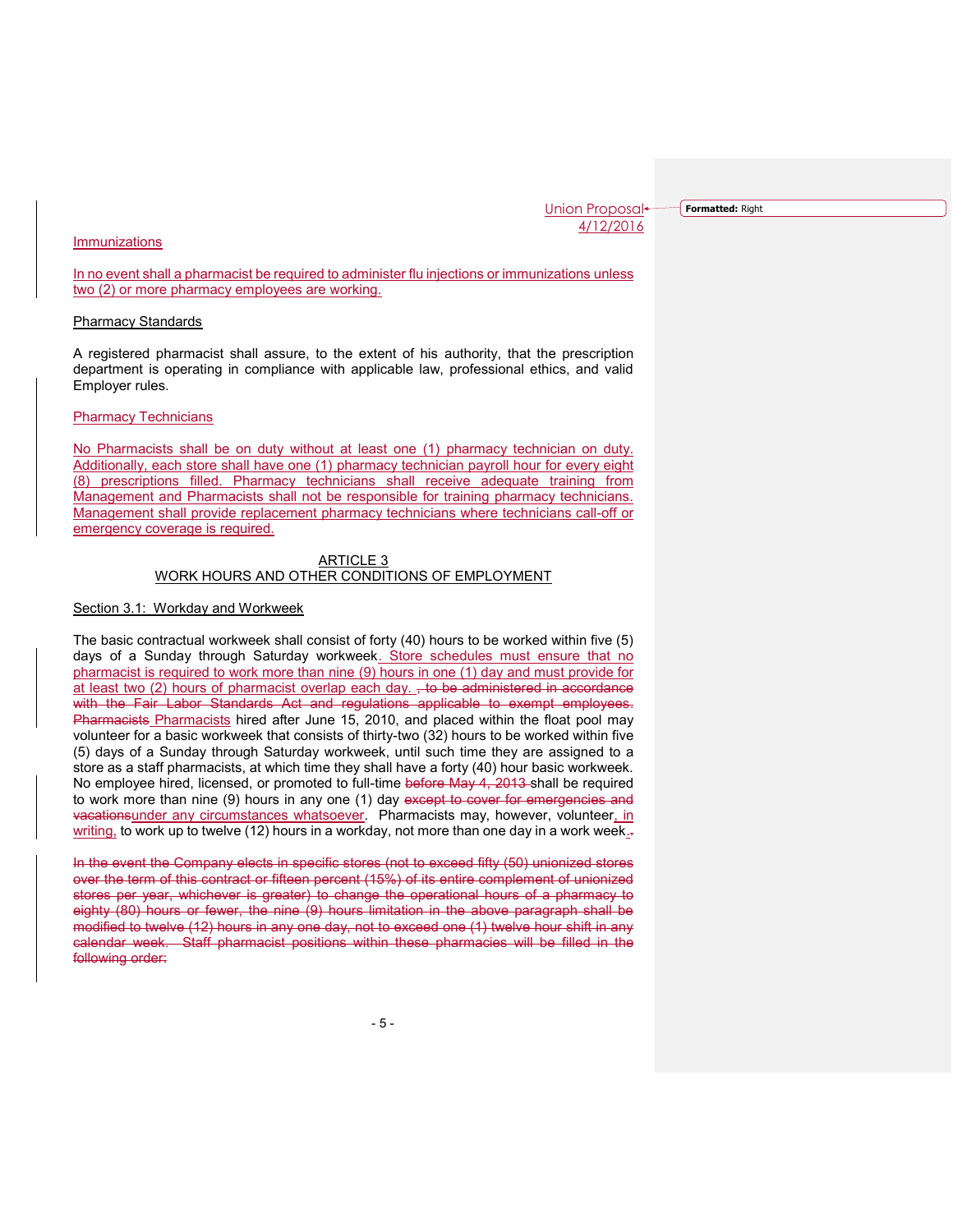**Formatted:** Right

## Immunizations

In no event shall a pharmacist be required to administer flu injections or immunizations unless two (2) or more pharmacy employees are working.

#### Pharmacy Standards

A registered pharmacist shall assure, to the extent of his authority, that the prescription department is operating in compliance with applicable law, professional ethics, and valid Employer rules.

#### Pharmacy Technicians

No Pharmacists shall be on duty without at least one (1) pharmacy technician on duty. Additionally, each store shall have one (1) pharmacy technician payroll hour for every eight (8) prescriptions filled. Pharmacy technicians shall receive adequate training from Management and Pharmacists shall not be responsible for training pharmacy technicians. Management shall provide replacement pharmacy technicians where technicians call-off or emergency coverage is required.

#### ARTICLE 3 WORK HOURS AND OTHER CONDITIONS OF EMPLOYMENT

#### Section 3.1: Workday and Workweek

The basic contractual workweek shall consist of forty (40) hours to be worked within five (5) days of a Sunday through Saturday workweek. Store schedules must ensure that no pharmacist is required to work more than nine (9) hours in one (1) day and must provide for at least two (2) hours of pharmacist overlap each day.  $\frac{1}{x}$  to be administered in accordance with the Fair Labor Standards Act and regulations applicable to exempt employees. Pharmacists Pharmacists hired after June 15, 2010, and placed within the float pool may volunteer for a basic workweek that consists of thirty-two (32) hours to be worked within five (5) days of a Sunday through Saturday workweek, until such time they are assigned to a store as a staff pharmacists, at which time they shall have a forty (40) hour basic workweek. No employee hired, licensed, or promoted to full-time before May 4, 2013-shall be required to work more than nine (9) hours in any one (1) day except to cover for emergencies and vacationsunder any circumstances whatsoever. Pharmacists may, however, volunteer, in writing, to work up to twelve (12) hours in a workday, not more than one day in a work week. $\overline{z}$ 

In the event the Company elects in specific stores (not to exceed fifty (50) unionized stores over the term of this contract or fifteen percent (15%) of its entire complement of unionized stores per year, whichever is greater) to change the operational hours of a pharmacy to eighty (80) hours or fewer, the nine (9) hours limitation in the above paragraph shall be modified to twelve (12) hours in any one day, not to exceed one (1) twelve hour shift in any calendar week. Staff pharmacist positions within these pharmacies will be filled in the following order: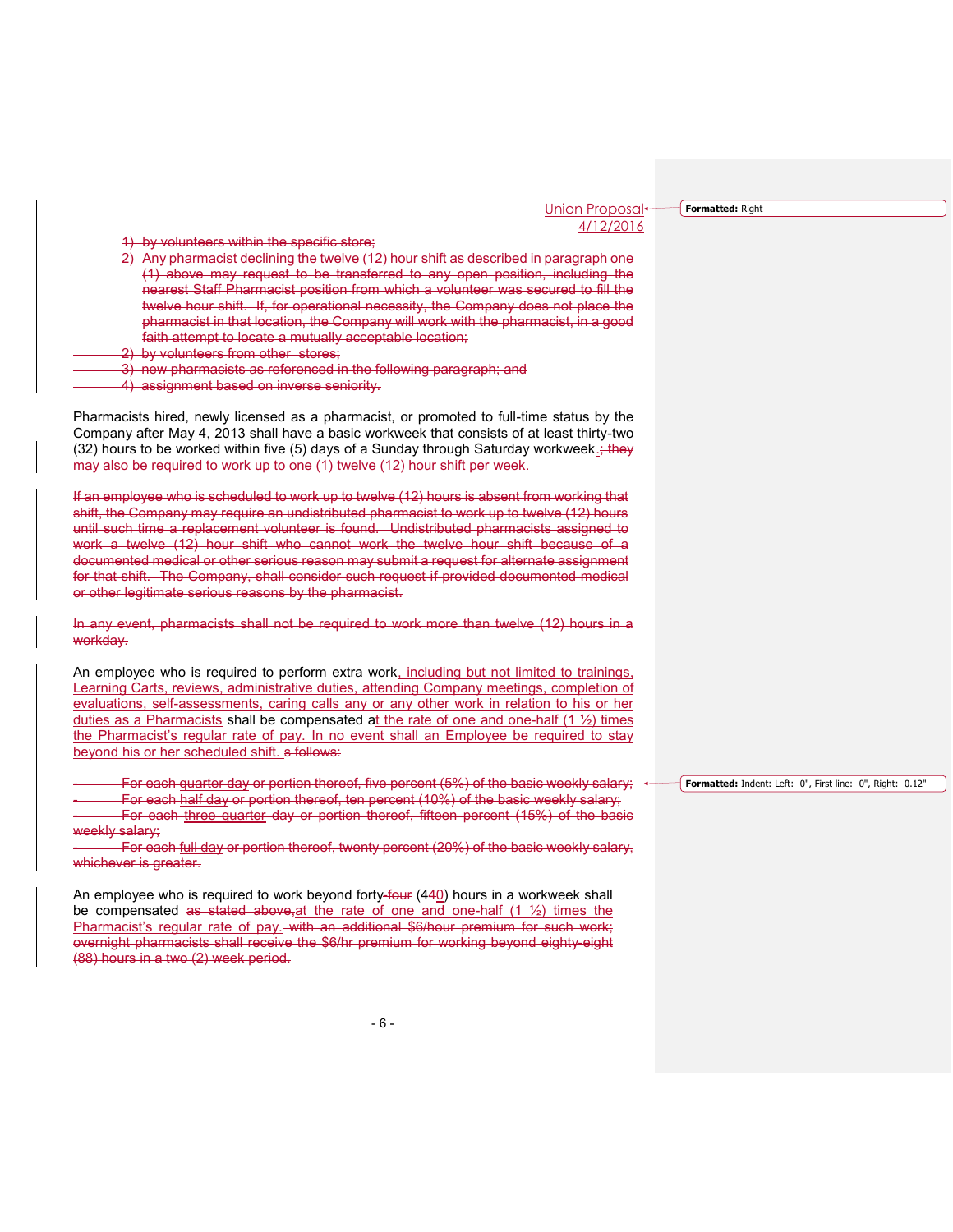**Formatted:** Right

1) by volunteers within the specific store;

- 2) Any pharmacist declining the twelve (12) hour shift as described in paragraph one (1) above may request to be transferred to any open position, including the nearest Staff Pharmacist position from which a volunteer was secured to fill the twelve hour shift. If, for operational necessity, the Company does not place the pharmacist in that location, the Company will work with the pharmacist, in a good faith attempt to locate a mutually acceptable location;
- by volunteers from other stores;
- 3) new pharmacists as referenced in the following paragraph; and

4) assignment based on inverse seniority.

Pharmacists hired, newly licensed as a pharmacist, or promoted to full-time status by the Company after May 4, 2013 shall have a basic workweek that consists of at least thirty-two (32) hours to be worked within five (5) days of a Sunday through Saturday workweek. $\div$ they may also be required to work up to one (1) twelve (12) hour shift per week.

If an employee who is scheduled to work up to twelve (12) hours is absent from working that shift, the Company may require an undistributed pharmacist to work up to twelve (12) hours until such time a replacement volunteer is found. Undistributed pharmacists assigned to work a twelve (12) hour shift who cannot work the twelve hour shift because of a documented medical or other serious reason may submit a request for alternate assignment for that shift. The Company, shall consider such request if provided documented medical or other legitimate serious reasons by the pharmacist.

In any event, pharmacists shall not be required to work more than twelve (12) hours in a workday.

An employee who is required to perform extra work, including but not limited to trainings, Learning Carts, reviews, administrative duties, attending Company meetings, completion of evaluations, self-assessments, caring calls any or any other work in relation to his or her duties as a Pharmacists shall be compensated at the rate of one and one-half  $(1 \frac{1}{2})$  times the Pharmacist's regular rate of pay. In no event shall an Employee be required to stay beyond his or her scheduled shift. s follows:

For each quarter day or portion thereof, five percent  $(5%)$  of the basic weekly salary; For each half day or portion thereof, ten percent (10%) of the basic weekly salary; For each three quarter day or portion thereof, fifteen percent (15%) of the basic weekly salary;

For each full day or portion thereof, twenty percent (20%) of the basic weekly salary, whichever is greater.

An employee who is required to work beyond forty-four (440) hours in a workweek shall be compensated as stated above, at the rate of one and one-half  $(1 \frac{1}{2})$  times the Pharmacist's regular rate of pay. with an additional \$6/hour premium for such work; overnight pharmacists shall receive the \$6/hr premium for working beyond eighty-eight (88) hours in a two (2) week period.

**Formatted:** Indent: Left: 0", First line: 0", Right: 0.12"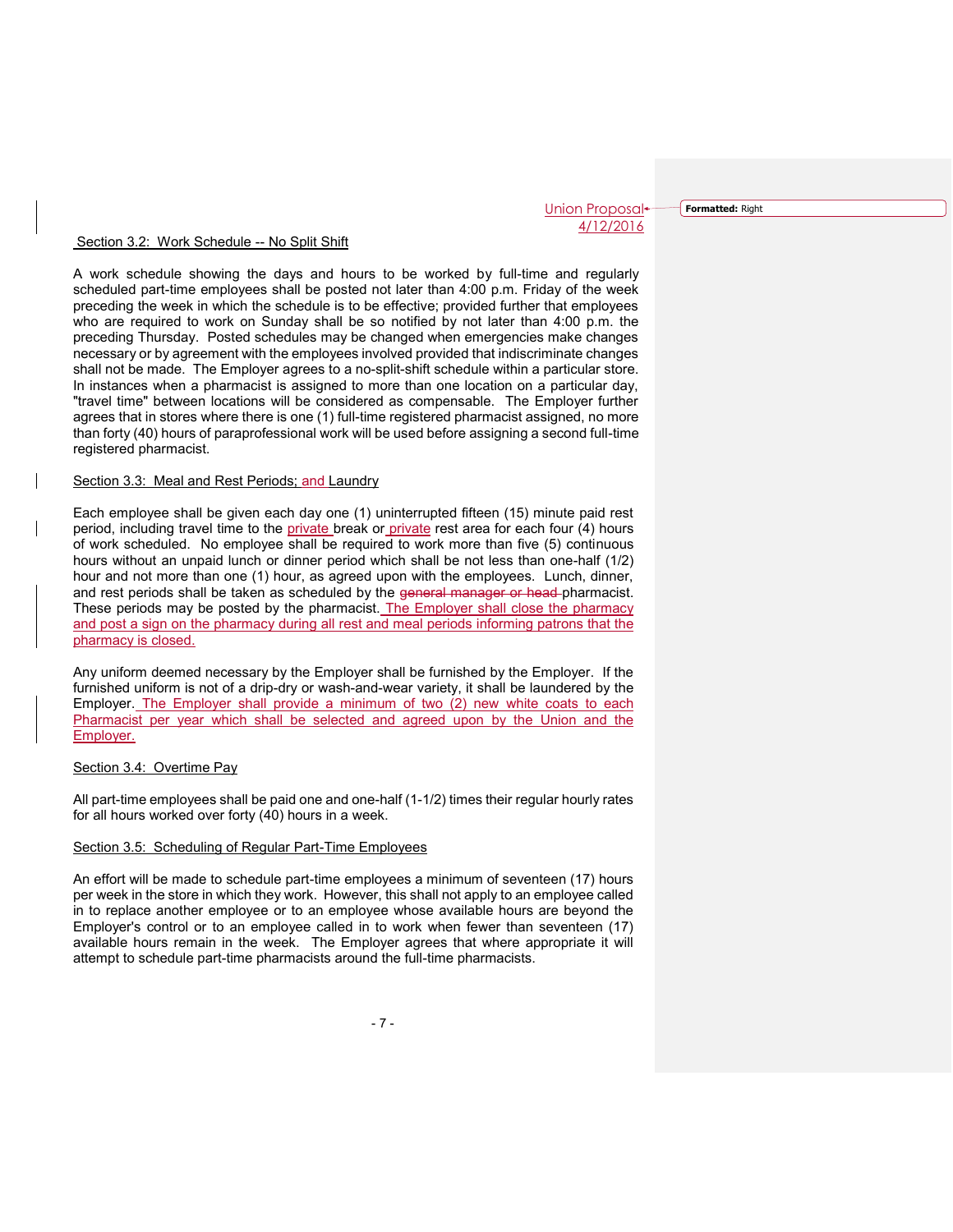**Formatted:** Right

#### Section 3.2: Work Schedule -- No Split Shift

A work schedule showing the days and hours to be worked by full-time and regularly scheduled part-time employees shall be posted not later than 4:00 p.m. Friday of the week preceding the week in which the schedule is to be effective; provided further that employees who are required to work on Sunday shall be so notified by not later than 4:00 p.m. the preceding Thursday. Posted schedules may be changed when emergencies make changes necessary or by agreement with the employees involved provided that indiscriminate changes shall not be made. The Employer agrees to a no-split-shift schedule within a particular store. In instances when a pharmacist is assigned to more than one location on a particular day, "travel time" between locations will be considered as compensable. The Employer further agrees that in stores where there is one (1) full-time registered pharmacist assigned, no more than forty (40) hours of paraprofessional work will be used before assigning a second full-time registered pharmacist.

## Section 3.3: Meal and Rest Periods; and Laundry

Each employee shall be given each day one (1) uninterrupted fifteen (15) minute paid rest period, including travel time to the private break or private rest area for each four (4) hours of work scheduled. No employee shall be required to work more than five (5) continuous hours without an unpaid lunch or dinner period which shall be not less than one-half (1/2) hour and not more than one (1) hour, as agreed upon with the employees. Lunch, dinner, and rest periods shall be taken as scheduled by the general manager or head-pharmacist. These periods may be posted by the pharmacist. The Employer shall close the pharmacy and post a sign on the pharmacy during all rest and meal periods informing patrons that the pharmacy is closed.

Any uniform deemed necessary by the Employer shall be furnished by the Employer. If the furnished uniform is not of a drip-dry or wash-and-wear variety, it shall be laundered by the Employer. The Employer shall provide a minimum of two (2) new white coats to each Pharmacist per year which shall be selected and agreed upon by the Union and the Employer.

## Section 3.4: Overtime Pay

All part-time employees shall be paid one and one-half (1-1/2) times their regular hourly rates for all hours worked over forty (40) hours in a week.

## Section 3.5: Scheduling of Regular Part-Time Employees

An effort will be made to schedule part-time employees a minimum of seventeen (17) hours per week in the store in which they work. However, this shall not apply to an employee called in to replace another employee or to an employee whose available hours are beyond the Employer's control or to an employee called in to work when fewer than seventeen (17) available hours remain in the week. The Employer agrees that where appropriate it will attempt to schedule part-time pharmacists around the full-time pharmacists.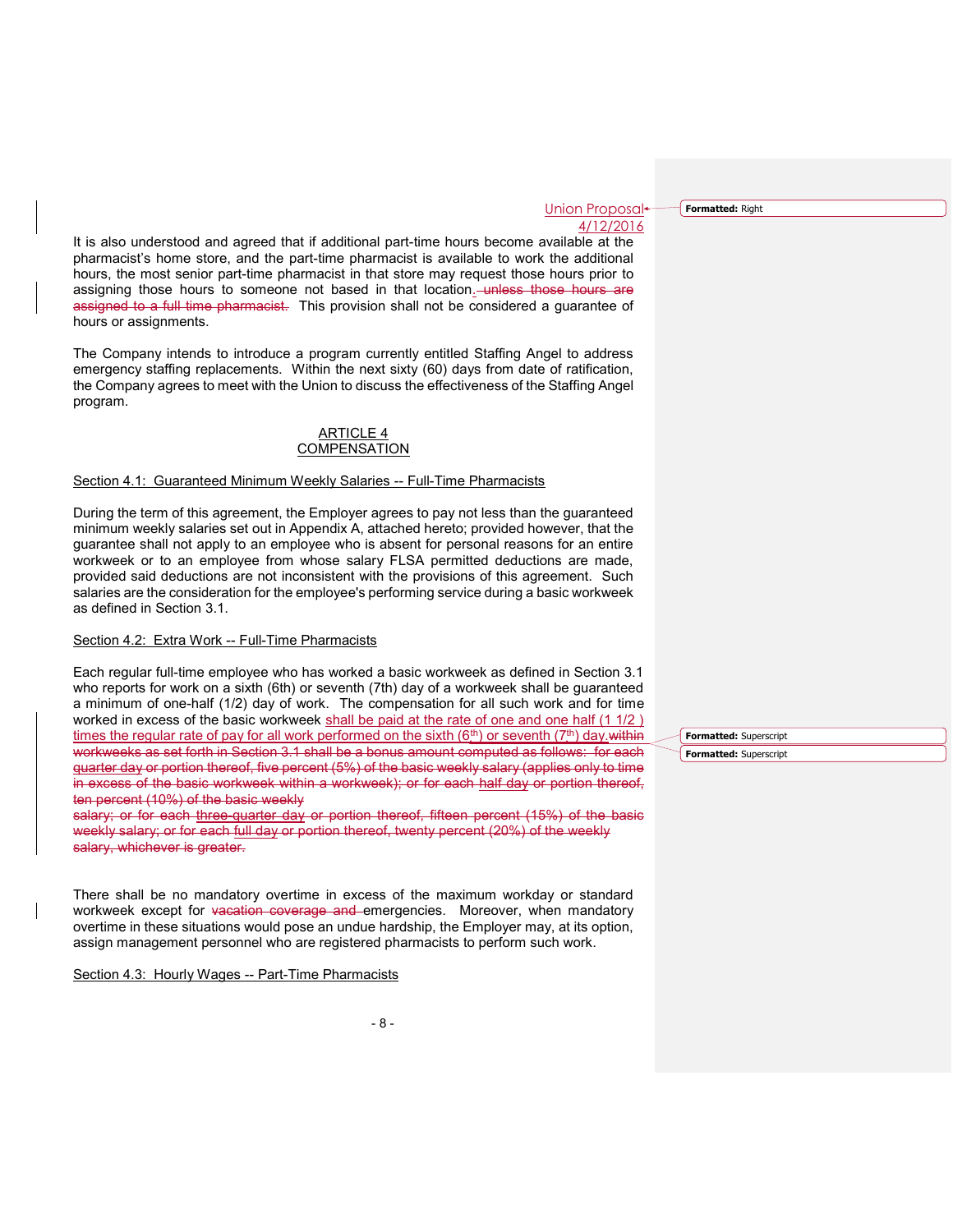Union Proposal<sup>+</sup> 4/12/2016

**Formatted:** Right

It is also understood and agreed that if additional part-time hours become available at the pharmacist's home store, and the part-time pharmacist is available to work the additional hours, the most senior part-time pharmacist in that store may request those hours prior to assigning those hours to someone not based in that location. unless those hours are assigned to a full time pharmacist. This provision shall not be considered a guarantee of hours or assignments.

The Company intends to introduce a program currently entitled Staffing Angel to address emergency staffing replacements. Within the next sixty (60) days from date of ratification, the Company agrees to meet with the Union to discuss the effectiveness of the Staffing Angel program.

## ARTICLE 4 **COMPENSATION**

## Section 4.1: Guaranteed Minimum Weekly Salaries -- Full-Time Pharmacists

During the term of this agreement, the Employer agrees to pay not less than the guaranteed minimum weekly salaries set out in Appendix A, attached hereto; provided however, that the guarantee shall not apply to an employee who is absent for personal reasons for an entire workweek or to an employee from whose salary FLSA permitted deductions are made, provided said deductions are not inconsistent with the provisions of this agreement. Such salaries are the consideration for the employee's performing service during a basic workweek as defined in Section 3.1.

## Section 4.2: Extra Work -- Full-Time Pharmacists

Each regular full-time employee who has worked a basic workweek as defined in Section 3.1 who reports for work on a sixth (6th) or seventh (7th) day of a workweek shall be guaranteed a minimum of one-half (1/2) day of work. The compensation for all such work and for time worked in excess of the basic workweek shall be paid at the rate of one and one half (1 1/2) times the regular rate of pay for all work performed on the sixth  $(6<sup>th</sup>)$  or seventh  $(7<sup>th</sup>)$  day.within workweeks as set forth in Section 3.1 shall be a bonus amount computed as follows: for each quarter day or portion thereof, five percent (5%) of the basic weekly salary (applies only to time in excess of the basic workweek within a workweek); or for each half day or portion thereof, ten percent (10%) of the basic weekly

salary; or for each three quarter day or portion thereof, fifteen percent (15%) of the basic weekly salary; or for each full day or portion thereof, twenty percent (20%) of the weekly salary, whichever is greater.

There shall be no mandatory overtime in excess of the maximum workday or standard workweek except for vacation coverage and emergencies. Moreover, when mandatory overtime in these situations would pose an undue hardship, the Employer may, at its option, assign management personnel who are registered pharmacists to perform such work.

Section 4.3: Hourly Wages -- Part-Time Pharmacists

**Formatted:** Superscript **Formatted:** Superscript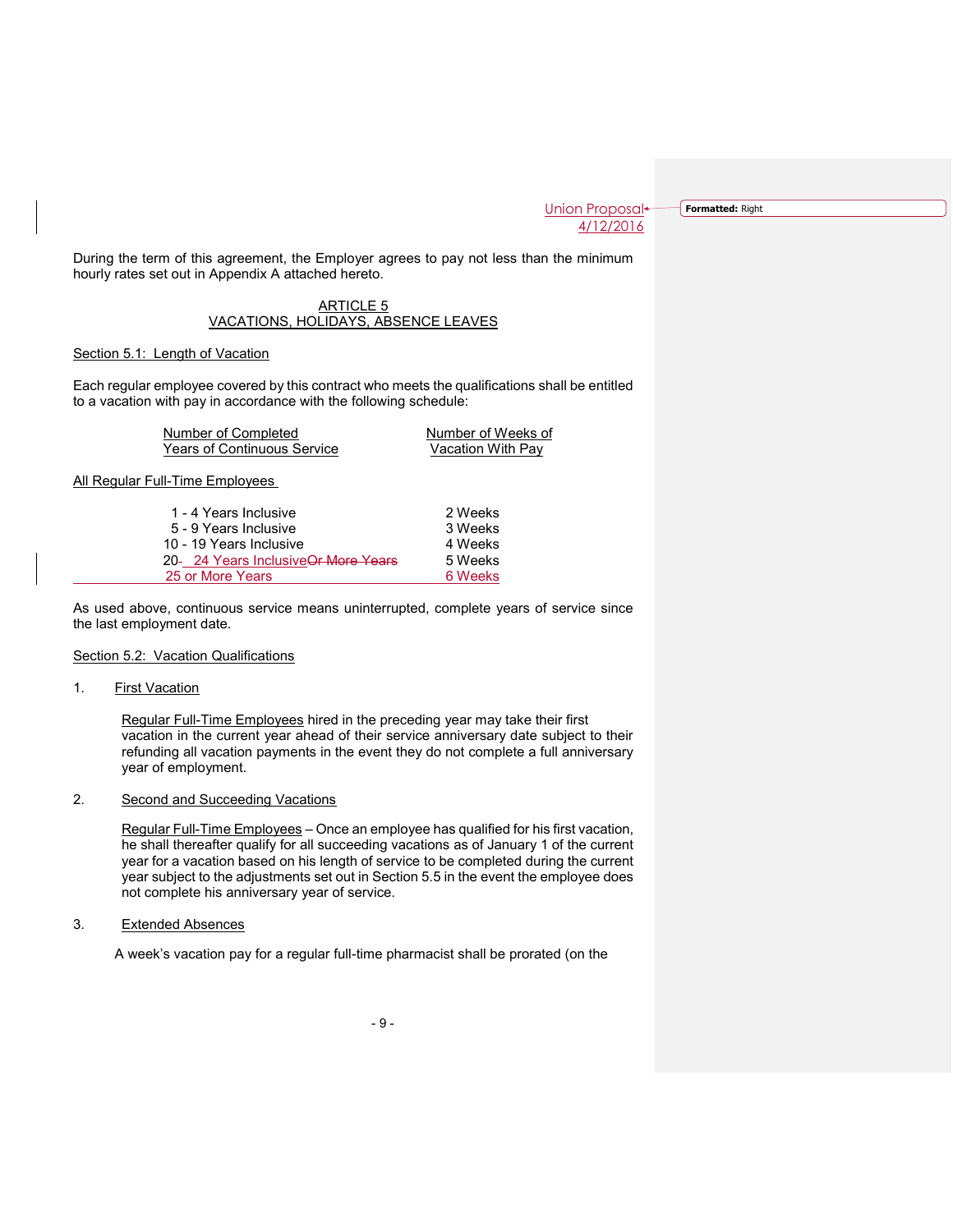**Formatted:** Right

During the term of this agreement, the Employer agrees to pay not less than the minimum hourly rates set out in Appendix A attached hereto.

## ARTICLE 5 VACATIONS, HOLIDAYS, ABSENCE LEAVES

## Section 5.1: Length of Vacation

Each regular employee covered by this contract who meets the qualifications shall be entitled to a vacation with pay in accordance with the following schedule:

| Number of Completed                | Number of Weeks of |
|------------------------------------|--------------------|
| <b>Years of Continuous Service</b> | Vacation With Pay  |

All Regular Full-Time Employees

| 1 - 4 Years Inclusive               | 2 Weeks |
|-------------------------------------|---------|
| 5 - 9 Years Inclusive               | 3 Weeks |
| 10 - 19 Years Inclusive             | 4 Weeks |
| 20- 24 Years InclusiveOr More Years | 5 Weeks |
| 25 or More Years                    | 6 Weeks |

As used above, continuous service means uninterrupted, complete years of service since the last employment date.

## Section 5.2: Vacation Qualifications

#### 1. **First Vacation**

Regular Full-Time Employees hired in the preceding year may take their first vacation in the current year ahead of their service anniversary date subject to their refunding all vacation payments in the event they do not complete a full anniversary year of employment.

# 2. Second and Succeeding Vacations

Regular Full-Time Employees – Once an employee has qualified for his first vacation, he shall thereafter qualify for all succeeding vacations as of January 1 of the current year for a vacation based on his length of service to be completed during the current year subject to the adjustments set out in Section 5.5 in the event the employee does not complete his anniversary year of service.

3. Extended Absences

A week's vacation pay for a regular full-time pharmacist shall be prorated (on the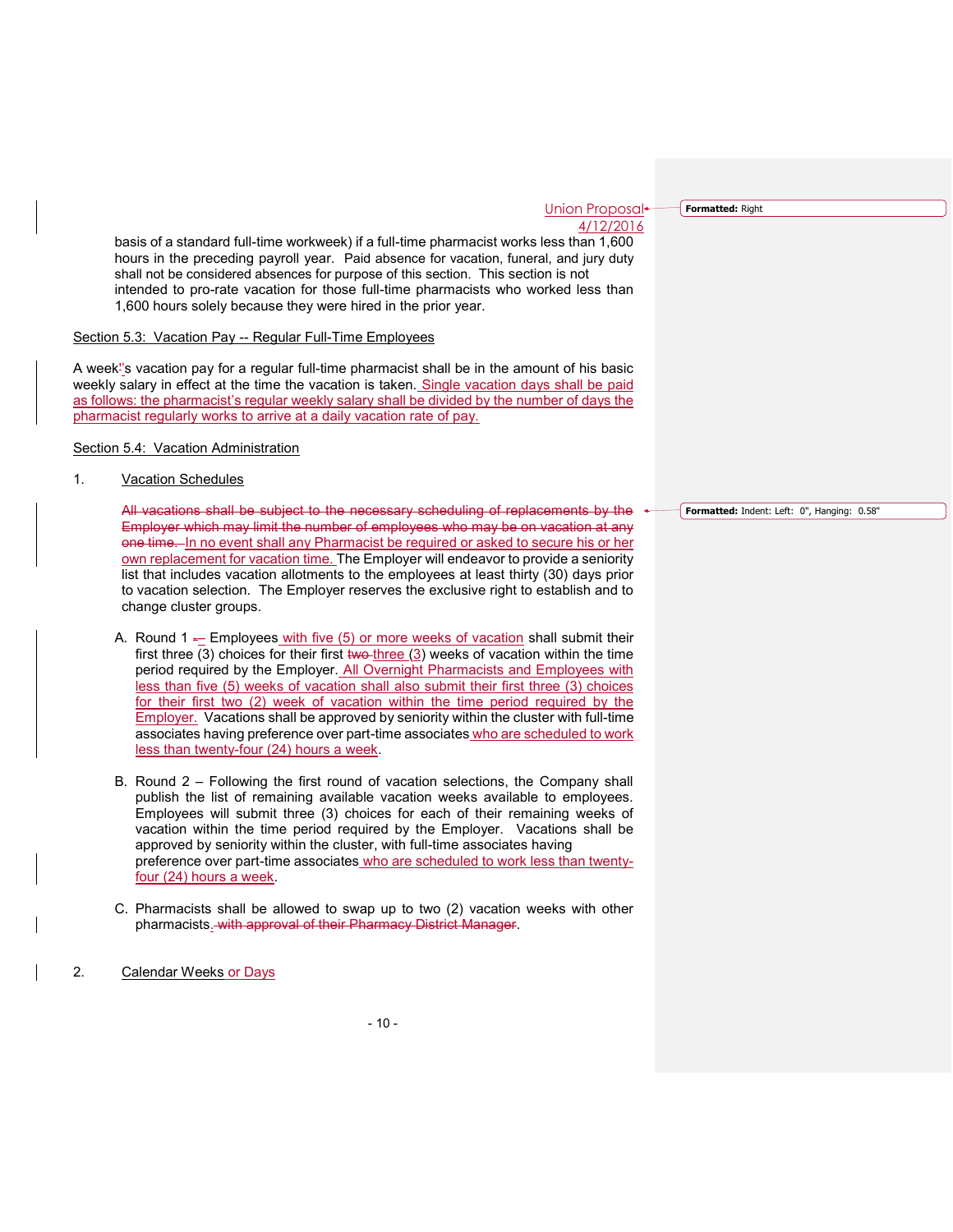**Formatted:** Right

basis of a standard full-time workweek) if a full-time pharmacist works less than 1,600 hours in the preceding payroll year. Paid absence for vacation, funeral, and jury duty shall not be considered absences for purpose of this section. This section is not intended to pro-rate vacation for those full-time pharmacists who worked less than 1,600 hours solely because they were hired in the prior year.

#### Section 5.3: Vacation Pay -- Regular Full-Time Employees

A week''s vacation pay for a regular full-time pharmacist shall be in the amount of his basic weekly salary in effect at the time the vacation is taken. Single vacation days shall be paid as follows: the pharmacist's regular weekly salary shall be divided by the number of days the pharmacist regularly works to arrive at a daily vacation rate of pay.

Section 5.4: Vacation Administration

1. Vacation Schedules

All vacations shall be subject to the necessary scheduling of replacements by the Employer which may limit the number of employees who may be on vacation at any one time. In no event shall any Pharmacist be required or asked to secure his or her own replacement for vacation time. The Employer will endeavor to provide a seniority list that includes vacation allotments to the employees at least thirty (30) days prior to vacation selection. The Employer reserves the exclusive right to establish and to change cluster groups.

- A. Round  $1 E$  Employees with five  $(5)$  or more weeks of vacation shall submit their first three (3) choices for their first two-three (3) weeks of vacation within the time period required by the Employer. All Overnight Pharmacists and Employees with less than five (5) weeks of vacation shall also submit their first three (3) choices for their first two (2) week of vacation within the time period required by the Employer. Vacations shall be approved by seniority within the cluster with full-time associates having preference over part-time associates who are scheduled to work less than twenty-four (24) hours a week.
- B. Round 2 Following the first round of vacation selections, the Company shall publish the list of remaining available vacation weeks available to employees. Employees will submit three (3) choices for each of their remaining weeks of vacation within the time period required by the Employer. Vacations shall be approved by seniority within the cluster, with full-time associates having preference over part-time associates who are scheduled to work less than twentyfour (24) hours a week.
- C. Pharmacists shall be allowed to swap up to two (2) vacation weeks with other pharmacists. with approval of their Pharmacy District Manager.
- 2. Calendar Weeks or Days

**Formatted:** Indent: Left: 0", Hanging: 0.58"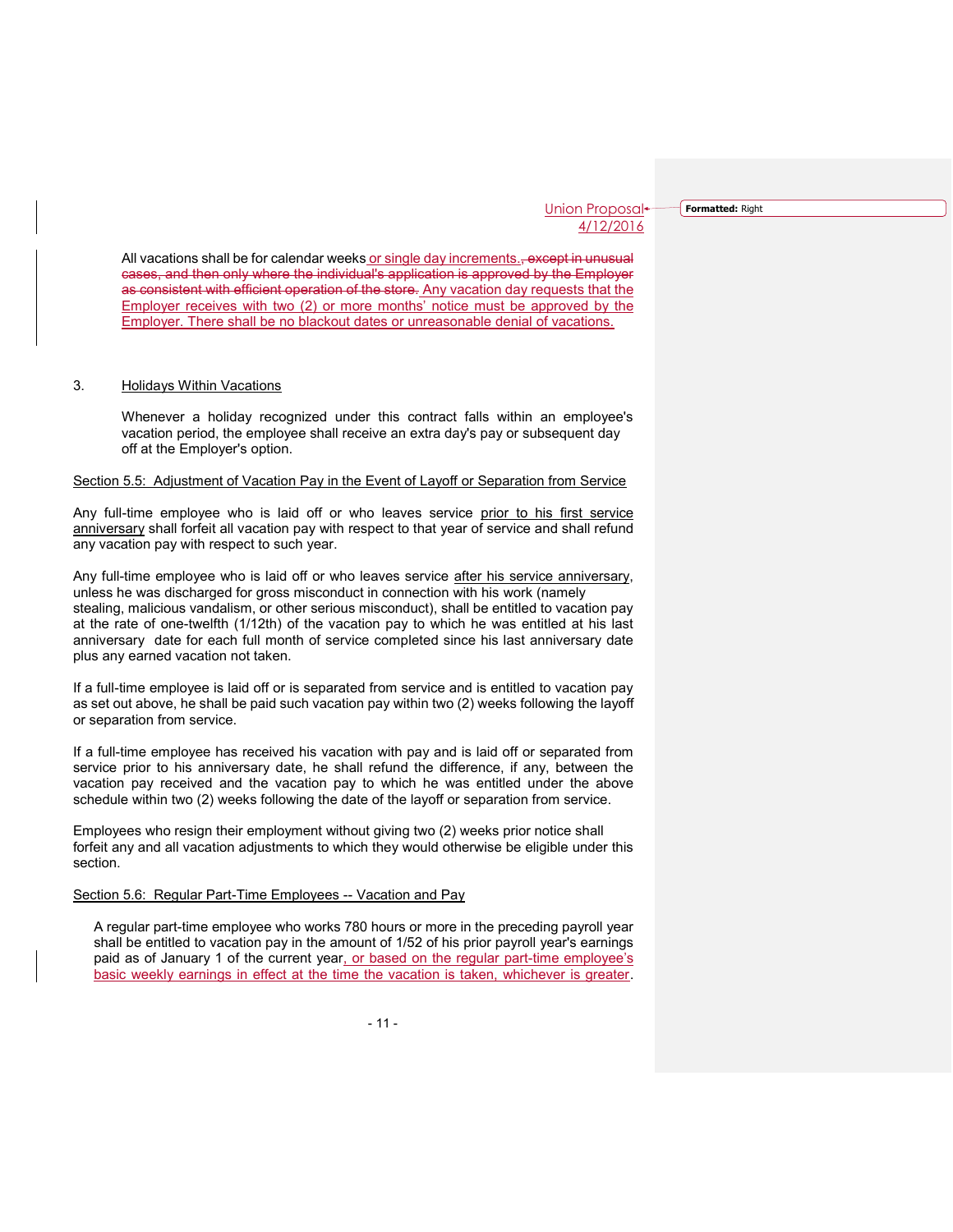**Formatted:** Right

All vacations shall be for calendar weeks or single day increments., except in unusual cases, and then only where the individual's application is approved by the Employer as consistent with efficient operation of the store. Any vacation day requests that the Employer receives with two (2) or more months' notice must be approved by the Employer. There shall be no blackout dates or unreasonable denial of vacations.

## 3. Holidays Within Vacations

Whenever a holiday recognized under this contract falls within an employee's vacation period, the employee shall receive an extra day's pay or subsequent day off at the Employer's option.

## Section 5.5: Adjustment of Vacation Pay in the Event of Layoff or Separation from Service

Any full-time employee who is laid off or who leaves service prior to his first service anniversary shall forfeit all vacation pay with respect to that year of service and shall refund any vacation pay with respect to such year.

Any full-time employee who is laid off or who leaves service after his service anniversary, unless he was discharged for gross misconduct in connection with his work (namely stealing, malicious vandalism, or other serious misconduct), shall be entitled to vacation pay at the rate of one-twelfth (1/12th) of the vacation pay to which he was entitled at his last anniversary date for each full month of service completed since his last anniversary date plus any earned vacation not taken.

If a full-time employee is laid off or is separated from service and is entitled to vacation pay as set out above, he shall be paid such vacation pay within two (2) weeks following the layoff or separation from service.

If a full-time employee has received his vacation with pay and is laid off or separated from service prior to his anniversary date, he shall refund the difference, if any, between the vacation pay received and the vacation pay to which he was entitled under the above schedule within two (2) weeks following the date of the layoff or separation from service.

Employees who resign their employment without giving two (2) weeks prior notice shall forfeit any and all vacation adjustments to which they would otherwise be eligible under this section.

## Section 5.6: Regular Part-Time Employees -- Vacation and Pay

A regular part-time employee who works 780 hours or more in the preceding payroll year shall be entitled to vacation pay in the amount of 1/52 of his prior payroll year's earnings paid as of January 1 of the current year, or based on the regular part-time employee's basic weekly earnings in effect at the time the vacation is taken, whichever is greater.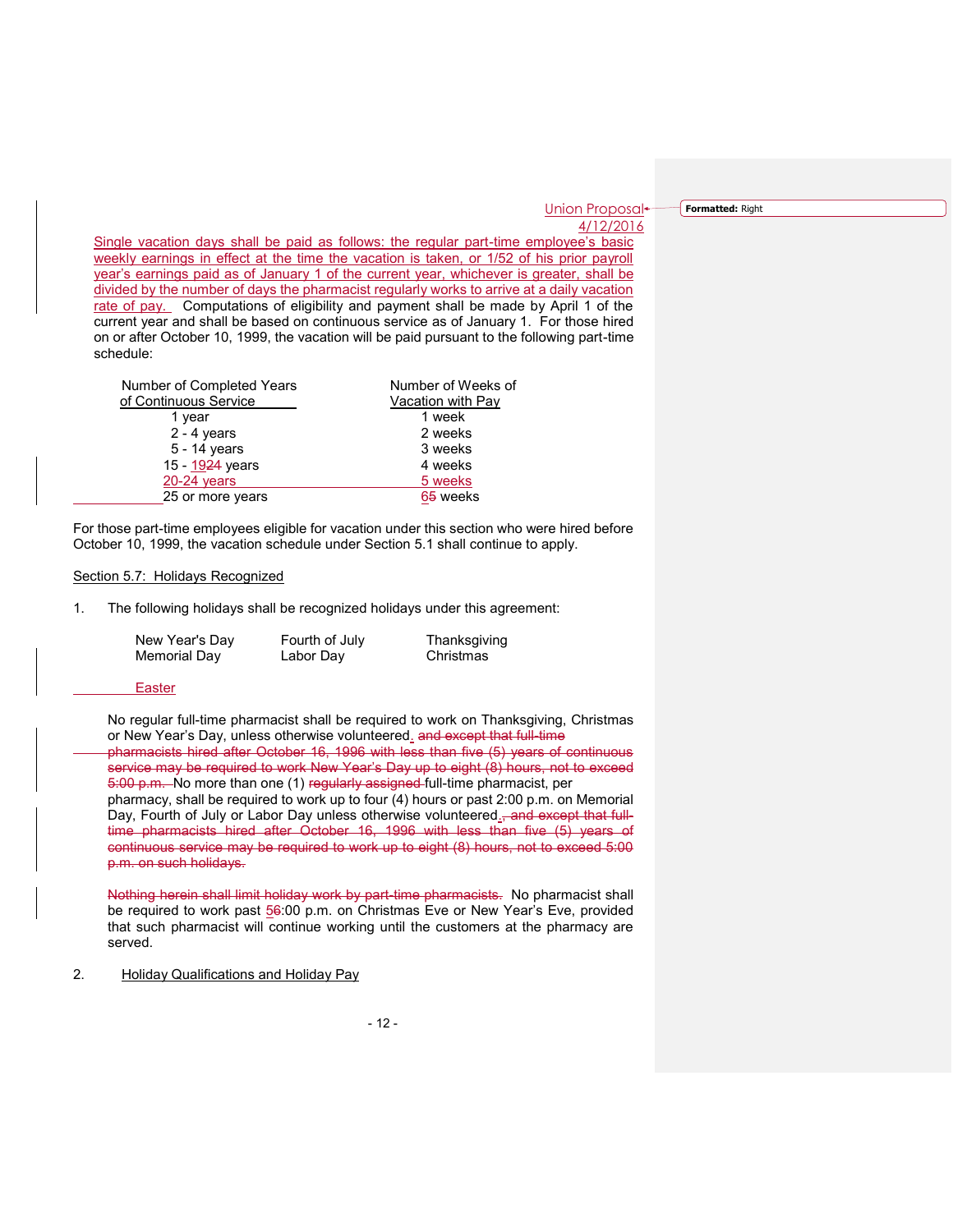**Formatted:** Right

Single vacation days shall be paid as follows: the regular part-time employee's basic weekly earnings in effect at the time the vacation is taken, or 1/52 of his prior payroll year's earnings paid as of January 1 of the current year, whichever is greater, shall be divided by the number of days the pharmacist regularly works to arrive at a daily vacation rate of pay. Computations of eligibility and payment shall be made by April 1 of the current year and shall be based on continuous service as of January 1. For those hired on or after October 10, 1999, the vacation will be paid pursuant to the following part-time schedule:

| Number of Completed Years | Number of Weeks of |
|---------------------------|--------------------|
| of Continuous Service     | Vacation with Pay  |
| 1 year                    | 1 week             |
| $2 - 4$ years             | 2 weeks            |
| 5 - 14 years              | 3 weeks            |
| 15 - 1924 years           | 4 weeks            |
| $20-24$ years             | 5 weeks            |
| 25 or more years          | 65 weeks           |

For those part-time employees eligible for vacation under this section who were hired before October 10, 1999, the vacation schedule under Section 5.1 shall continue to apply.

## Section 5.7: Holidays Recognized

1. The following holidays shall be recognized holidays under this agreement:

| New Year's Day | Fourth of July | Thanksgiving |
|----------------|----------------|--------------|
| Memorial Day   | Labor Day      | Christmas    |

## Easter

No regular full-time pharmacist shall be required to work on Thanksgiving, Christmas or New Year's Day, unless otherwise volunteered. and except that full-time pharmacists hired after October 16, 1996 with less than five (5) years of continuous service may be required to work New Year's Day up to eight (8) hours, not to exceed 5:00 p.m. No more than one (1) regularly assigned full-time pharmacist, per pharmacy, shall be required to work up to four (4) hours or past 2:00 p.m. on Memorial Day, Fourth of July or Labor Day unless otherwise volunteered.<del>, and except that full-</del> time pharmacists hired after October 16, 1996 with less than five (5) years of continuous service may be required to work up to eight (8) hours, not to exceed 5:00 p.m. on such holidays.

Nothing herein shall limit holiday work by part-time pharmacists. No pharmacist shall be required to work past 56:00 p.m. on Christmas Eve or New Year's Eve, provided that such pharmacist will continue working until the customers at the pharmacy are served.

## 2. Holiday Qualifications and Holiday Pay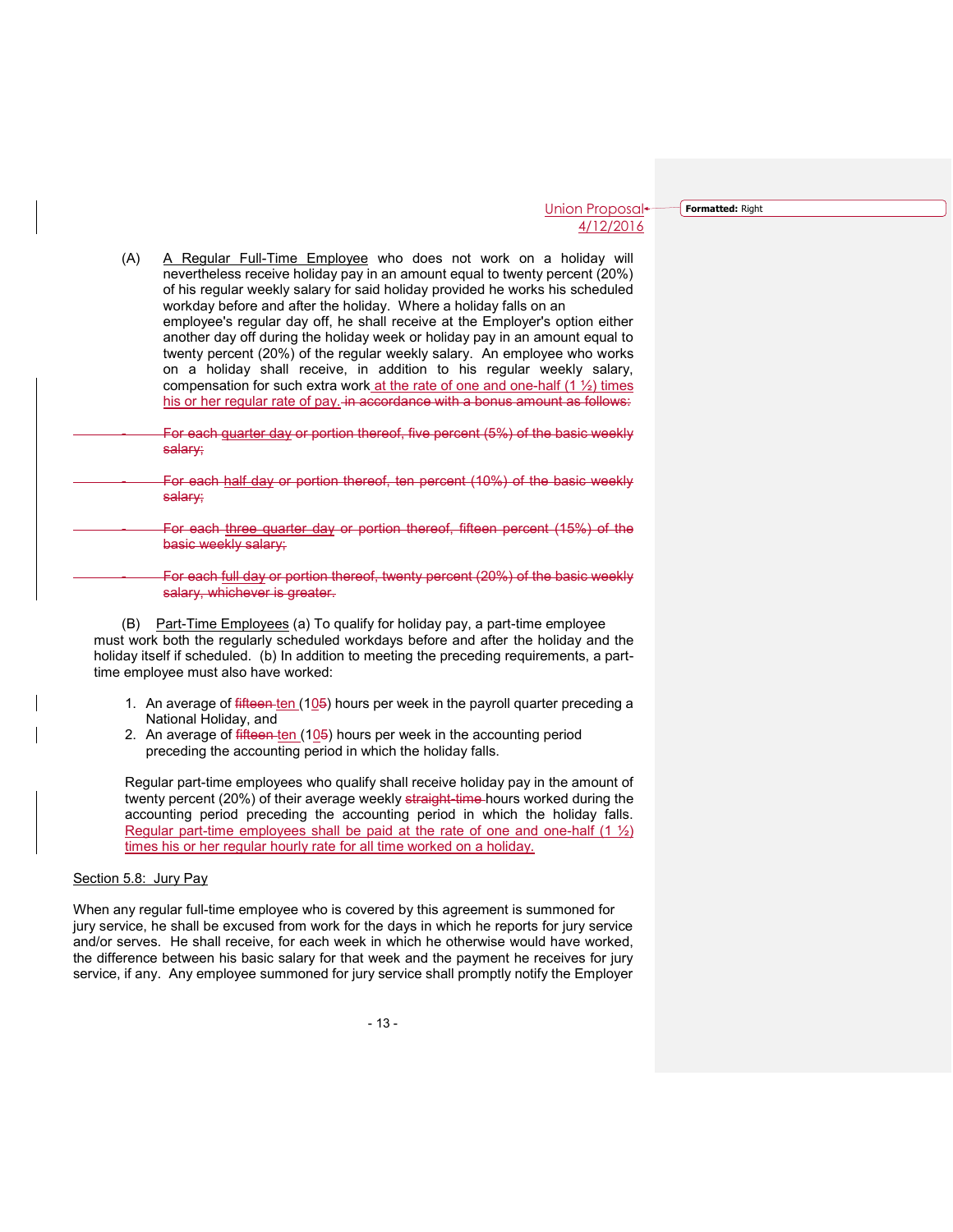**Formatted:** Right

| (A) | A Regular Full-Time Employee who does not work on a holiday will<br>nevertheless receive holiday pay in an amount equal to twenty percent (20%)<br>of his regular weekly salary for said holiday provided he works his scheduled<br>workday before and after the holiday. Where a holiday falls on an<br>employee's requiar day off, he shall receive at the Employer's option either<br>another day off during the holiday week or holiday pay in an amount equal to<br>twenty percent (20%) of the regular weekly salary. An employee who works<br>on a holiday shall receive, in addition to his regular weekly salary,<br>compensation for such extra work at the rate of one and one-half $(1 \frac{1}{2})$ times<br>his or her regular rate of pay. in accordance with a bonus amount as follows: |
|-----|---------------------------------------------------------------------------------------------------------------------------------------------------------------------------------------------------------------------------------------------------------------------------------------------------------------------------------------------------------------------------------------------------------------------------------------------------------------------------------------------------------------------------------------------------------------------------------------------------------------------------------------------------------------------------------------------------------------------------------------------------------------------------------------------------------|
|     | For each guarter day or portion thereof, five percent (5%) of the basic weekly<br>salary;                                                                                                                                                                                                                                                                                                                                                                                                                                                                                                                                                                                                                                                                                                               |
|     | For each half day or portion thereof, ten percent (10%) of the basic weekly<br>salary;                                                                                                                                                                                                                                                                                                                                                                                                                                                                                                                                                                                                                                                                                                                  |
|     | For each three quarter day or portion thereof, fifteen percent (15%) of the<br>basic weekly salary;                                                                                                                                                                                                                                                                                                                                                                                                                                                                                                                                                                                                                                                                                                     |
|     | For each full day or portion thereof, twenty percent (20%) of the basic weekly<br>salary, whichever is greater.                                                                                                                                                                                                                                                                                                                                                                                                                                                                                                                                                                                                                                                                                         |

(B) Part-Time Employees (a) To qualify for holiday pay, a part-time employee must work both the regularly scheduled workdays before and after the holiday and the holiday itself if scheduled. (b) In addition to meeting the preceding requirements, a parttime employee must also have worked:

- 1. An average of  $f$  fifteen ten  $(105)$  hours per week in the payroll quarter preceding a National Holiday, and
- 2. An average of fifteen ten (105) hours per week in the accounting period preceding the accounting period in which the holiday falls.

Regular part-time employees who qualify shall receive holiday pay in the amount of twenty percent (20%) of their average weekly straight-time hours worked during the accounting period preceding the accounting period in which the holiday falls. Regular part-time employees shall be paid at the rate of one and one-half  $(1 \frac{1}{2})$ times his or her regular hourly rate for all time worked on a holiday.

#### Section 5.8: Jury Pay

When any regular full-time employee who is covered by this agreement is summoned for jury service, he shall be excused from work for the days in which he reports for jury service and/or serves. He shall receive, for each week in which he otherwise would have worked, the difference between his basic salary for that week and the payment he receives for jury service, if any. Any employee summoned for jury service shall promptly notify the Employer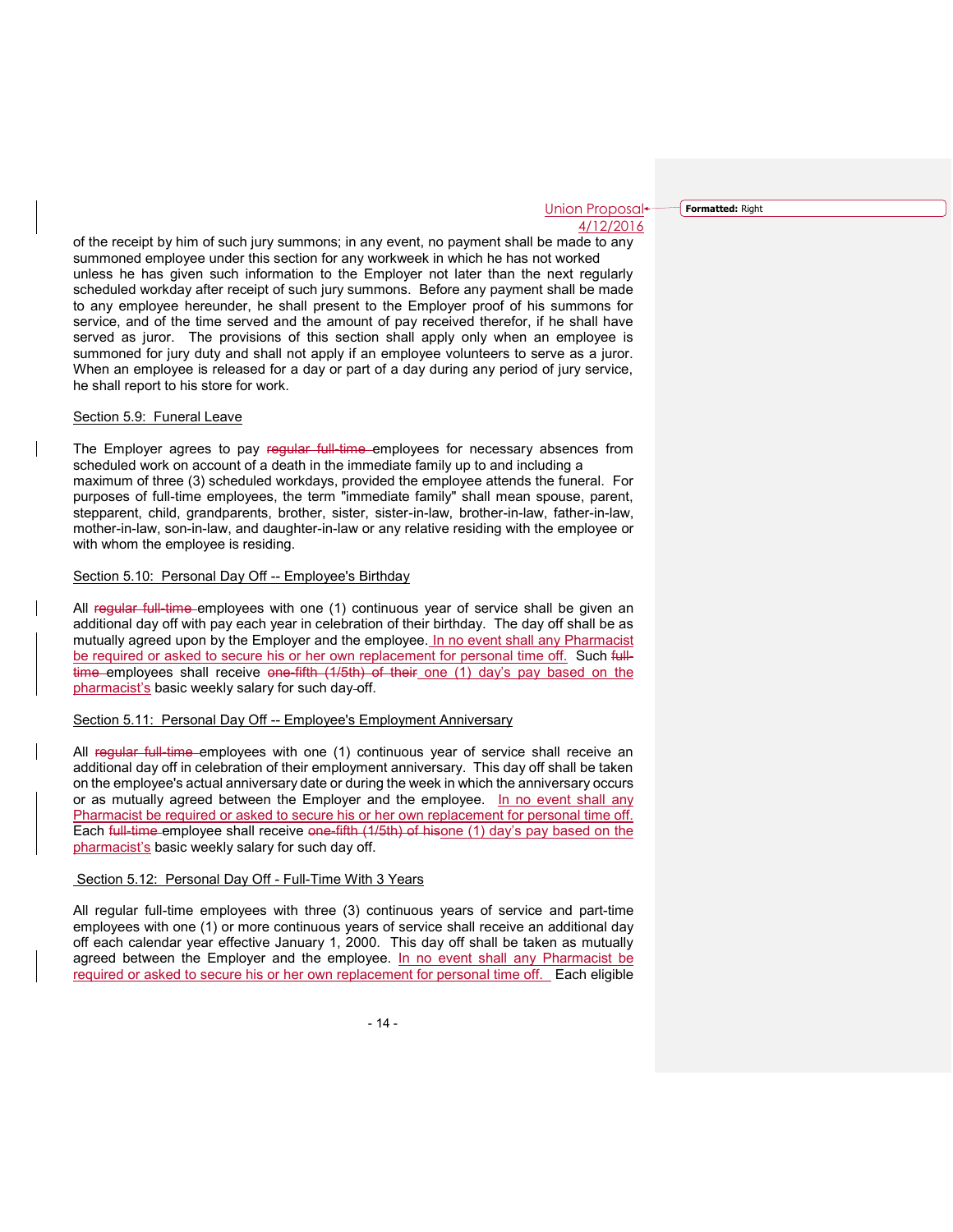**Formatted:** Right

of the receipt by him of such jury summons; in any event, no payment shall be made to any summoned employee under this section for any workweek in which he has not worked unless he has given such information to the Employer not later than the next regularly scheduled workday after receipt of such jury summons. Before any payment shall be made to any employee hereunder, he shall present to the Employer proof of his summons for service, and of the time served and the amount of pay received therefor, if he shall have served as juror. The provisions of this section shall apply only when an employee is summoned for jury duty and shall not apply if an employee volunteers to serve as a juror. When an employee is released for a day or part of a day during any period of jury service, he shall report to his store for work.

## Section 5.9: Funeral Leave

The Employer agrees to pay regular full-time employees for necessary absences from scheduled work on account of a death in the immediate family up to and including a maximum of three (3) scheduled workdays, provided the employee attends the funeral. For purposes of full-time employees, the term "immediate family" shall mean spouse, parent, stepparent, child, grandparents, brother, sister, sister-in-law, brother-in-law, father-in-law, mother-in-law, son-in-law, and daughter-in-law or any relative residing with the employee or with whom the employee is residing.

#### Section 5.10: Personal Day Off -- Employee's Birthday

All regular full-time employees with one (1) continuous year of service shall be given an additional day off with pay each year in celebration of their birthday. The day off shall be as mutually agreed upon by the Employer and the employee. In no event shall any Pharmacist be required or asked to secure his or her own replacement for personal time off. Such fulltime employees shall receive one-fifth (1/5th) of their one (1) day's pay based on the pharmacist's basic weekly salary for such day-off.

## Section 5.11: Personal Day Off -- Employee's Employment Anniversary

All regular full time employees with one (1) continuous year of service shall receive an additional day off in celebration of their employment anniversary. This day off shall be taken on the employee's actual anniversary date or during the week in which the anniversary occurs or as mutually agreed between the Employer and the employee. In no event shall any Pharmacist be required or asked to secure his or her own replacement for personal time off. Each full-time employee shall receive one-fifth (1/5th) of hisone (1) day's pay based on the pharmacist's basic weekly salary for such day off.

#### Section 5.12: Personal Day Off - Full-Time With 3 Years

All regular full-time employees with three (3) continuous years of service and part-time employees with one (1) or more continuous years of service shall receive an additional day off each calendar year effective January 1, 2000. This day off shall be taken as mutually agreed between the Employer and the employee. In no event shall any Pharmacist be required or asked to secure his or her own replacement for personal time off. Each eligible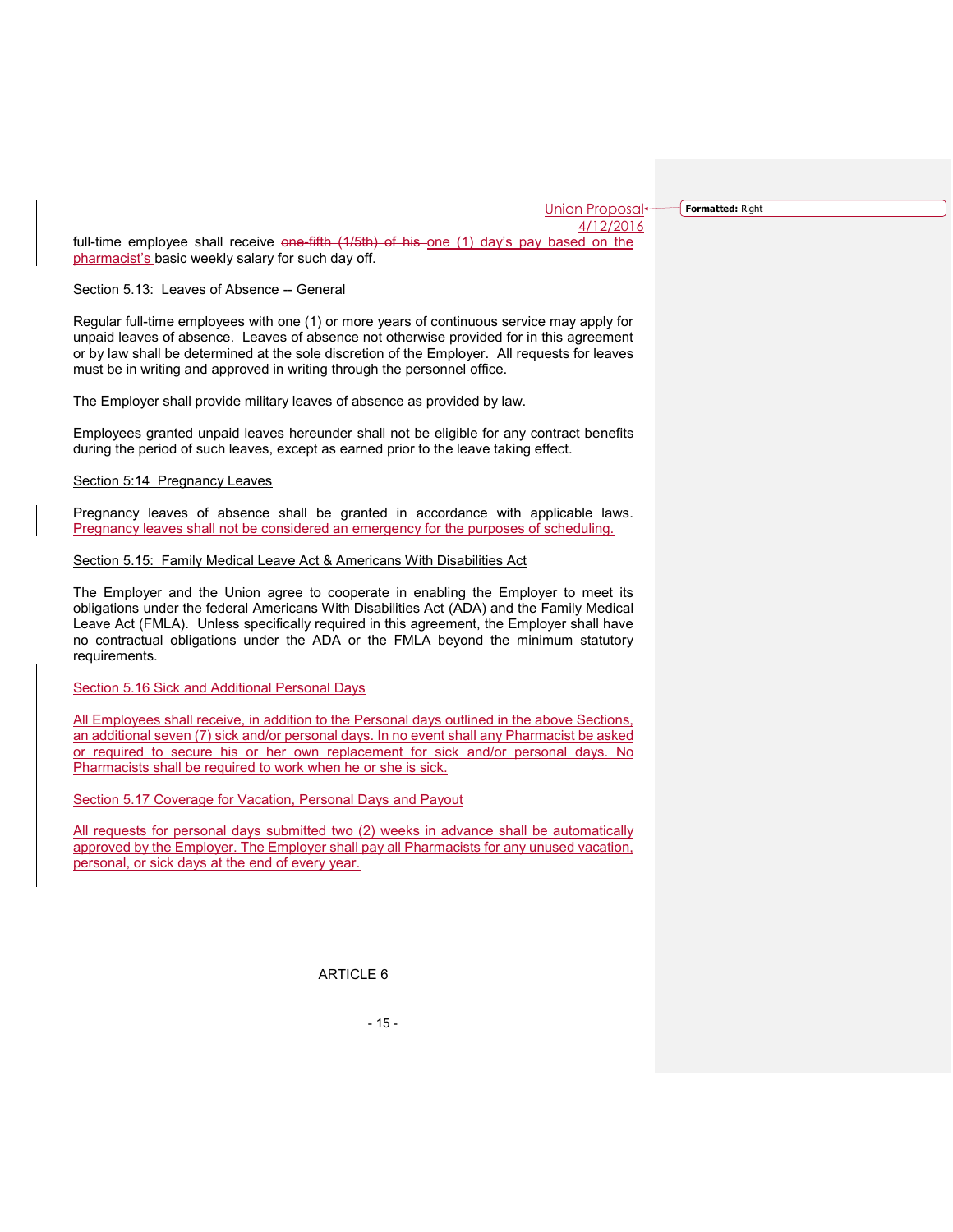**Formatted:** Right

full-time employee shall receive  $\Theta$  one-fifth  $(1/5th)$  of his one (1) day's pay based on the pharmacist's basic weekly salary for such day off.

#### Section 5.13: Leaves of Absence -- General

Regular full-time employees with one (1) or more years of continuous service may apply for unpaid leaves of absence. Leaves of absence not otherwise provided for in this agreement or by law shall be determined at the sole discretion of the Employer. All requests for leaves must be in writing and approved in writing through the personnel office.

The Employer shall provide military leaves of absence as provided by law.

Employees granted unpaid leaves hereunder shall not be eligible for any contract benefits during the period of such leaves, except as earned prior to the leave taking effect.

## Section 5:14 Pregnancy Leaves

Pregnancy leaves of absence shall be granted in accordance with applicable laws. Pregnancy leaves shall not be considered an emergency for the purposes of scheduling.

#### Section 5.15: Family Medical Leave Act & Americans With Disabilities Act

The Employer and the Union agree to cooperate in enabling the Employer to meet its obligations under the federal Americans With Disabilities Act (ADA) and the Family Medical Leave Act (FMLA). Unless specifically required in this agreement, the Employer shall have no contractual obligations under the ADA or the FMLA beyond the minimum statutory requirements.

## Section 5.16 Sick and Additional Personal Days

All Employees shall receive, in addition to the Personal days outlined in the above Sections, an additional seven (7) sick and/or personal days. In no event shall any Pharmacist be asked or required to secure his or her own replacement for sick and/or personal days. No Pharmacists shall be required to work when he or she is sick.

Section 5.17 Coverage for Vacation, Personal Days and Payout

All requests for personal days submitted two (2) weeks in advance shall be automatically approved by the Employer. The Employer shall pay all Pharmacists for any unused vacation, personal, or sick days at the end of every year.

ARTICLE 6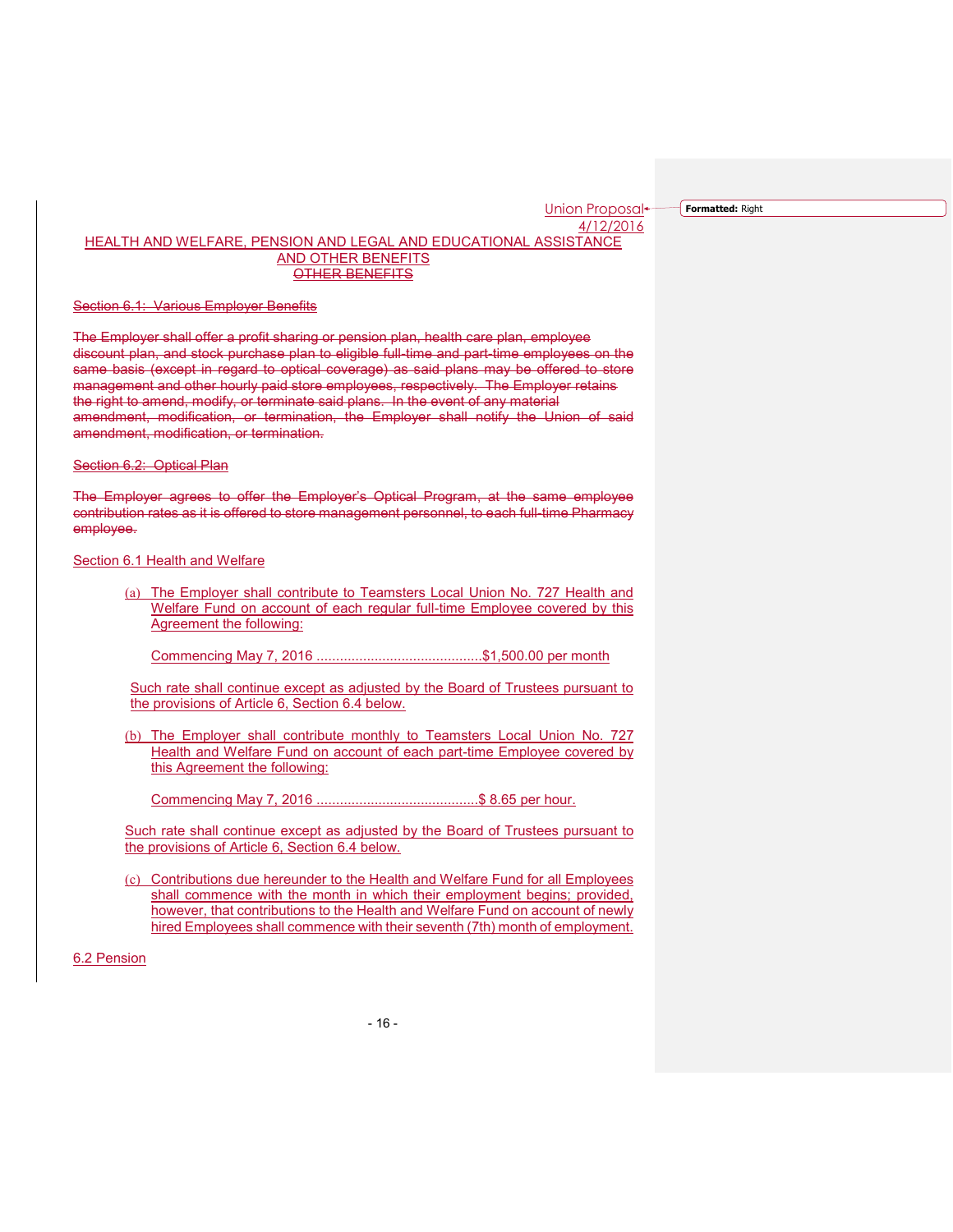**Formatted:** Right

## HEALTH AND WELFARE, PENSION AND LEGAL AND EDUCATIONAL ASSISTANCE AND OTHER BENEFITS OTHER BENEFITS

#### Section 6.1: Various Employer Benefits

The Employer shall offer a profit sharing or pension plan, health care plan, employee discount plan, and stock purchase plan to eligible full-time and part-time employees on the same basis (except in regard to optical coverage) as said plans may be offered to store management and other hourly paid store employees, respectively. The Employer retains the right to amend, modify, or terminate said plans. In the event of any material amendment, modification, or termination, the Employer shall notify the Union of said amendment, modification, or termination.

#### Section 6.2: Optical Plan

The Employer agrees to offer the Employer's Optical Program, at the same employee contribution rates as it is offered to store management personnel, to each full-time Pharmacy employee.

#### Section 6.1 Health and Welfare

(a) The Employer shall contribute to Teamsters Local Union No. 727 Health and Welfare Fund on account of each regular full-time Employee covered by this Agreement the following:

Commencing May 7, 2016 ...........................................\$1,500.00 per month

Such rate shall continue except as adjusted by the Board of Trustees pursuant to the provisions of Article 6, Section 6.4 below.

(b) The Employer shall contribute monthly to Teamsters Local Union No. 727 Health and Welfare Fund on account of each part-time Employee covered by this Agreement the following:

Commencing May 7, 2016 ..........................................\$ 8.65 per hour.

Such rate shall continue except as adjusted by the Board of Trustees pursuant to the provisions of Article 6, Section 6.4 below.

(c) Contributions due hereunder to the Health and Welfare Fund for all Employees shall commence with the month in which their employment begins; provided, however, that contributions to the Health and Welfare Fund on account of newly hired Employees shall commence with their seventh (7th) month of employment.

## 6.2 Pension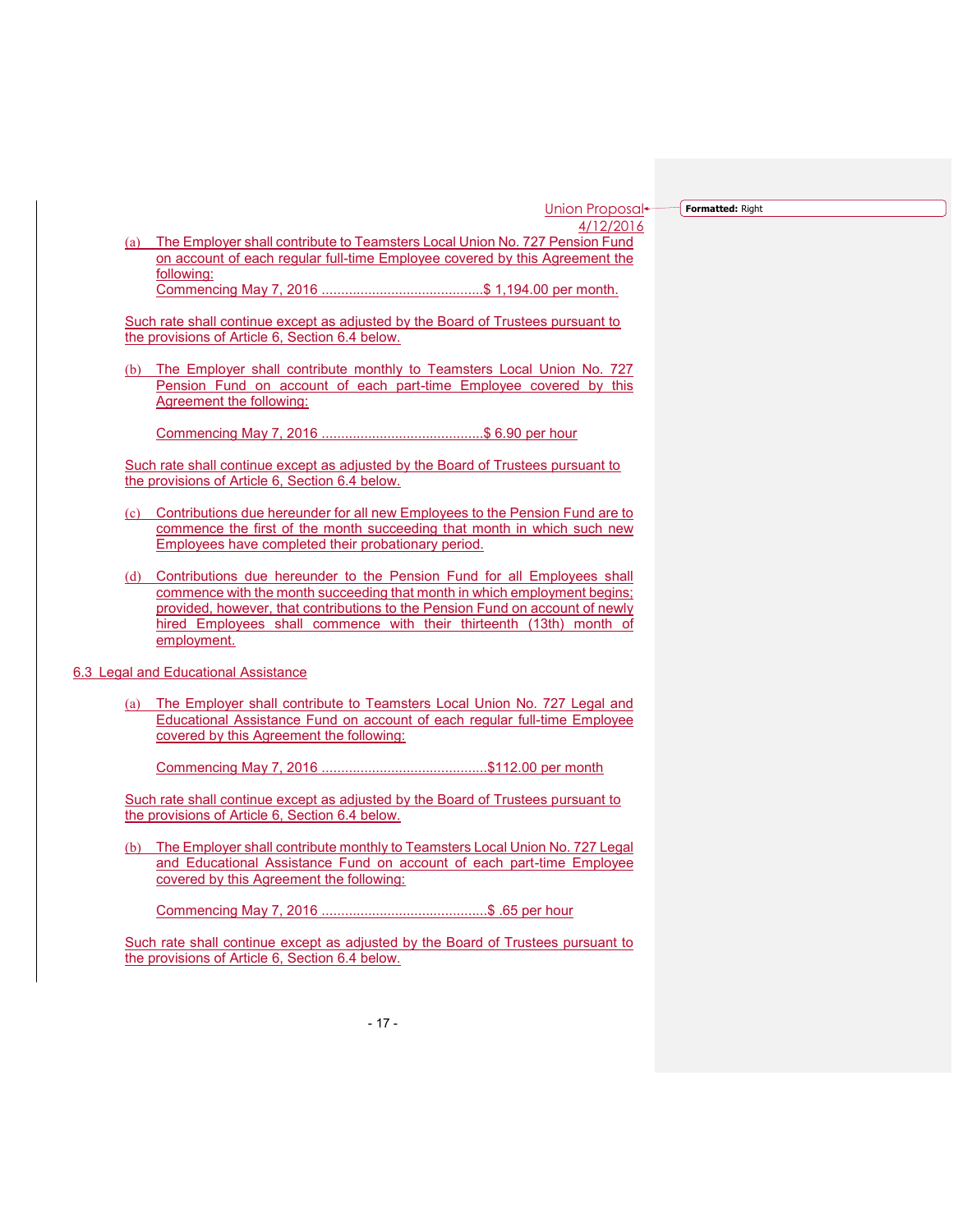**Formatted:** Right

(a) The Employer shall contribute to Teamsters Local Union No. 727 Pension Fund on account of each regular full-time Employee covered by this Agreement the following: Commencing May 7, 2016 ..........................................\$ 1,194.00 per month.

Such rate shall continue except as adjusted by the Board of Trustees pursuant to the provisions of Article 6, Section 6.4 below.

(b) The Employer shall contribute monthly to Teamsters Local Union No. 727 Pension Fund on account of each part-time Employee covered by this Agreement the following:

Commencing May 7, 2016 ..........................................\$ 6.90 per hour

Such rate shall continue except as adjusted by the Board of Trustees pursuant to the provisions of Article 6, Section 6.4 below.

- (c) Contributions due hereunder for all new Employees to the Pension Fund are to commence the first of the month succeeding that month in which such new Employees have completed their probationary period.
- (d) Contributions due hereunder to the Pension Fund for all Employees shall commence with the month succeeding that month in which employment begins; provided, however, that contributions to the Pension Fund on account of newly hired Employees shall commence with their thirteenth (13th) month of employment.
- 6.3 Legal and Educational Assistance
	- (a) The Employer shall contribute to Teamsters Local Union No. 727 Legal and Educational Assistance Fund on account of each regular full-time Employee covered by this Agreement the following:

Commencing May 7, 2016 ...........................................\$112.00 per month

Such rate shall continue except as adjusted by the Board of Trustees pursuant to the provisions of Article 6, Section 6.4 below.

(b) The Employer shall contribute monthly to Teamsters Local Union No. 727 Legal and Educational Assistance Fund on account of each part-time Employee covered by this Agreement the following:

Commencing May 7, 2016 ...........................................\$ .65 per hour

Such rate shall continue except as adjusted by the Board of Trustees pursuant to the provisions of Article 6, Section 6.4 below.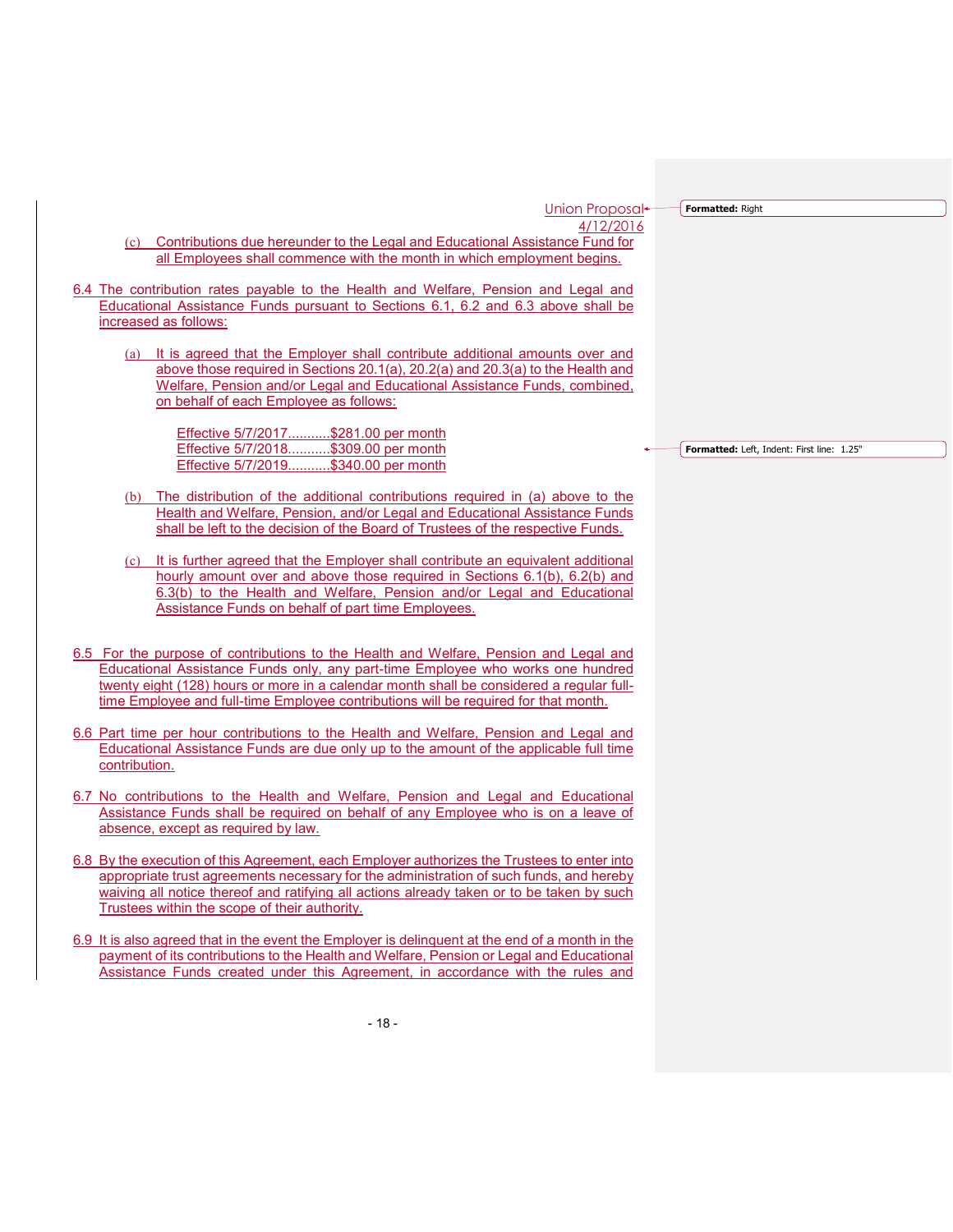**Formatted:** Right

- (c) Contributions due hereunder to the Legal and Educational Assistance Fund for all Employees shall commence with the month in which employment begins.
- 6.4 The contribution rates payable to the Health and Welfare, Pension and Legal and Educational Assistance Funds pursuant to Sections 6.1, 6.2 and 6.3 above shall be increased as follows:
	- (a) It is agreed that the Employer shall contribute additional amounts over and above those required in Sections 20.1(a), 20.2(a) and 20.3(a) to the Health and Welfare, Pension and/or Legal and Educational Assistance Funds, combined, on behalf of each Employee as follows:

Effective 5/7/2017...........\$281.00 per month Effective 5/7/2018...........\$309.00 per month Effective 5/7/2019...........\$340.00 per month

- (b) The distribution of the additional contributions required in (a) above to the Health and Welfare, Pension, and/or Legal and Educational Assistance Funds shall be left to the decision of the Board of Trustees of the respective Funds.
- (c) It is further agreed that the Employer shall contribute an equivalent additional hourly amount over and above those required in Sections 6.1(b), 6.2(b) and 6.3(b) to the Health and Welfare, Pension and/or Legal and Educational Assistance Funds on behalf of part time Employees.
- 6.5 For the purpose of contributions to the Health and Welfare, Pension and Legal and Educational Assistance Funds only, any part-time Employee who works one hundred twenty eight (128) hours or more in a calendar month shall be considered a regular fulltime Employee and full-time Employee contributions will be required for that month.
- 6.6 Part time per hour contributions to the Health and Welfare, Pension and Legal and Educational Assistance Funds are due only up to the amount of the applicable full time contribution.
- 6.7 No contributions to the Health and Welfare, Pension and Legal and Educational Assistance Funds shall be required on behalf of any Employee who is on a leave of absence, except as required by law.
- 6.8 By the execution of this Agreement, each Employer authorizes the Trustees to enter into appropriate trust agreements necessary for the administration of such funds, and hereby waiving all notice thereof and ratifying all actions already taken or to be taken by such Trustees within the scope of their authority.
- 6.9 It is also agreed that in the event the Employer is delinquent at the end of a month in the payment of its contributions to the Health and Welfare, Pension or Legal and Educational Assistance Funds created under this Agreement, in accordance with the rules and

**Formatted:** Left, Indent: First line: 1.25"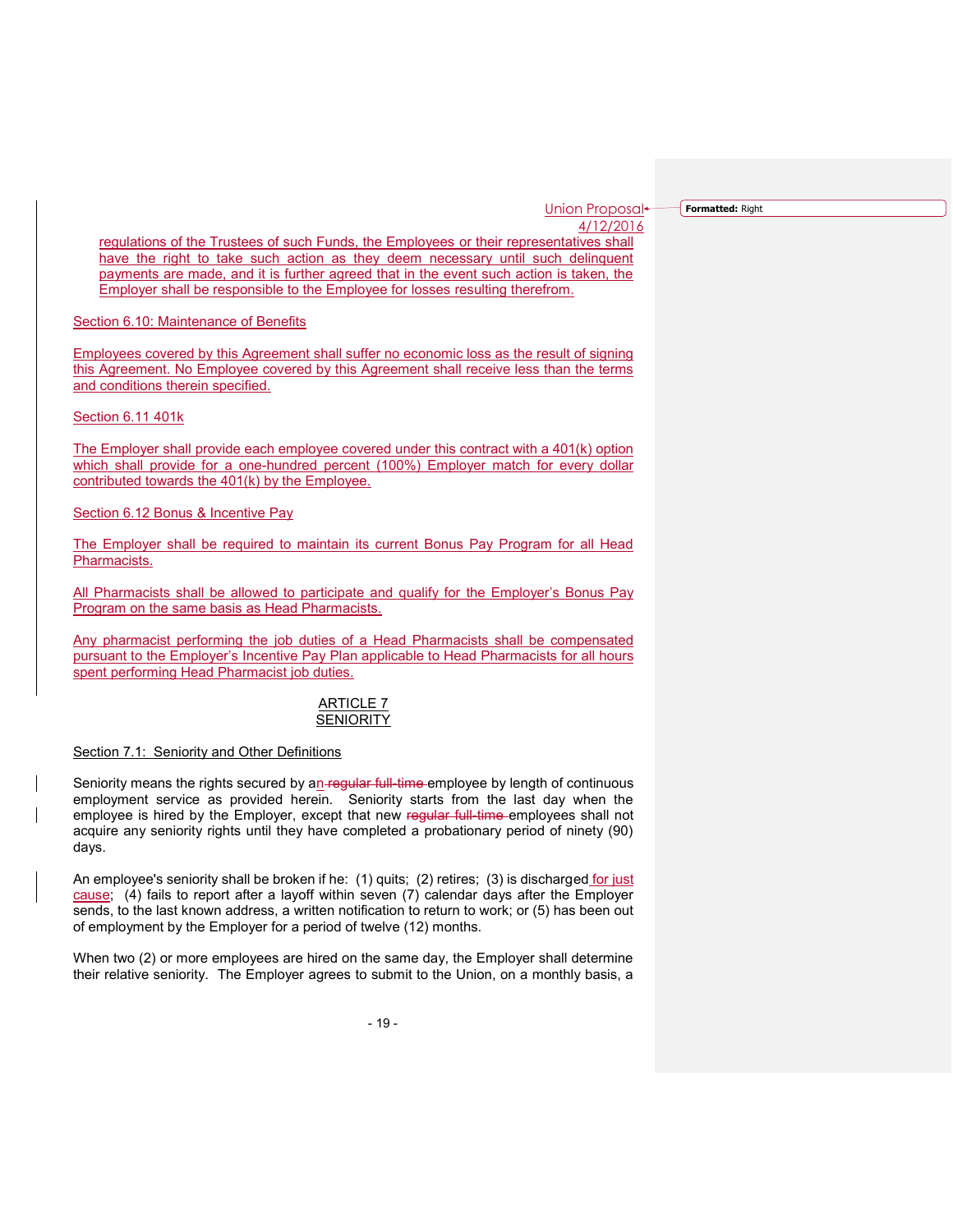**Formatted:** Right

regulations of the Trustees of such Funds, the Employees or their representatives shall have the right to take such action as they deem necessary until such delinquent payments are made, and it is further agreed that in the event such action is taken, the Employer shall be responsible to the Employee for losses resulting therefrom.

Section 6.10: Maintenance of Benefits

Employees covered by this Agreement shall suffer no economic loss as the result of signing this Agreement. No Employee covered by this Agreement shall receive less than the terms and conditions therein specified.

Section 6.11 401k

The Employer shall provide each employee covered under this contract with a 401(k) option which shall provide for a one-hundred percent (100%) Employer match for every dollar contributed towards the 401(k) by the Employee.

Section 6.12 Bonus & Incentive Pay

The Employer shall be required to maintain its current Bonus Pay Program for all Head Pharmacists.

All Pharmacists shall be allowed to participate and qualify for the Employer's Bonus Pay Program on the same basis as Head Pharmacists.

Any pharmacist performing the job duties of a Head Pharmacists shall be compensated pursuant to the Employer's Incentive Pay Plan applicable to Head Pharmacists for all hours spent performing Head Pharmacist job duties.

# ARTICLE 7 **SENIORITY**

## Section 7.1: Seniority and Other Definitions

Seniority means the rights secured by an-regular full-time employee by length of continuous employment service as provided herein. Seniority starts from the last day when the employee is hired by the Employer, except that new regular full time employees shall not acquire any seniority rights until they have completed a probationary period of ninety (90) days.

An employee's seniority shall be broken if he: (1) quits; (2) retires; (3) is discharged for just cause; (4) fails to report after a layoff within seven (7) calendar days after the Employer sends, to the last known address, a written notification to return to work; or (5) has been out of employment by the Employer for a period of twelve (12) months.

When two (2) or more employees are hired on the same day, the Employer shall determine their relative seniority. The Employer agrees to submit to the Union, on a monthly basis, a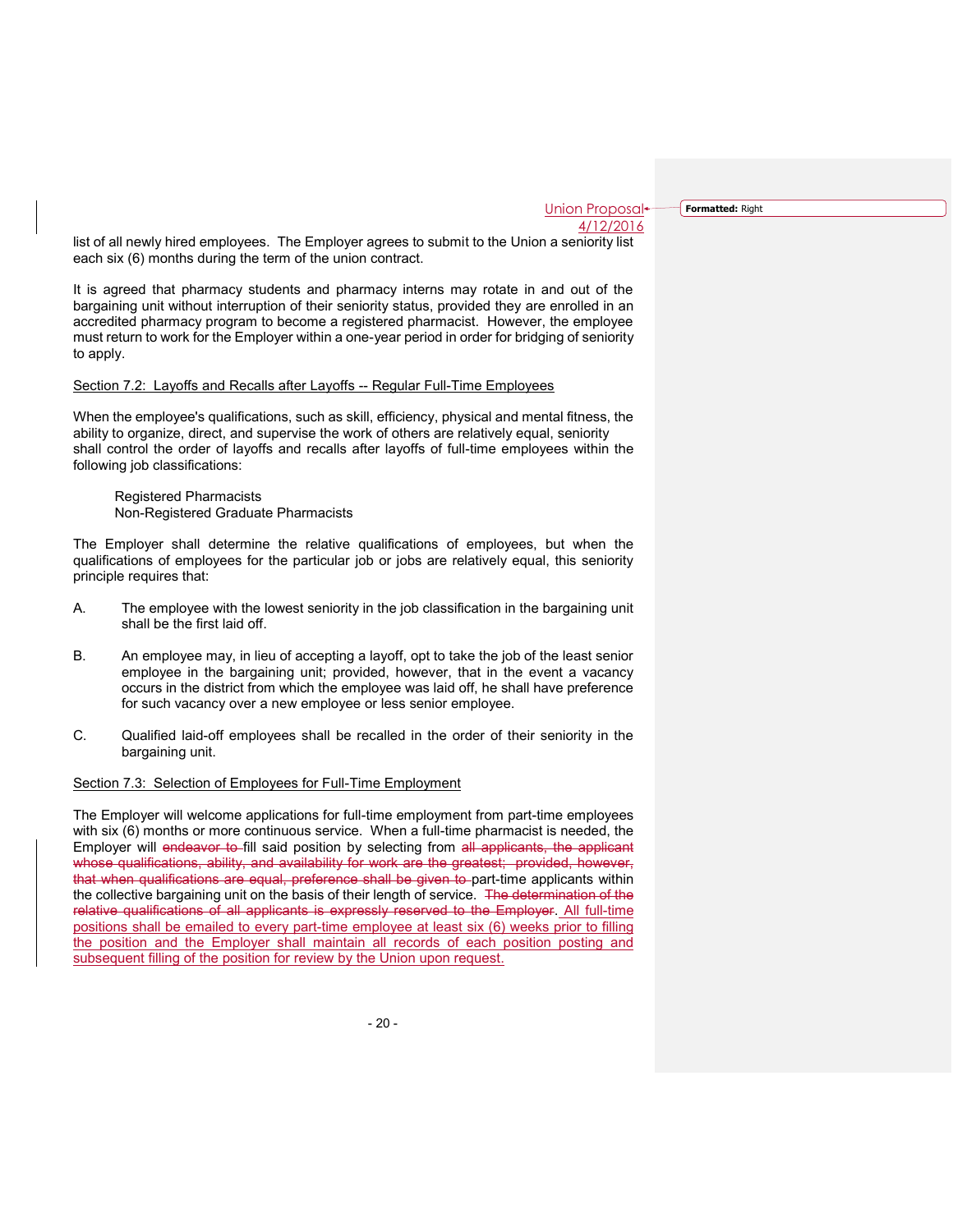**Formatted:** Right

list of all newly hired employees. The Employer agrees to submit to the Union a seniority list each six (6) months during the term of the union contract.

It is agreed that pharmacy students and pharmacy interns may rotate in and out of the bargaining unit without interruption of their seniority status, provided they are enrolled in an accredited pharmacy program to become a registered pharmacist. However, the employee must return to work for the Employer within a one-year period in order for bridging of seniority to apply.

## Section 7.2: Layoffs and Recalls after Layoffs -- Regular Full-Time Employees

When the employee's qualifications, such as skill, efficiency, physical and mental fitness, the ability to organize, direct, and supervise the work of others are relatively equal, seniority shall control the order of layoffs and recalls after layoffs of full-time employees within the following job classifications:

Registered Pharmacists Non-Registered Graduate Pharmacists

The Employer shall determine the relative qualifications of employees, but when the qualifications of employees for the particular job or jobs are relatively equal, this seniority principle requires that:

- A. The employee with the lowest seniority in the job classification in the bargaining unit shall be the first laid off.
- B. An employee may, in lieu of accepting a layoff, opt to take the job of the least senior employee in the bargaining unit; provided, however, that in the event a vacancy occurs in the district from which the employee was laid off, he shall have preference for such vacancy over a new employee or less senior employee.
- C. Qualified laid-off employees shall be recalled in the order of their seniority in the bargaining unit.

#### Section 7.3: Selection of Employees for Full-Time Employment

The Employer will welcome applications for full-time employment from part-time employees with six (6) months or more continuous service. When a full-time pharmacist is needed, the Employer will endeavor to fill said position by selecting from all applicants, the applicant whose qualifications, ability, and availability for work are the greatest; provided, however, that when qualifications are equal, preference shall be given to part-time applicants within the collective bargaining unit on the basis of their length of service. The determination of the relative qualifications of all applicants is expressly reserved to the Employer. All full-time positions shall be emailed to every part-time employee at least six (6) weeks prior to filling the position and the Employer shall maintain all records of each position posting and subsequent filling of the position for review by the Union upon request.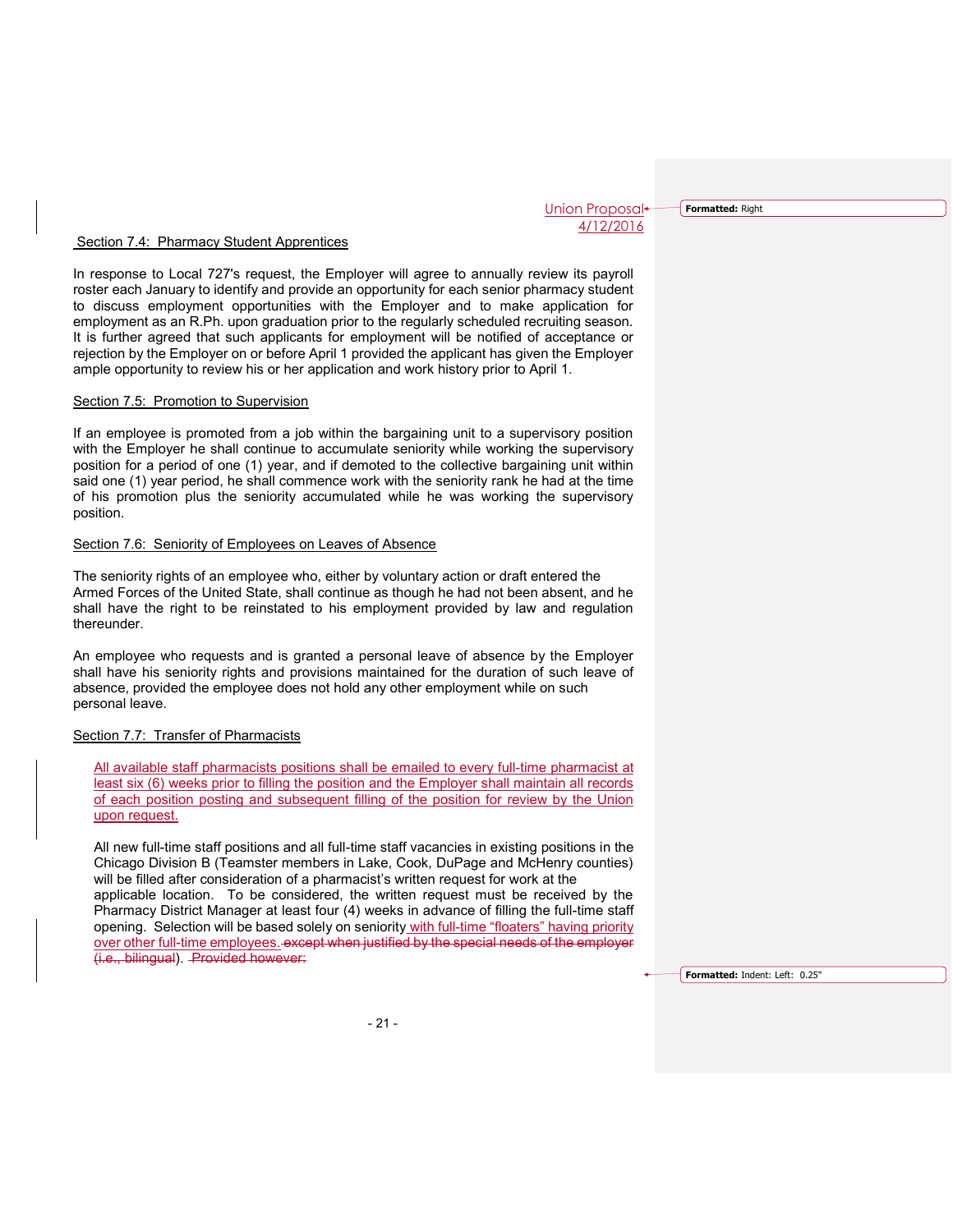**Formatted:** Right

#### Section 7.4: Pharmacy Student Apprentices

In response to Local 727's request, the Employer will agree to annually review its payroll roster each January to identify and provide an opportunity for each senior pharmacy student to discuss employment opportunities with the Employer and to make application for employment as an R.Ph. upon graduation prior to the regularly scheduled recruiting season. It is further agreed that such applicants for employment will be notified of acceptance or rejection by the Employer on or before April 1 provided the applicant has given the Employer ample opportunity to review his or her application and work history prior to April 1.

#### Section 7.5: Promotion to Supervision

If an employee is promoted from a job within the bargaining unit to a supervisory position with the Employer he shall continue to accumulate seniority while working the supervisory position for a period of one (1) year, and if demoted to the collective bargaining unit within said one (1) year period, he shall commence work with the seniority rank he had at the time of his promotion plus the seniority accumulated while he was working the supervisory position.

#### Section 7.6: Seniority of Employees on Leaves of Absence

The seniority rights of an employee who, either by voluntary action or draft entered the Armed Forces of the United State, shall continue as though he had not been absent, and he shall have the right to be reinstated to his employment provided by law and regulation thereunder.

An employee who requests and is granted a personal leave of absence by the Employer shall have his seniority rights and provisions maintained for the duration of such leave of absence, provided the employee does not hold any other employment while on such personal leave.

## Section 7.7: Transfer of Pharmacists

All available staff pharmacists positions shall be emailed to every full-time pharmacist at least six (6) weeks prior to filling the position and the Employer shall maintain all records of each position posting and subsequent filling of the position for review by the Union upon request.

All new full-time staff positions and all full-time staff vacancies in existing positions in the Chicago Division B (Teamster members in Lake, Cook, DuPage and McHenry counties) will be filled after consideration of a pharmacist's written request for work at the applicable location. To be considered, the written request must be received by the Pharmacy District Manager at least four (4) weeks in advance of filling the full-time staff opening. Selection will be based solely on seniority with full-time "floaters" having priority over other full-time employees. except when justified by the special needs of the employer (i.e., bilingual). Provided however:

**Formatted:** Indent: Left: 0.25"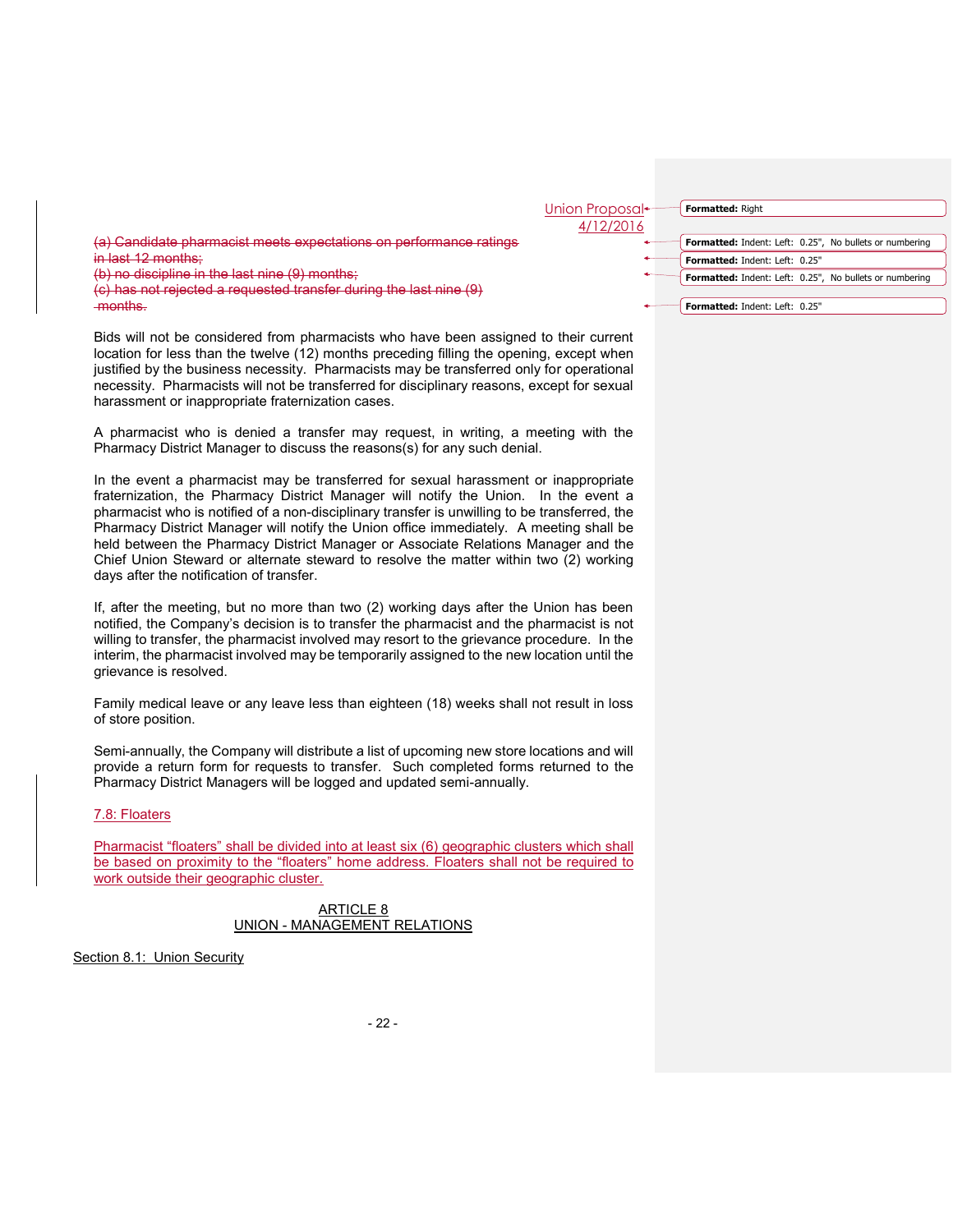

Bids will not be considered from pharmacists who have been assigned to their current location for less than the twelve (12) months preceding filling the opening, except when justified by the business necessity. Pharmacists may be transferred only for operational necessity. Pharmacists will not be transferred for disciplinary reasons, except for sexual harassment or inappropriate fraternization cases.

A pharmacist who is denied a transfer may request, in writing, a meeting with the Pharmacy District Manager to discuss the reasons(s) for any such denial.

In the event a pharmacist may be transferred for sexual harassment or inappropriate fraternization, the Pharmacy District Manager will notify the Union. In the event a pharmacist who is notified of a non-disciplinary transfer is unwilling to be transferred, the Pharmacy District Manager will notify the Union office immediately. A meeting shall be held between the Pharmacy District Manager or Associate Relations Manager and the Chief Union Steward or alternate steward to resolve the matter within two (2) working days after the notification of transfer.

If, after the meeting, but no more than two (2) working days after the Union has been notified, the Company's decision is to transfer the pharmacist and the pharmacist is not willing to transfer, the pharmacist involved may resort to the grievance procedure. In the interim, the pharmacist involved may be temporarily assigned to the new location until the grievance is resolved.

Family medical leave or any leave less than eighteen (18) weeks shall not result in loss of store position.

Semi-annually, the Company will distribute a list of upcoming new store locations and will provide a return form for requests to transfer. Such completed forms returned to the Pharmacy District Managers will be logged and updated semi-annually.

## 7.8: Floaters

Pharmacist "floaters" shall be divided into at least six (6) geographic clusters which shall be based on proximity to the "floaters" home address. Floaters shall not be required to work outside their geographic cluster.

> ARTICLE 8 UNION - MANAGEMENT RELATIONS

Section 8.1: Union Security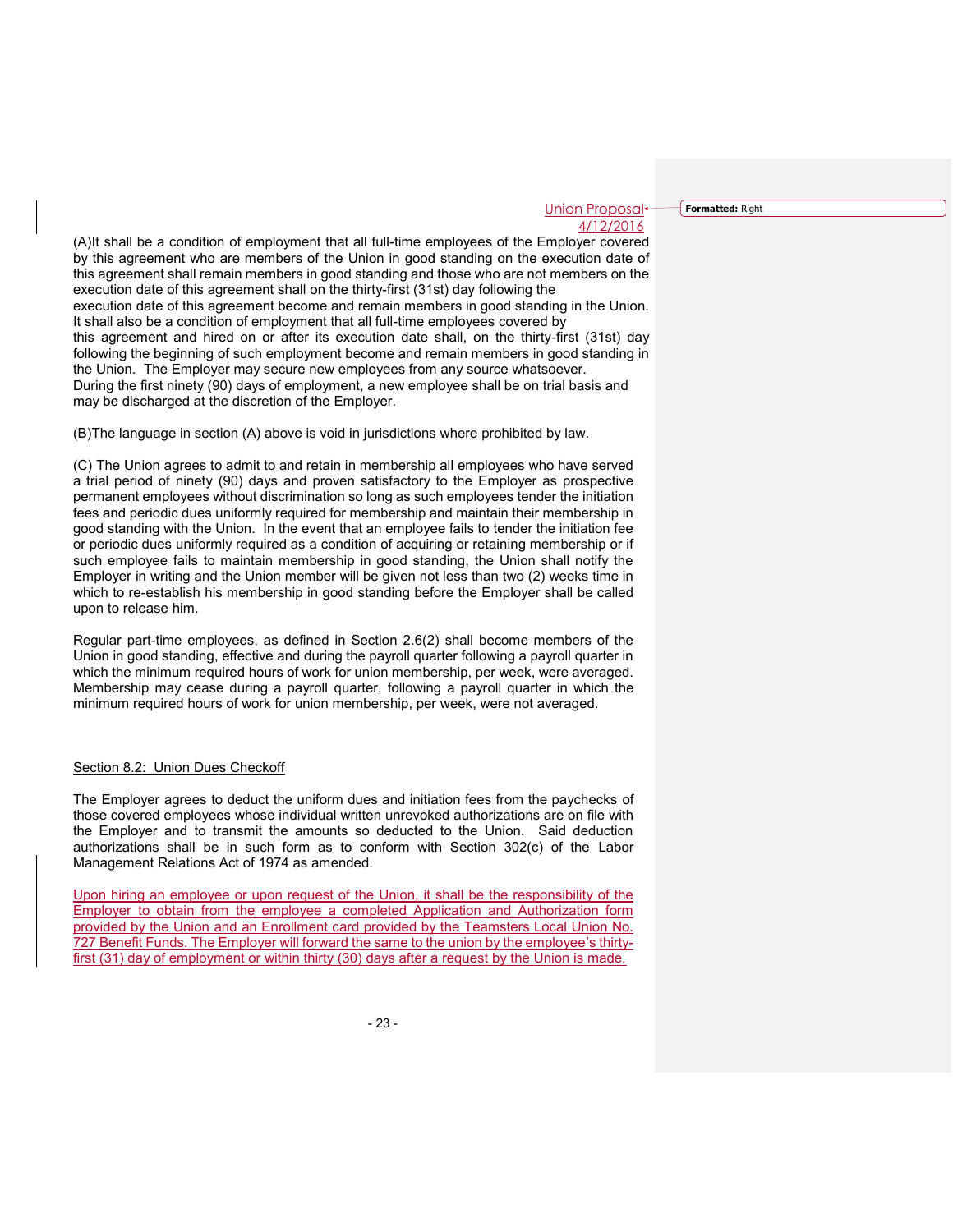**Formatted:** Right

(A)It shall be a condition of employment that all full-time employees of the Employer covered by this agreement who are members of the Union in good standing on the execution date of this agreement shall remain members in good standing and those who are not members on the execution date of this agreement shall on the thirty-first (31st) day following the execution date of this agreement become and remain members in good standing in the Union. It shall also be a condition of employment that all full-time employees covered by this agreement and hired on or after its execution date shall, on the thirty-first (31st) day following the beginning of such employment become and remain members in good standing in the Union. The Employer may secure new employees from any source whatsoever. During the first ninety (90) days of employment, a new employee shall be on trial basis and may be discharged at the discretion of the Employer.

(B)The language in section (A) above is void in jurisdictions where prohibited by law.

(C) The Union agrees to admit to and retain in membership all employees who have served a trial period of ninety (90) days and proven satisfactory to the Employer as prospective permanent employees without discrimination so long as such employees tender the initiation fees and periodic dues uniformly required for membership and maintain their membership in good standing with the Union. In the event that an employee fails to tender the initiation fee or periodic dues uniformly required as a condition of acquiring or retaining membership or if such employee fails to maintain membership in good standing, the Union shall notify the Employer in writing and the Union member will be given not less than two (2) weeks time in which to re-establish his membership in good standing before the Employer shall be called upon to release him.

Regular part-time employees, as defined in Section 2.6(2) shall become members of the Union in good standing, effective and during the payroll quarter following a payroll quarter in which the minimum required hours of work for union membership, per week, were averaged. Membership may cease during a payroll quarter, following a payroll quarter in which the minimum required hours of work for union membership, per week, were not averaged.

#### Section 8.2: Union Dues Checkoff

The Employer agrees to deduct the uniform dues and initiation fees from the paychecks of those covered employees whose individual written unrevoked authorizations are on file with the Employer and to transmit the amounts so deducted to the Union. Said deduction authorizations shall be in such form as to conform with Section 302(c) of the Labor Management Relations Act of 1974 as amended.

Upon hiring an employee or upon request of the Union, it shall be the responsibility of the Employer to obtain from the employee a completed Application and Authorization form provided by the Union and an Enrollment card provided by the Teamsters Local Union No. 727 Benefit Funds. The Employer will forward the same to the union by the employee's thirtyfirst (31) day of employment or within thirty (30) days after a request by the Union is made.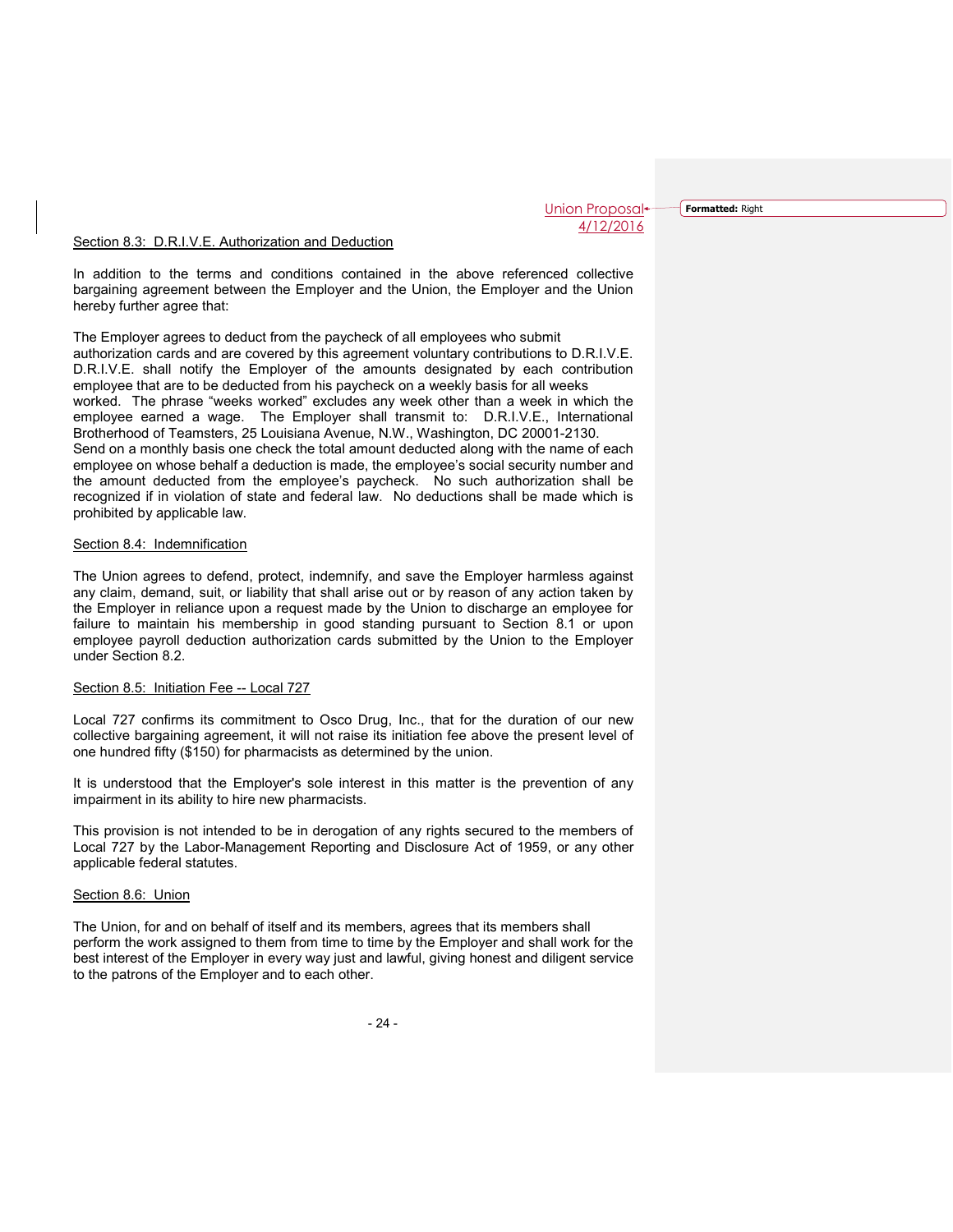**Formatted:** Right

#### Section 8.3: D.R.I.V.E. Authorization and Deduction

In addition to the terms and conditions contained in the above referenced collective bargaining agreement between the Employer and the Union, the Employer and the Union hereby further agree that:

The Employer agrees to deduct from the paycheck of all employees who submit authorization cards and are covered by this agreement voluntary contributions to D.R.I.V.E. D.R.I.V.E. shall notify the Employer of the amounts designated by each contribution employee that are to be deducted from his paycheck on a weekly basis for all weeks worked. The phrase "weeks worked" excludes any week other than a week in which the employee earned a wage. The Employer shall transmit to: D.R.I.V.E., International Brotherhood of Teamsters, 25 Louisiana Avenue, N.W., Washington, DC 20001-2130. Send on a monthly basis one check the total amount deducted along with the name of each employee on whose behalf a deduction is made, the employee's social security number and the amount deducted from the employee's paycheck. No such authorization shall be recognized if in violation of state and federal law. No deductions shall be made which is prohibited by applicable law.

#### Section 8.4: Indemnification

The Union agrees to defend, protect, indemnify, and save the Employer harmless against any claim, demand, suit, or liability that shall arise out or by reason of any action taken by the Employer in reliance upon a request made by the Union to discharge an employee for failure to maintain his membership in good standing pursuant to Section 8.1 or upon employee payroll deduction authorization cards submitted by the Union to the Employer under Section 8.2.

#### Section 8.5: Initiation Fee -- Local 727

Local 727 confirms its commitment to Osco Drug, Inc., that for the duration of our new collective bargaining agreement, it will not raise its initiation fee above the present level of one hundred fifty (\$150) for pharmacists as determined by the union.

It is understood that the Employer's sole interest in this matter is the prevention of any impairment in its ability to hire new pharmacists.

This provision is not intended to be in derogation of any rights secured to the members of Local 727 by the Labor-Management Reporting and Disclosure Act of 1959, or any other applicable federal statutes.

#### Section 8.6: Union

The Union, for and on behalf of itself and its members, agrees that its members shall perform the work assigned to them from time to time by the Employer and shall work for the best interest of the Employer in every way just and lawful, giving honest and diligent service to the patrons of the Employer and to each other.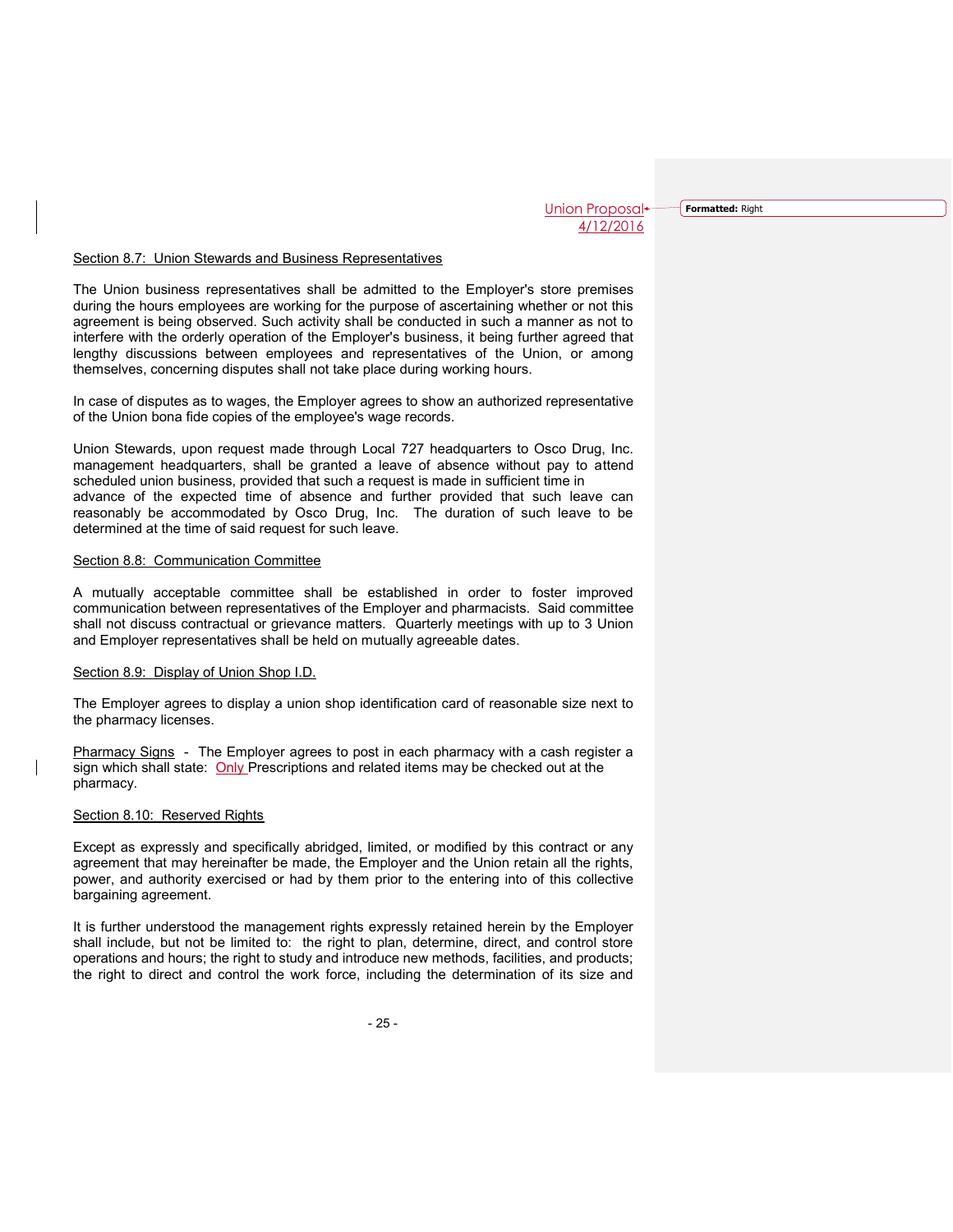**Formatted:** Right

#### Section 8.7: Union Stewards and Business Representatives

The Union business representatives shall be admitted to the Employer's store premises during the hours employees are working for the purpose of ascertaining whether or not this agreement is being observed. Such activity shall be conducted in such a manner as not to interfere with the orderly operation of the Employer's business, it being further agreed that lengthy discussions between employees and representatives of the Union, or among themselves, concerning disputes shall not take place during working hours.

In case of disputes as to wages, the Employer agrees to show an authorized representative of the Union bona fide copies of the employee's wage records.

Union Stewards, upon request made through Local 727 headquarters to Osco Drug, Inc. management headquarters, shall be granted a leave of absence without pay to attend scheduled union business, provided that such a request is made in sufficient time in advance of the expected time of absence and further provided that such leave can reasonably be accommodated by Osco Drug, Inc. The duration of such leave to be determined at the time of said request for such leave.

#### Section 8.8: Communication Committee

A mutually acceptable committee shall be established in order to foster improved communication between representatives of the Employer and pharmacists. Said committee shall not discuss contractual or grievance matters. Quarterly meetings with up to 3 Union and Employer representatives shall be held on mutually agreeable dates.

#### Section 8.9: Display of Union Shop I.D.

The Employer agrees to display a union shop identification card of reasonable size next to the pharmacy licenses.

Pharmacy Signs - The Employer agrees to post in each pharmacy with a cash register a sign which shall state: Only Prescriptions and related items may be checked out at the pharmacy.

## Section 8.10: Reserved Rights

Except as expressly and specifically abridged, limited, or modified by this contract or any agreement that may hereinafter be made, the Employer and the Union retain all the rights, power, and authority exercised or had by them prior to the entering into of this collective bargaining agreement.

It is further understood the management rights expressly retained herein by the Employer shall include, but not be limited to: the right to plan, determine, direct, and control store operations and hours; the right to study and introduce new methods, facilities, and products; the right to direct and control the work force, including the determination of its size and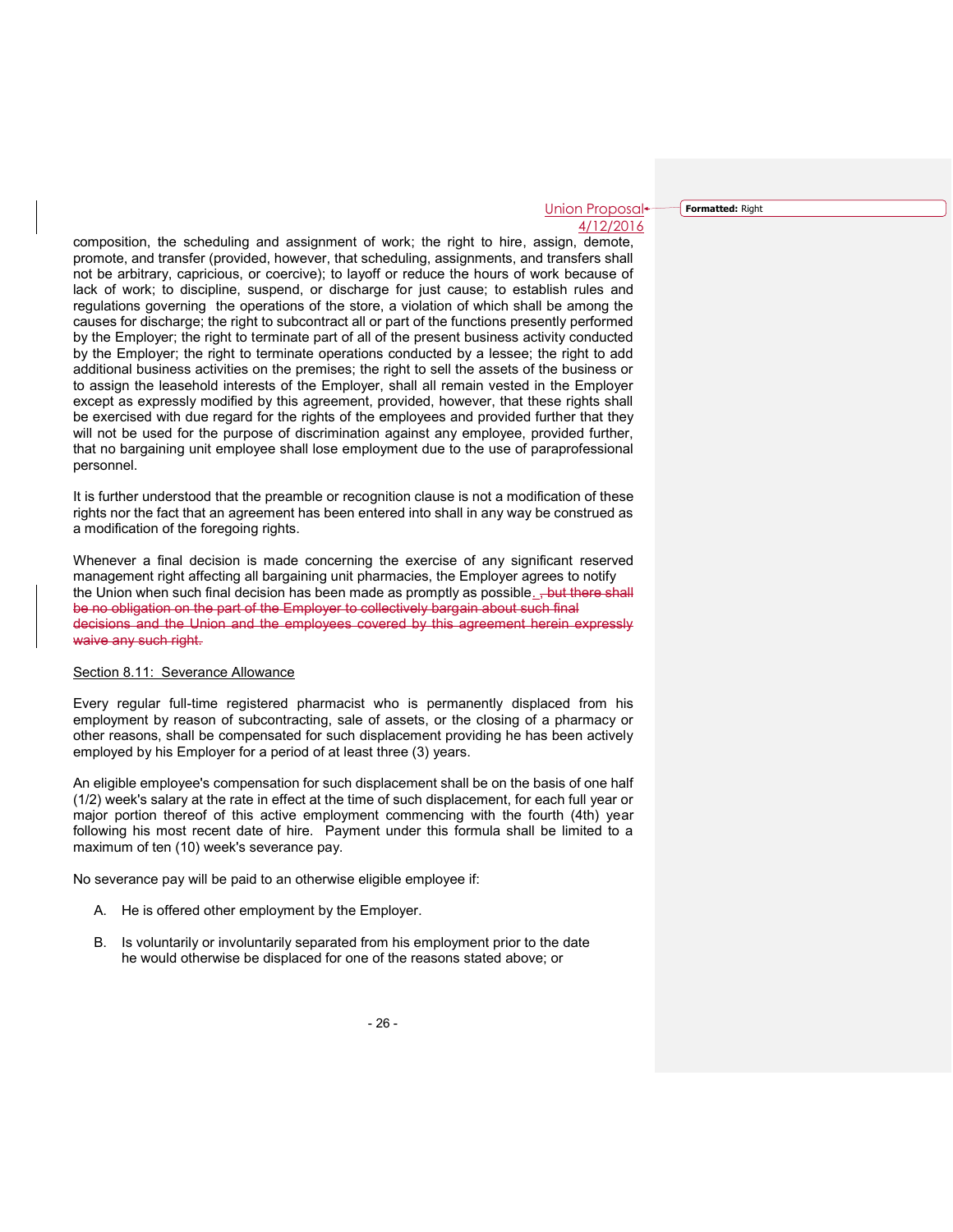Union Proposal 4/12/2016 **Formatted:** Right

composition, the scheduling and assignment of work; the right to hire, assign, demote, promote, and transfer (provided, however, that scheduling, assignments, and transfers shall not be arbitrary, capricious, or coercive); to layoff or reduce the hours of work because of lack of work; to discipline, suspend, or discharge for just cause; to establish rules and regulations governing the operations of the store, a violation of which shall be among the causes for discharge; the right to subcontract all or part of the functions presently performed by the Employer; the right to terminate part of all of the present business activity conducted by the Employer; the right to terminate operations conducted by a lessee; the right to add additional business activities on the premises; the right to sell the assets of the business or to assign the leasehold interests of the Employer, shall all remain vested in the Employer except as expressly modified by this agreement, provided, however, that these rights shall be exercised with due regard for the rights of the employees and provided further that they will not be used for the purpose of discrimination against any employee, provided further, that no bargaining unit employee shall lose employment due to the use of paraprofessional personnel.

It is further understood that the preamble or recognition clause is not a modification of these rights nor the fact that an agreement has been entered into shall in any way be construed as a modification of the foregoing rights.

Whenever a final decision is made concerning the exercise of any significant reserved management right affecting all bargaining unit pharmacies, the Employer agrees to notify the Union when such final decision has been made as promptly as possible. +but there shall be no obligation on the part of the Employer to collectively bargain about such final decisions and the Union and the employees covered by this agreement herein expressly waive any such right.

## Section 8.11: Severance Allowance

Every regular full-time registered pharmacist who is permanently displaced from his employment by reason of subcontracting, sale of assets, or the closing of a pharmacy or other reasons, shall be compensated for such displacement providing he has been actively employed by his Employer for a period of at least three (3) years.

An eligible employee's compensation for such displacement shall be on the basis of one half (1/2) week's salary at the rate in effect at the time of such displacement, for each full year or major portion thereof of this active employment commencing with the fourth (4th) year following his most recent date of hire. Payment under this formula shall be limited to a maximum of ten (10) week's severance pay.

No severance pay will be paid to an otherwise eligible employee if:

- A. He is offered other employment by the Employer.
- B. Is voluntarily or involuntarily separated from his employment prior to the date he would otherwise be displaced for one of the reasons stated above; or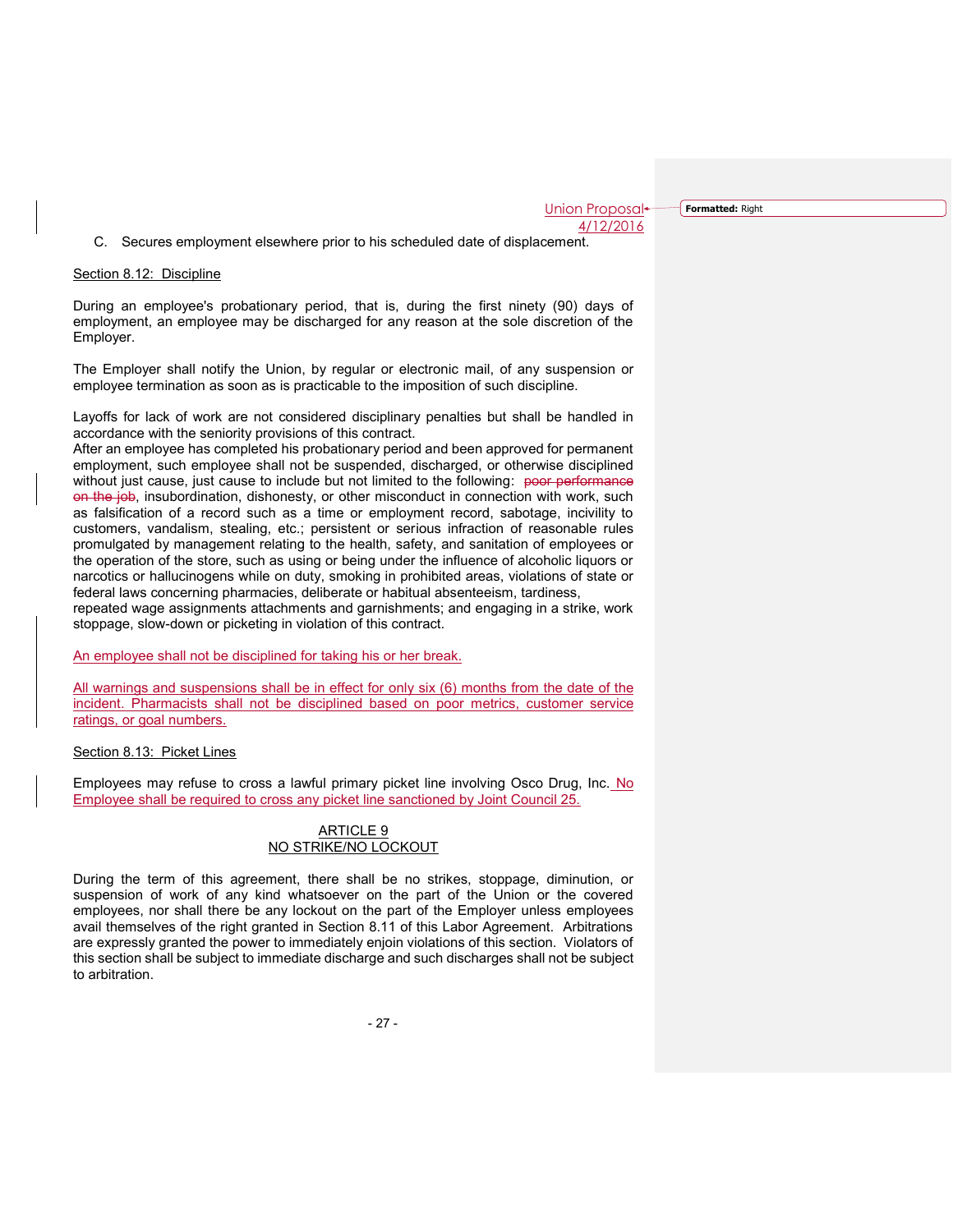**Formatted:** Right

C. Secures employment elsewhere prior to his scheduled date of displacement.

## Section 8.12: Discipline

During an employee's probationary period, that is, during the first ninety (90) days of employment, an employee may be discharged for any reason at the sole discretion of the Employer.

The Employer shall notify the Union, by regular or electronic mail, of any suspension or employee termination as soon as is practicable to the imposition of such discipline.

Layoffs for lack of work are not considered disciplinary penalties but shall be handled in accordance with the seniority provisions of this contract.

After an employee has completed his probationary period and been approved for permanent employment, such employee shall not be suspended, discharged, or otherwise disciplined without just cause, just cause to include but not limited to the following: poor performance on the job, insubordination, dishonesty, or other misconduct in connection with work, such as falsification of a record such as a time or employment record, sabotage, incivility to customers, vandalism, stealing, etc.; persistent or serious infraction of reasonable rules promulgated by management relating to the health, safety, and sanitation of employees or the operation of the store, such as using or being under the influence of alcoholic liquors or narcotics or hallucinogens while on duty, smoking in prohibited areas, violations of state or federal laws concerning pharmacies, deliberate or habitual absenteeism, tardiness,

repeated wage assignments attachments and garnishments; and engaging in a strike, work stoppage, slow-down or picketing in violation of this contract.

An employee shall not be disciplined for taking his or her break.

All warnings and suspensions shall be in effect for only six (6) months from the date of the incident. Pharmacists shall not be disciplined based on poor metrics, customer service ratings, or goal numbers.

## Section 8.13: Picket Lines

Employees may refuse to cross a lawful primary picket line involving Osco Drug, Inc. No Employee shall be required to cross any picket line sanctioned by Joint Council 25.

## ARTICLE 9 NO STRIKE/NO LOCKOUT

During the term of this agreement, there shall be no strikes, stoppage, diminution, or suspension of work of any kind whatsoever on the part of the Union or the covered employees, nor shall there be any lockout on the part of the Employer unless employees avail themselves of the right granted in Section 8.11 of this Labor Agreement. Arbitrations are expressly granted the power to immediately enjoin violations of this section. Violators of this section shall be subject to immediate discharge and such discharges shall not be subject to arbitration.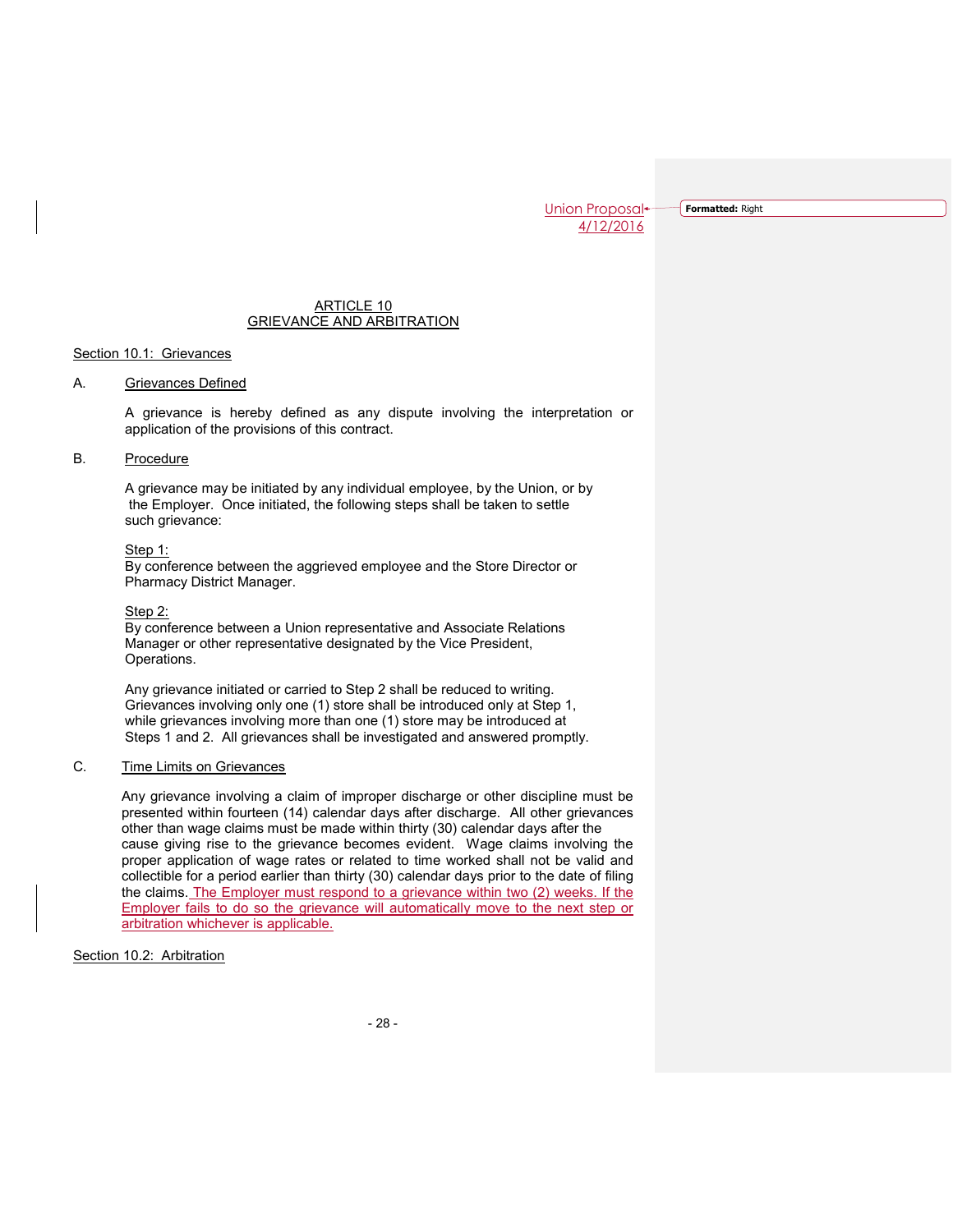**Formatted:** Right

## ARTICLE 10 GRIEVANCE AND ARBITRATION

## Section 10.1: Grievances

## A. Grievances Defined

A grievance is hereby defined as any dispute involving the interpretation or application of the provisions of this contract.

# B. Procedure

A grievance may be initiated by any individual employee, by the Union, or by the Employer. Once initiated, the following steps shall be taken to settle such grievance:

#### Step 1:

By conference between the aggrieved employee and the Store Director or Pharmacy District Manager.

#### Step 2:

By conference between a Union representative and Associate Relations Manager or other representative designated by the Vice President, Operations.

Any grievance initiated or carried to Step 2 shall be reduced to writing. Grievances involving only one (1) store shall be introduced only at Step 1, while grievances involving more than one (1) store may be introduced at Steps 1 and 2. All grievances shall be investigated and answered promptly.

# C. Time Limits on Grievances

Any grievance involving a claim of improper discharge or other discipline must be presented within fourteen (14) calendar days after discharge. All other grievances other than wage claims must be made within thirty (30) calendar days after the cause giving rise to the grievance becomes evident. Wage claims involving the proper application of wage rates or related to time worked shall not be valid and collectible for a period earlier than thirty (30) calendar days prior to the date of filing the claims. The Employer must respond to a grievance within two (2) weeks. If the Employer fails to do so the grievance will automatically move to the next step or arbitration whichever is applicable.

Section 10.2: Arbitration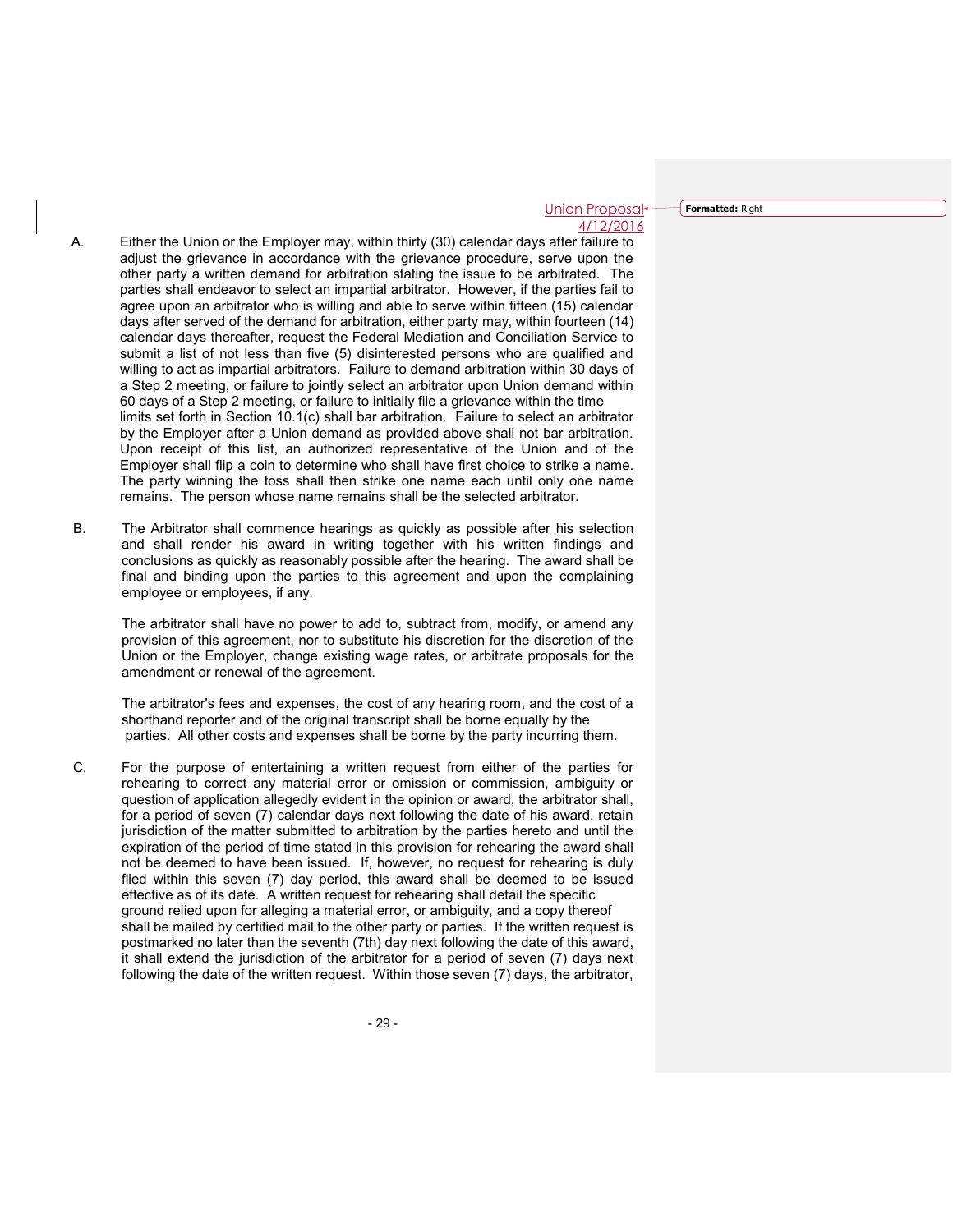Union Proposal 4/12/2016 **Formatted:** Right

- A. Either the Union or the Employer may, within thirty (30) calendar days after failure to adjust the grievance in accordance with the grievance procedure, serve upon the other party a written demand for arbitration stating the issue to be arbitrated. The parties shall endeavor to select an impartial arbitrator. However, if the parties fail to agree upon an arbitrator who is willing and able to serve within fifteen (15) calendar days after served of the demand for arbitration, either party may, within fourteen (14) calendar days thereafter, request the Federal Mediation and Conciliation Service to submit a list of not less than five (5) disinterested persons who are qualified and willing to act as impartial arbitrators. Failure to demand arbitration within 30 days of a Step 2 meeting, or failure to jointly select an arbitrator upon Union demand within 60 days of a Step 2 meeting, or failure to initially file a grievance within the time limits set forth in Section 10.1(c) shall bar arbitration. Failure to select an arbitrator by the Employer after a Union demand as provided above shall not bar arbitration. Upon receipt of this list, an authorized representative of the Union and of the Employer shall flip a coin to determine who shall have first choice to strike a name. The party winning the toss shall then strike one name each until only one name remains. The person whose name remains shall be the selected arbitrator.
- B. The Arbitrator shall commence hearings as quickly as possible after his selection and shall render his award in writing together with his written findings and conclusions as quickly as reasonably possible after the hearing. The award shall be final and binding upon the parties to this agreement and upon the complaining employee or employees, if any.

The arbitrator shall have no power to add to, subtract from, modify, or amend any provision of this agreement, nor to substitute his discretion for the discretion of the Union or the Employer, change existing wage rates, or arbitrate proposals for the amendment or renewal of the agreement.

The arbitrator's fees and expenses, the cost of any hearing room, and the cost of a shorthand reporter and of the original transcript shall be borne equally by the parties. All other costs and expenses shall be borne by the party incurring them.

C. For the purpose of entertaining a written request from either of the parties for rehearing to correct any material error or omission or commission, ambiguity or question of application allegedly evident in the opinion or award, the arbitrator shall, for a period of seven (7) calendar days next following the date of his award, retain jurisdiction of the matter submitted to arbitration by the parties hereto and until the expiration of the period of time stated in this provision for rehearing the award shall not be deemed to have been issued. If, however, no request for rehearing is duly filed within this seven (7) day period, this award shall be deemed to be issued effective as of its date. A written request for rehearing shall detail the specific ground relied upon for alleging a material error, or ambiguity, and a copy thereof shall be mailed by certified mail to the other party or parties. If the written request is postmarked no later than the seventh (7th) day next following the date of this award, it shall extend the jurisdiction of the arbitrator for a period of seven (7) days next following the date of the written request. Within those seven (7) days, the arbitrator,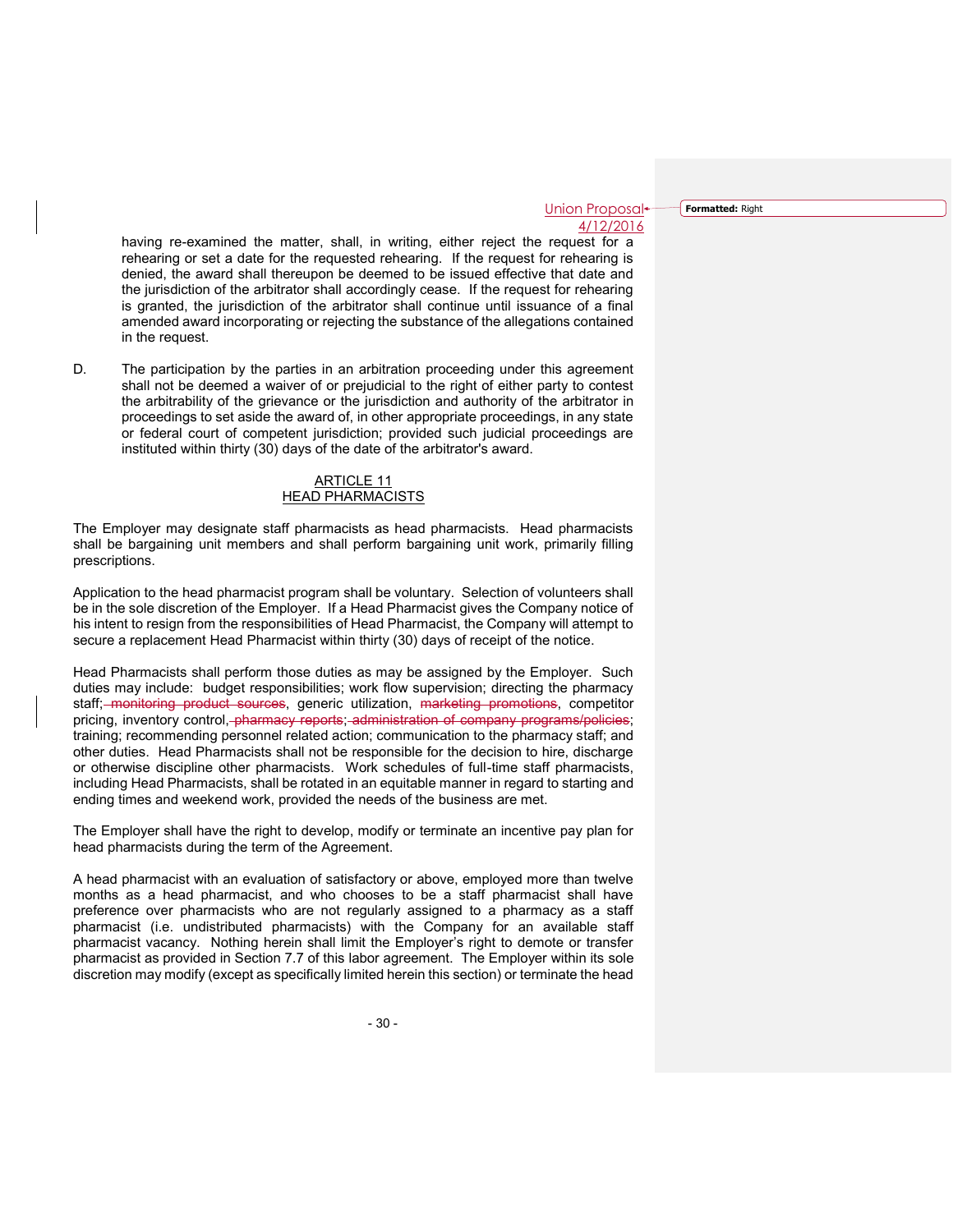**Formatted:** Right

having re-examined the matter, shall, in writing, either reject the request for a rehearing or set a date for the requested rehearing. If the request for rehearing is denied, the award shall thereupon be deemed to be issued effective that date and the jurisdiction of the arbitrator shall accordingly cease. If the request for rehearing is granted, the jurisdiction of the arbitrator shall continue until issuance of a final amended award incorporating or rejecting the substance of the allegations contained in the request.

D. The participation by the parties in an arbitration proceeding under this agreement shall not be deemed a waiver of or prejudicial to the right of either party to contest the arbitrability of the grievance or the jurisdiction and authority of the arbitrator in proceedings to set aside the award of, in other appropriate proceedings, in any state or federal court of competent jurisdiction; provided such judicial proceedings are instituted within thirty (30) days of the date of the arbitrator's award.

## ARTICLE 11 HEAD PHARMACISTS

The Employer may designate staff pharmacists as head pharmacists. Head pharmacists shall be bargaining unit members and shall perform bargaining unit work, primarily filling prescriptions.

Application to the head pharmacist program shall be voluntary. Selection of volunteers shall be in the sole discretion of the Employer. If a Head Pharmacist gives the Company notice of his intent to resign from the responsibilities of Head Pharmacist, the Company will attempt to secure a replacement Head Pharmacist within thirty (30) days of receipt of the notice.

Head Pharmacists shall perform those duties as may be assigned by the Employer. Such duties may include: budget responsibilities; work flow supervision; directing the pharmacy staff; monitoring product sources, generic utilization, marketing promotions, competitor pricing, inventory control, pharmacy reports; administration of company programs/policies; training; recommending personnel related action; communication to the pharmacy staff; and other duties. Head Pharmacists shall not be responsible for the decision to hire, discharge or otherwise discipline other pharmacists. Work schedules of full-time staff pharmacists, including Head Pharmacists, shall be rotated in an equitable manner in regard to starting and ending times and weekend work, provided the needs of the business are met.

The Employer shall have the right to develop, modify or terminate an incentive pay plan for head pharmacists during the term of the Agreement.

A head pharmacist with an evaluation of satisfactory or above, employed more than twelve months as a head pharmacist, and who chooses to be a staff pharmacist shall have preference over pharmacists who are not regularly assigned to a pharmacy as a staff pharmacist (i.e. undistributed pharmacists) with the Company for an available staff pharmacist vacancy. Nothing herein shall limit the Employer's right to demote or transfer pharmacist as provided in Section 7.7 of this labor agreement. The Employer within its sole discretion may modify (except as specifically limited herein this section) or terminate the head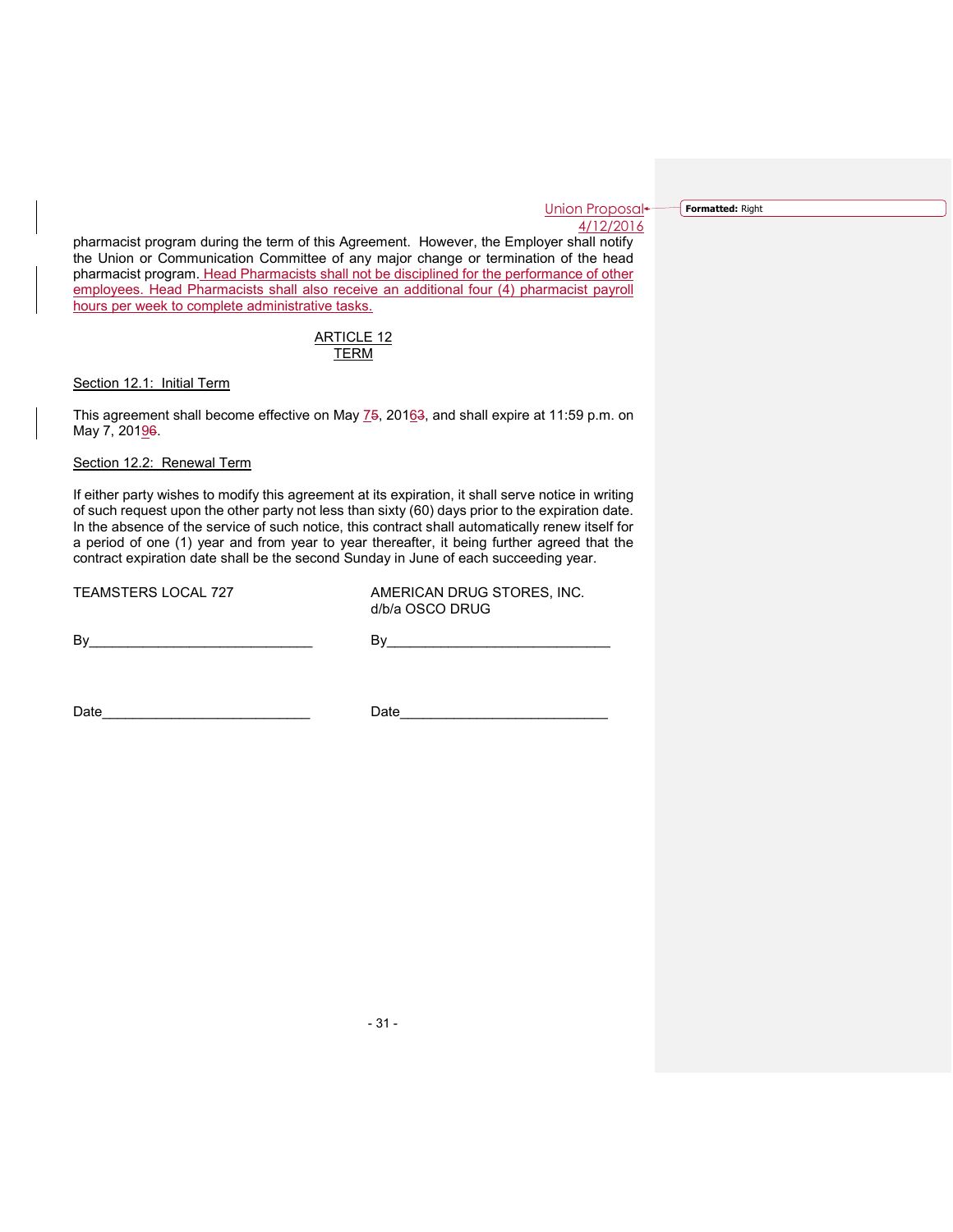**Formatted:** Right

pharmacist program during the term of this Agreement. However, the Employer shall notify the Union or Communication Committee of any major change or termination of the head pharmacist program. Head Pharmacists shall not be disciplined for the performance of other employees. Head Pharmacists shall also receive an additional four (4) pharmacist payroll hours per week to complete administrative tasks.

## ARTICLE 12 TERM

Section 12.1: Initial Term

This agreement shall become effective on May 75, 20163, and shall expire at 11:59 p.m. on May 7, 20196.

## Section 12.2: Renewal Term

If either party wishes to modify this agreement at its expiration, it shall serve notice in writing of such request upon the other party not less than sixty (60) days prior to the expiration date. In the absence of the service of such notice, this contract shall automatically renew itself for a period of one (1) year and from year to year thereafter, it being further agreed that the contract expiration date shall be the second Sunday in June of each succeeding year.

TEAMSTERS LOCAL 727 AMERICAN DRUG STORES, INC. d/b/a OSCO DRUG

By\_\_\_\_\_\_\_\_\_\_\_\_\_\_\_\_\_\_\_\_\_\_\_\_\_\_\_\_\_ By\_\_\_\_\_\_\_\_\_\_\_\_\_\_\_\_\_\_\_\_\_\_\_\_\_\_\_\_\_

Date\_\_\_\_\_\_\_\_\_\_\_\_\_\_\_\_\_\_\_\_\_\_\_\_\_\_\_ Date\_\_\_\_\_\_\_\_\_\_\_\_\_\_\_\_\_\_\_\_\_\_\_\_\_\_\_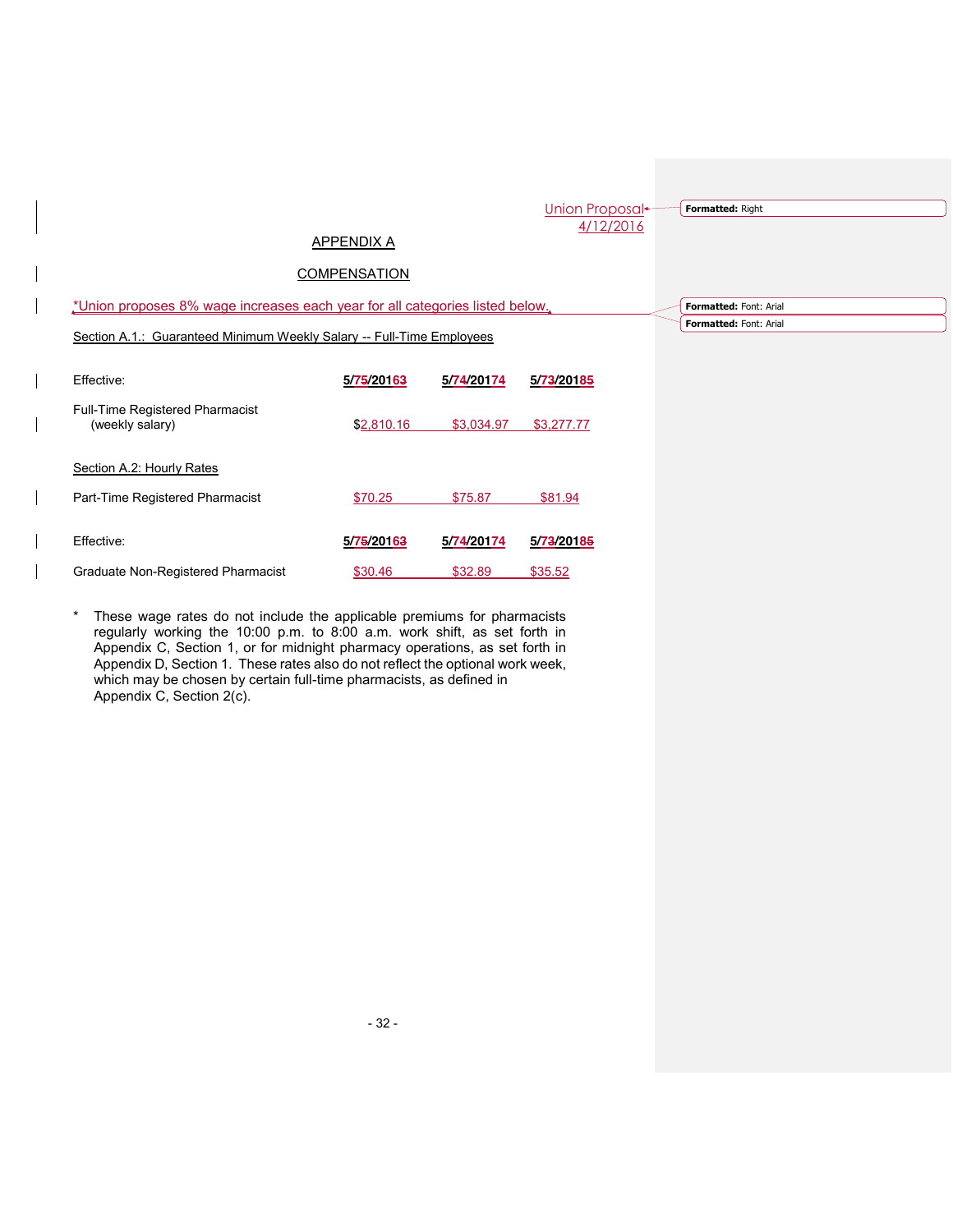|            |                                   |                                                                       |                                                                              | Formatted: Right            |
|------------|-----------------------------------|-----------------------------------------------------------------------|------------------------------------------------------------------------------|-----------------------------|
|            |                                   |                                                                       |                                                                              | Formatted: Font: Arial      |
|            |                                   |                                                                       |                                                                              | Formatted: Font: Arial      |
| 5/75/20163 | 5/74/20174                        | 5/73/20185                                                            |                                                                              |                             |
|            |                                   |                                                                       |                                                                              |                             |
| \$2,810.16 | \$3,034.97                        | \$3,277.77                                                            |                                                                              |                             |
|            |                                   |                                                                       |                                                                              |                             |
|            | APPENDIX A<br><b>COMPENSATION</b> | Section A.1.: Guaranteed Minimum Weekly Salary -- Full-Time Employees | *Union proposes 8% wage increases each year for all categories listed below. | Union Proposal<br>4/12/2016 |

Effective: **5/75/20163 5/74/20174 5/73/20185** Graduate Non-Registered Pharmacist  $$30.46$  \$32.89 \$35.52

\* These wage rates do not include the applicable premiums for pharmacists regularly working the 10:00 p.m. to 8:00 a.m. work shift, as set forth in Appendix C, Section 1, or for midnight pharmacy operations, as set forth in Appendix D, Section 1. These rates also do not reflect the optional work week, which may be chosen by certain full-time pharmacists, as defined in Appendix C, Section 2(c).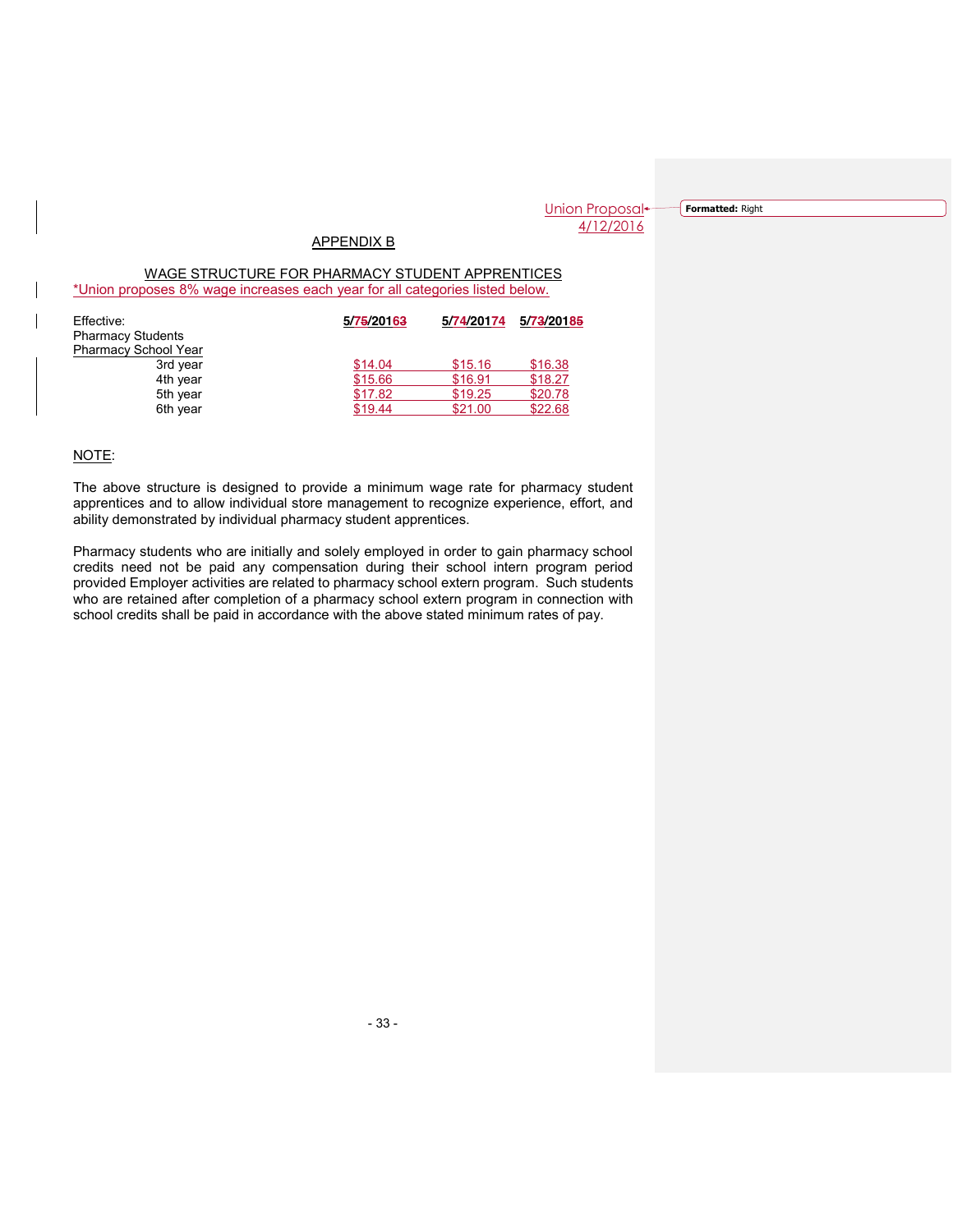Union Proposal<sup>+</sup> 4/12/2016

**Formatted:** Right

# APPENDIX B

WAGE STRUCTURE FOR PHARMACY STUDENT APPRENTICES \*Union proposes 8% wage increases each year for all categories listed below.

| Effective:                  | 5/75/20163 | 5/74/20174 | 5/73/20185 |
|-----------------------------|------------|------------|------------|
| <b>Pharmacy Students</b>    |            |            |            |
| <b>Pharmacy School Year</b> |            |            |            |
| 3rd year                    | \$14.04    | \$15.16    | \$16.38    |
| 4th year                    | \$15.66    | \$16.91    | \$18.27    |
| 5th year                    | \$17.82    | \$19.25    | \$20.78    |
| 6th year                    | \$19.44    | \$21.00    | \$22.68    |

NOTE:

The above structure is designed to provide a minimum wage rate for pharmacy student apprentices and to allow individual store management to recognize experience, effort, and ability demonstrated by individual pharmacy student apprentices.

Pharmacy students who are initially and solely employed in order to gain pharmacy school credits need not be paid any compensation during their school intern program period provided Employer activities are related to pharmacy school extern program. Such students who are retained after completion of a pharmacy school extern program in connection with school credits shall be paid in accordance with the above stated minimum rates of pay.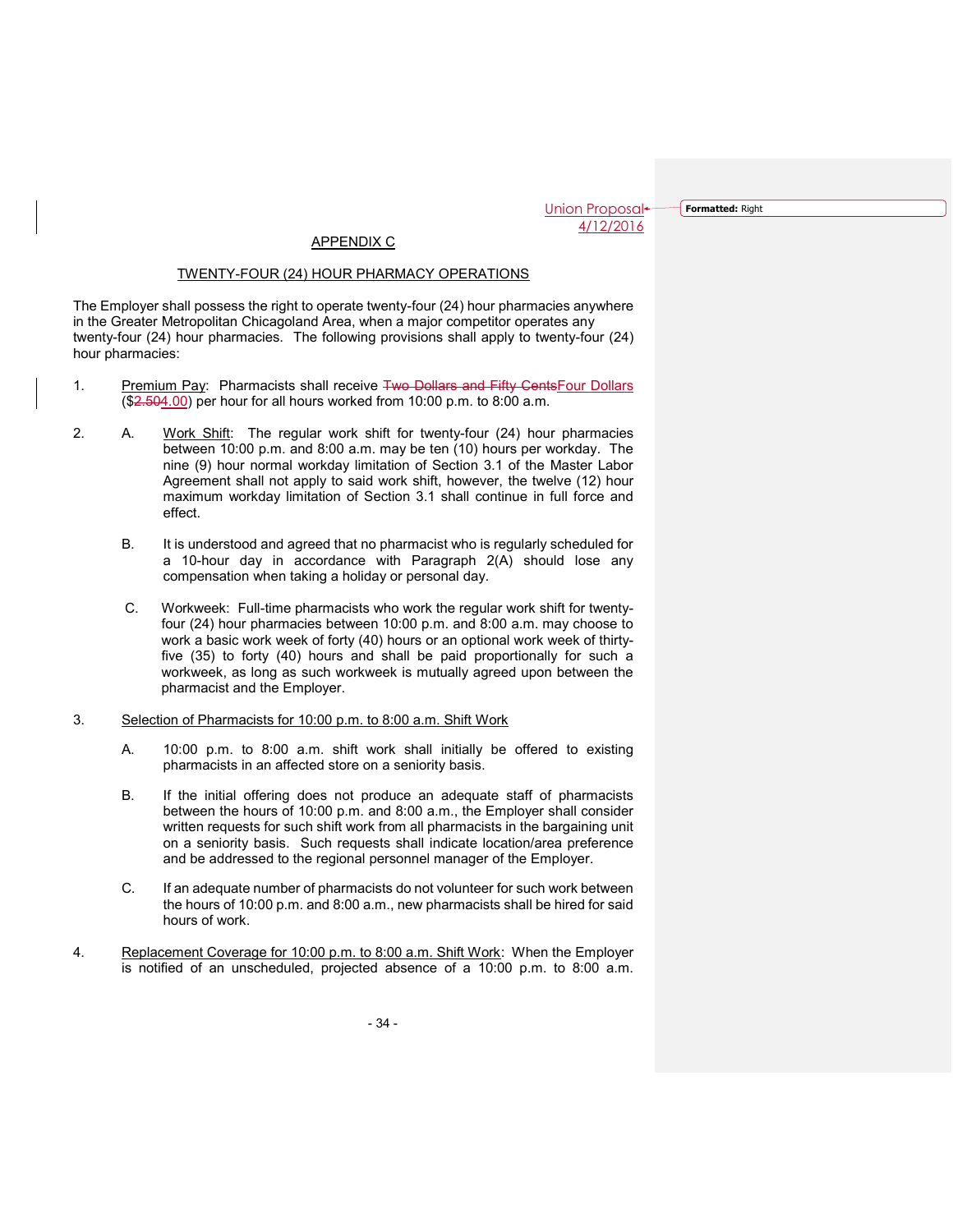**Formatted:** Right

# APPENDIX C

## TWENTY-FOUR (24) HOUR PHARMACY OPERATIONS

The Employer shall possess the right to operate twenty-four (24) hour pharmacies anywhere in the Greater Metropolitan Chicagoland Area, when a major competitor operates any twenty-four (24) hour pharmacies. The following provisions shall apply to twenty-four (24) hour pharmacies:

- 1. Premium Pay: Pharmacists shall receive Two Dollars and Fifty Cents Four Dollars (\$2.504.00) per hour for all hours worked from 10:00 p.m. to 8:00 a.m.
- 2. A. Work Shift: The regular work shift for twenty-four (24) hour pharmacies between 10:00 p.m. and 8:00 a.m. may be ten (10) hours per workday. The nine (9) hour normal workday limitation of Section 3.1 of the Master Labor Agreement shall not apply to said work shift, however, the twelve (12) hour maximum workday limitation of Section 3.1 shall continue in full force and effect.
	- B. It is understood and agreed that no pharmacist who is regularly scheduled for a 10-hour day in accordance with Paragraph 2(A) should lose any compensation when taking a holiday or personal day.
	- C. Workweek: Full-time pharmacists who work the regular work shift for twentyfour (24) hour pharmacies between 10:00 p.m. and 8:00 a.m. may choose to work a basic work week of forty (40) hours or an optional work week of thirtyfive (35) to forty (40) hours and shall be paid proportionally for such a workweek, as long as such workweek is mutually agreed upon between the pharmacist and the Employer.
- 3. Selection of Pharmacists for 10:00 p.m. to 8:00 a.m. Shift Work
	- A. 10:00 p.m. to 8:00 a.m. shift work shall initially be offered to existing pharmacists in an affected store on a seniority basis.
	- B. If the initial offering does not produce an adequate staff of pharmacists between the hours of 10:00 p.m. and 8:00 a.m., the Employer shall consider written requests for such shift work from all pharmacists in the bargaining unit on a seniority basis. Such requests shall indicate location/area preference and be addressed to the regional personnel manager of the Employer.
	- C. If an adequate number of pharmacists do not volunteer for such work between the hours of 10:00 p.m. and 8:00 a.m., new pharmacists shall be hired for said hours of work.
- 4. Replacement Coverage for 10:00 p.m. to 8:00 a.m. Shift Work: When the Employer is notified of an unscheduled, projected absence of a 10:00 p.m. to 8:00 a.m.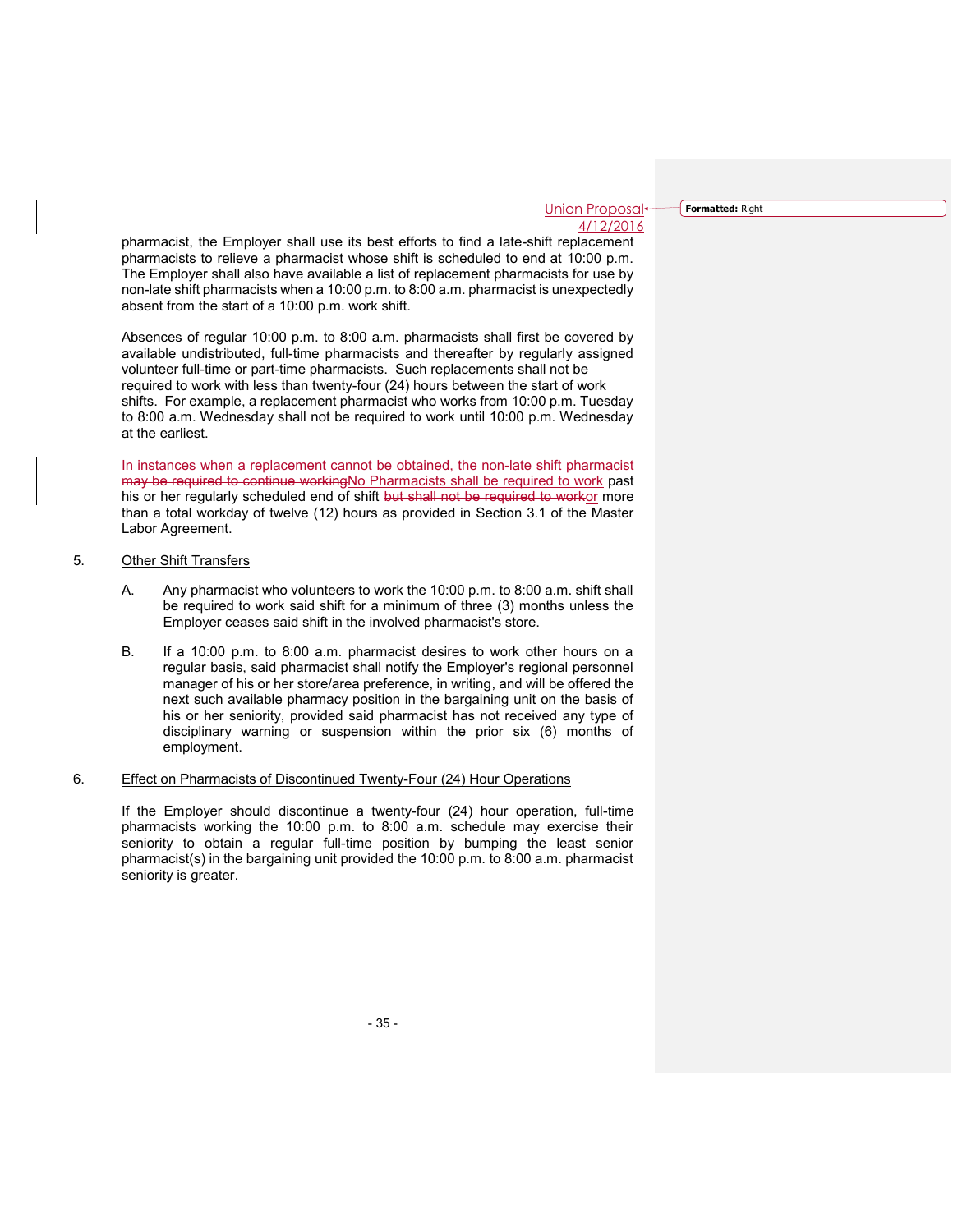**Formatted:** Right

pharmacist, the Employer shall use its best efforts to find a late-shift replacement pharmacists to relieve a pharmacist whose shift is scheduled to end at 10:00 p.m. The Employer shall also have available a list of replacement pharmacists for use by non-late shift pharmacists when a 10:00 p.m. to 8:00 a.m. pharmacist is unexpectedly absent from the start of a 10:00 p.m. work shift.

Absences of regular 10:00 p.m. to 8:00 a.m. pharmacists shall first be covered by available undistributed, full-time pharmacists and thereafter by regularly assigned volunteer full-time or part-time pharmacists. Such replacements shall not be required to work with less than twenty-four (24) hours between the start of work shifts. For example, a replacement pharmacist who works from 10:00 p.m. Tuesday to 8:00 a.m. Wednesday shall not be required to work until 10:00 p.m. Wednesday at the earliest.

In instances when a replacement cannot be obtained, the non-late shift pharmacist may be required to continue workingNo Pharmacists shall be required to work past his or her regularly scheduled end of shift but shall not be required to workor more than a total workday of twelve (12) hours as provided in Section 3.1 of the Master Labor Agreement.

## 5. Other Shift Transfers

- A. Any pharmacist who volunteers to work the 10:00 p.m. to 8:00 a.m. shift shall be required to work said shift for a minimum of three (3) months unless the Employer ceases said shift in the involved pharmacist's store.
- B. If a 10:00 p.m. to 8:00 a.m. pharmacist desires to work other hours on a regular basis, said pharmacist shall notify the Employer's regional personnel manager of his or her store/area preference, in writing, and will be offered the next such available pharmacy position in the bargaining unit on the basis of his or her seniority, provided said pharmacist has not received any type of disciplinary warning or suspension within the prior six (6) months of employment.

#### 6. Effect on Pharmacists of Discontinued Twenty-Four (24) Hour Operations

If the Employer should discontinue a twenty-four (24) hour operation, full-time pharmacists working the 10:00 p.m. to 8:00 a.m. schedule may exercise their seniority to obtain a regular full-time position by bumping the least senior pharmacist(s) in the bargaining unit provided the 10:00 p.m. to 8:00 a.m. pharmacist seniority is greater.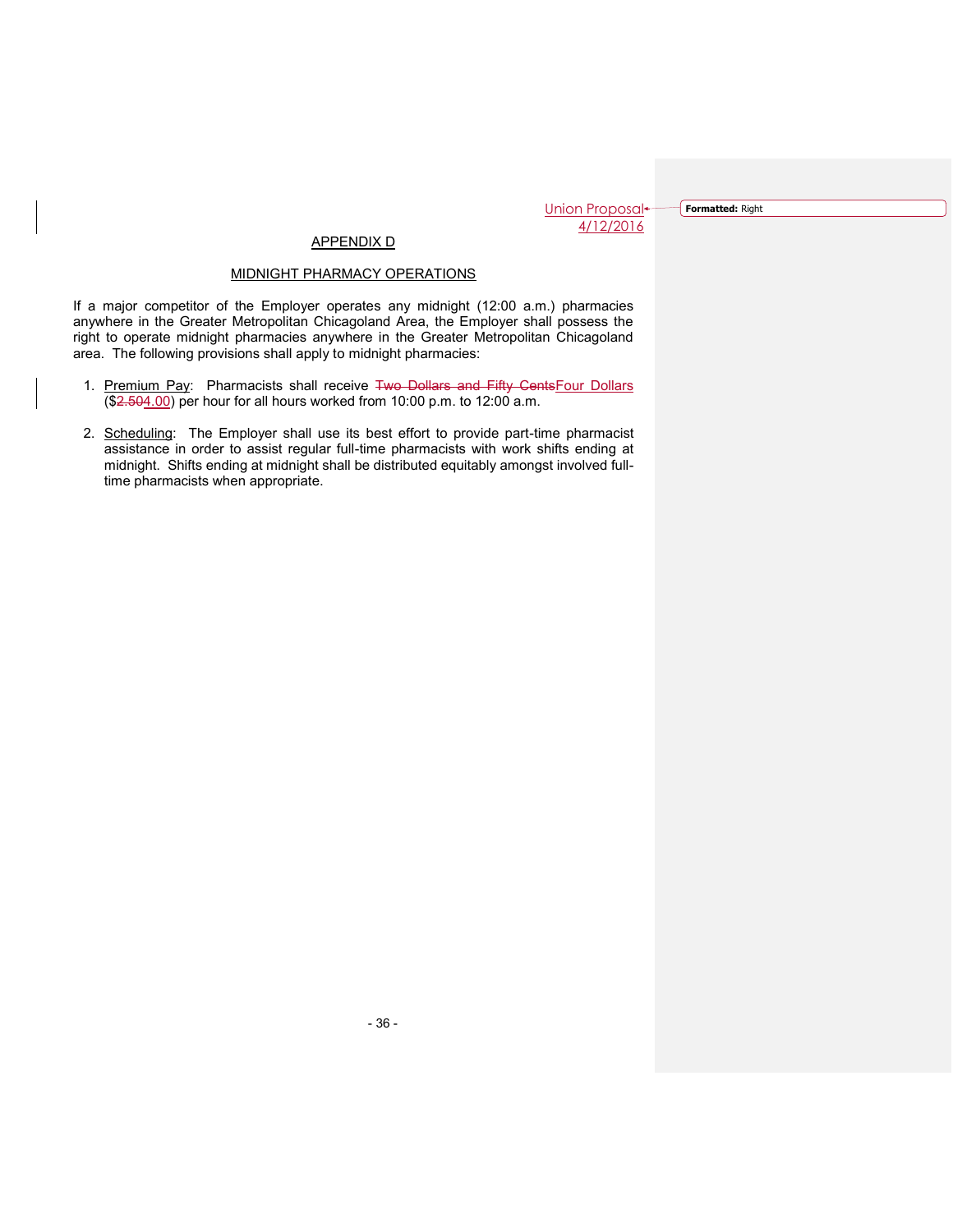**Formatted:** Right

# APPENDIX D

## MIDNIGHT PHARMACY OPERATIONS

If a major competitor of the Employer operates any midnight (12:00 a.m.) pharmacies anywhere in the Greater Metropolitan Chicagoland Area, the Employer shall possess the right to operate midnight pharmacies anywhere in the Greater Metropolitan Chicagoland area. The following provisions shall apply to midnight pharmacies:

- 1. Premium Pay: Pharmacists shall receive Two Dollars and Fifty CentsFour Dollars (\$2.504.00) per hour for all hours worked from 10:00 p.m. to 12:00 a.m.
- 2. Scheduling: The Employer shall use its best effort to provide part-time pharmacist assistance in order to assist regular full-time pharmacists with work shifts ending at midnight. Shifts ending at midnight shall be distributed equitably amongst involved fulltime pharmacists when appropriate.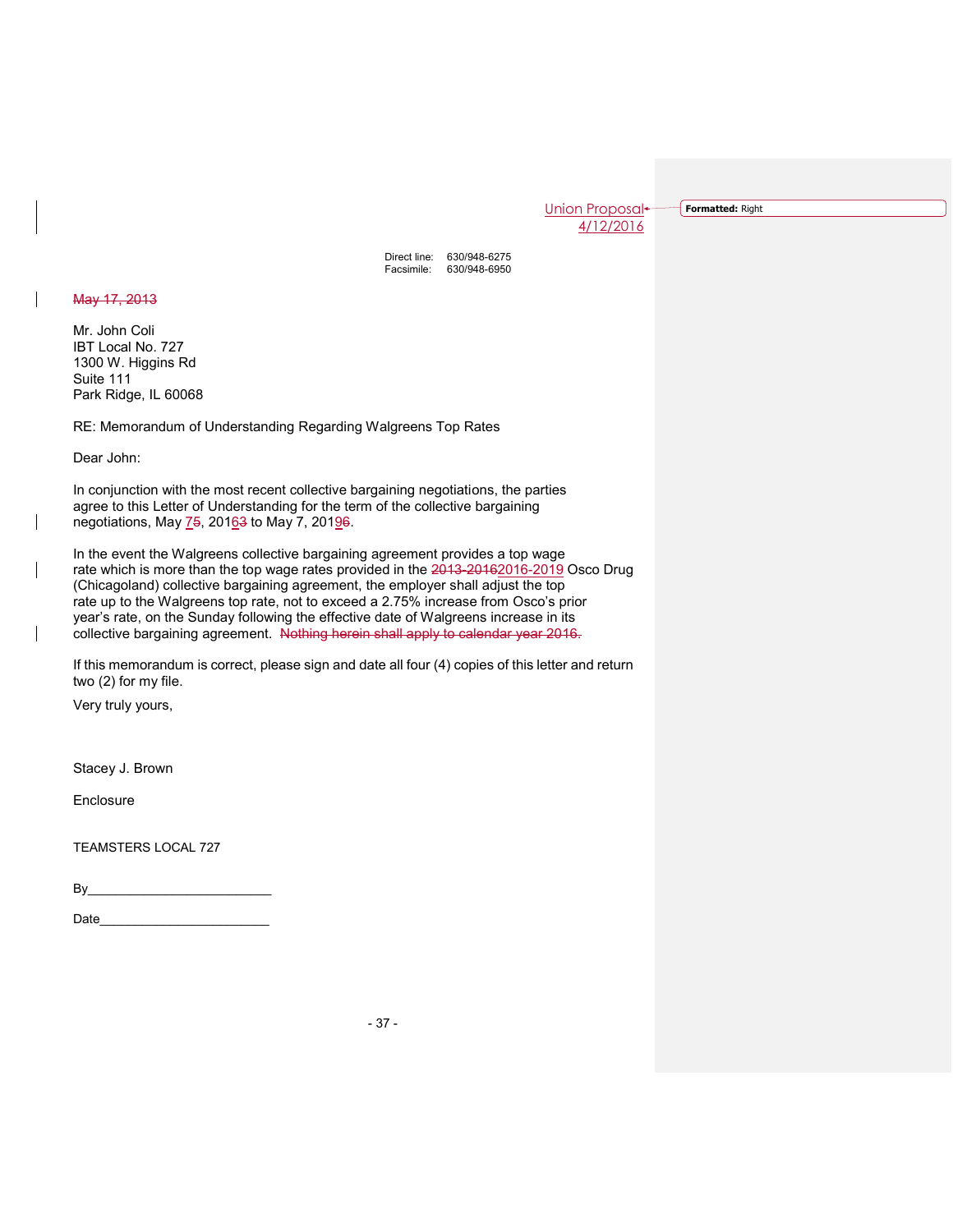**Formatted:** Right

Direct line: 630/948-6275 Facsimile: 630/948-6950

May 17, 2013

Mr. John Coli IBT Local No. 727 1300 W. Higgins Rd Suite 111 Park Ridge, IL 60068

RE: Memorandum of Understanding Regarding Walgreens Top Rates

Dear John:

In conjunction with the most recent collective bargaining negotiations, the parties agree to this Letter of Understanding for the term of the collective bargaining negotiations, May 75, 20163 to May 7, 20196.

In the event the Walgreens collective bargaining agreement provides a top wage rate which is more than the top wage rates provided in the 2013-20162016-2019 Osco Drug (Chicagoland) collective bargaining agreement, the employer shall adjust the top rate up to the Walgreens top rate, not to exceed a 2.75% increase from Osco's prior year's rate, on the Sunday following the effective date of Walgreens increase in its collective bargaining agreement. Nothing herein shall apply to calendar year 2016.

If this memorandum is correct, please sign and date all four (4) copies of this letter and return two (2) for my file.

Very truly yours,

Stacey J. Brown

**Enclosure** 

TEAMSTERS LOCAL 727

By\_\_\_\_\_\_\_\_\_\_\_\_\_\_\_\_\_\_\_\_\_\_\_\_\_\_

Date\_\_\_\_\_\_\_\_\_\_\_\_\_\_\_\_\_\_\_\_\_\_\_\_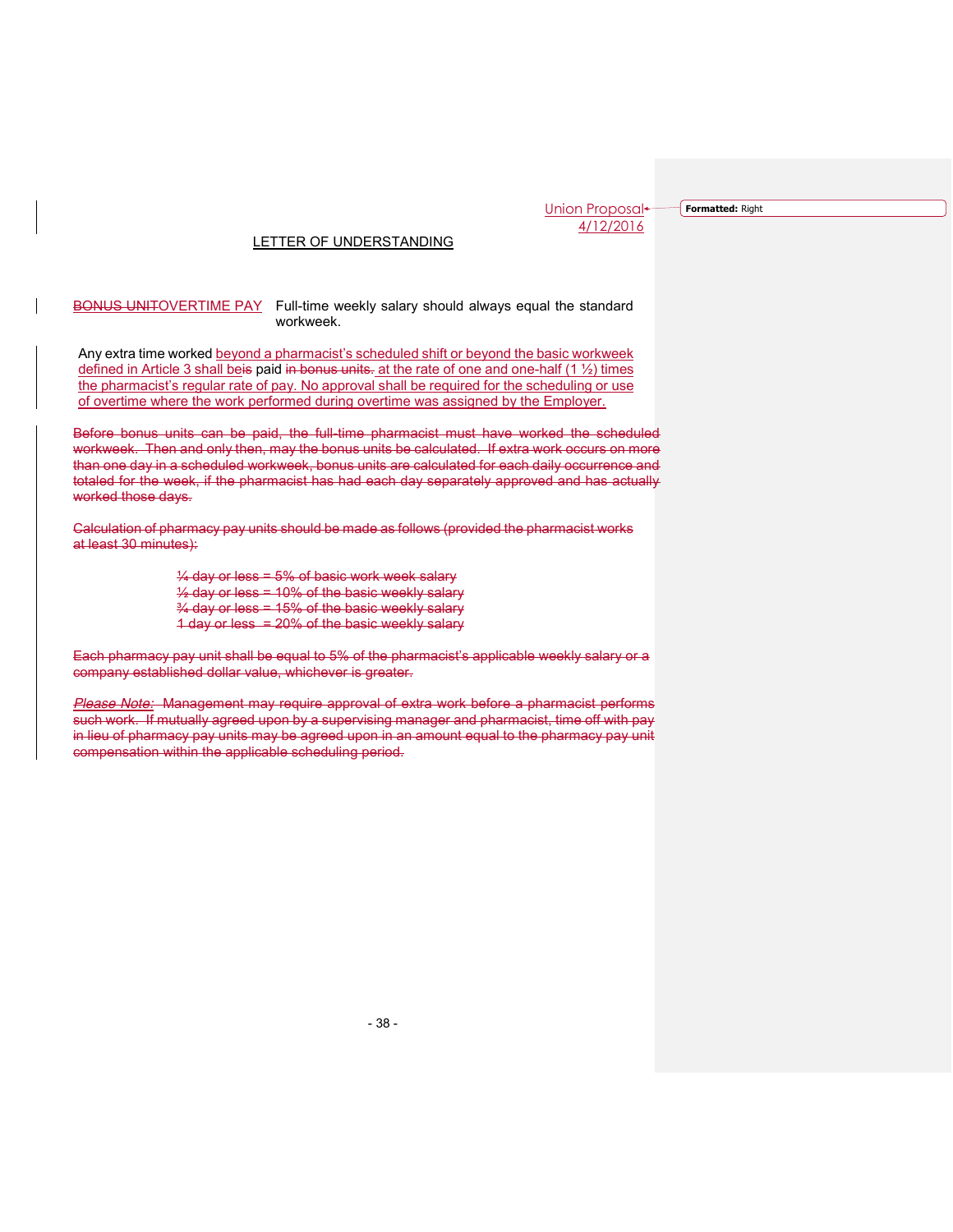**Formatted:** Right

## LETTER OF UNDERSTANDING

#### BONUS UNITOVERTIME PAY Full-time weekly salary should always equal the standard workweek.

 Any extra time worked beyond a pharmacist's scheduled shift or beyond the basic workweek defined in Article 3 shall beis paid in bonus units. at the rate of one and one-half  $(1 \frac{1}{2})$  times the pharmacist's regular rate of pay. No approval shall be required for the scheduling or use of overtime where the work performed during overtime was assigned by the Employer.

Before bonus units can be paid, the full-time pharmacist must have worked the scheduled workweek. Then and only then, may the bonus units be calculated. If extra work occurs on more than one day in a scheduled workweek, bonus units are calculated for each daily occurrence and totaled for the week, if the pharmacist has had each day separately approved and has actually worked those days.

Calculation of pharmacy pay units should be made as follows (provided the pharmacist works at least 30 minutes):

> $\frac{1}{4}$  day or less = 5% of basic work week salary  $\frac{1}{2}$  day or less = 10% of the basic weekly salary  $\frac{3}{4}$  day or less = 15% of the basic weekly salary 1 day or less = 20% of the basic weekly salary

Each pharmacy pay unit shall be equal to 5% of the pharmacist's applicable weekly salary or a company established dollar value, whichever is greater.

*Please Note:* Management may require approval of extra work before a pharmacist performs such work. If mutually agreed upon by a supervising manager and pharmacist, time off with pay in lieu of pharmacy pay units may be agreed upon in an amount equal to the pharmacy pay unit compensation within the applicable scheduling period.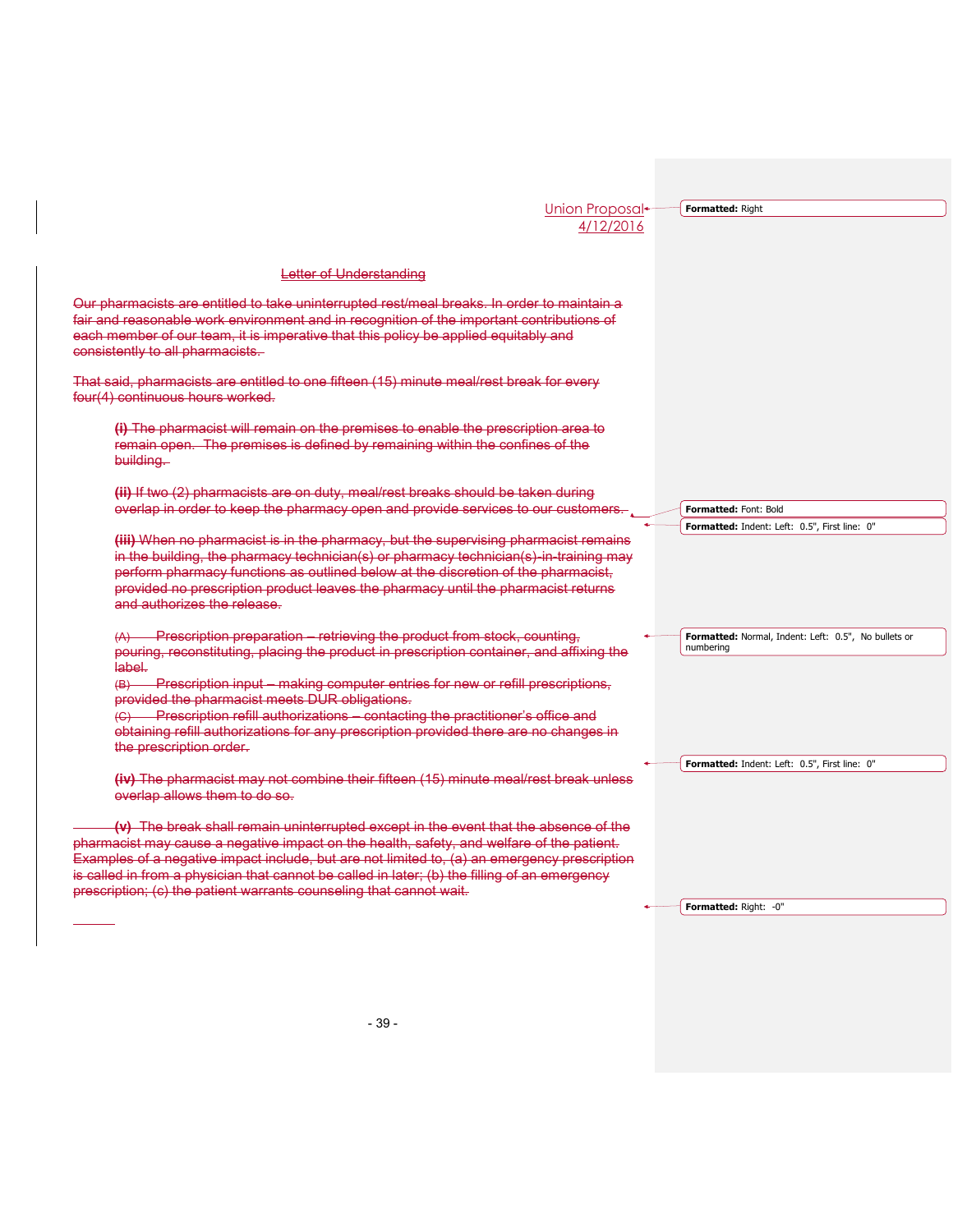**Formatted:** Right

## Letter of Understanding

Our pharmacists are entitled to take uninterrupted rest/meal breaks. In order to maintain a fair and reasonable work environment and in recognition of the important contributions of each member of our team, it is imperative that this policy be applied equitably and consistently to all pharmacists.

That said, pharmacists are entitled to one fifteen (15) minute meal/rest break for every four(4) continuous hours worked.

**(i)** The pharmacist will remain on the premises to enable the prescription area to remain open. The premises is defined by remaining within the confines of the building.

**(ii)** If two (2) pharmacists are on duty, meal/rest breaks should be taken during overlap in order to keep the pharmacy open and provide services to our customer

**(iii)** When no pharmacist is in the pharmacy, but the supervising pharmacist remains in the building, the pharmacy technician(s) or pharmacy technician(s) in training may perform pharmacy functions as outlined below at the discretion of the pharmacist, provided no prescription product leaves the pharmacy until the pharmacist returns and authorizes the release.

(A) Prescription preparation – retrieving the product from stock, counting, pouring, reconstituting, placing the product in prescription container, and affixing the label.

(B) Prescription input – making computer entries for new or refill prescriptions, provided the pharmacist meets DUR obligations.

(C) Prescription refill authorizations – contacting the practitioner's office and obtaining refill authorizations for any prescription provided there are no changes in the prescription order.

**(iv)** The pharmacist may not combine their fifteen (15) minute meal/rest break unless overlap allows them to do so.

**(v)** The break shall remain uninterrupted except in the event that the absence of the pharmacist may cause a negative impact on the health, safety, and welfare of the patient. Examples of a negative impact include, but are not limited to, (a) an emergency prescription is called in from a physician that cannot be called in later; (b) the filling of an emergency prescription; (c) the patient warrants counseling that cannot wait.

**Formatted:** Font: Bold **Formatted:** Indent: Left: 0.5", First line: 0"

**Formatted:** Normal, Indent: Left: 0.5", No bullets or numbering

**Formatted:** Indent: Left: 0.5", First line: 0"

**Formatted:** Right: -0"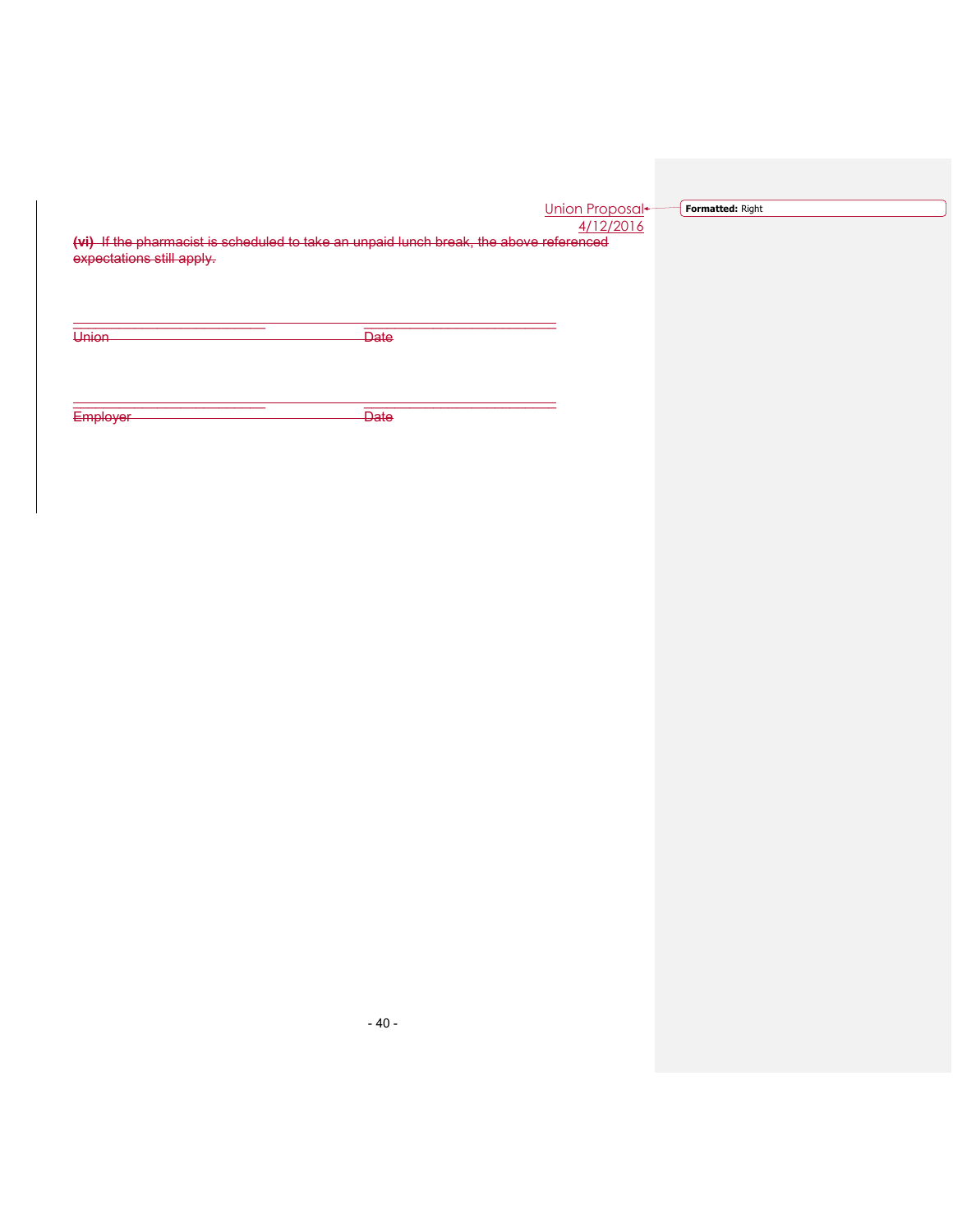| Union Proposal <del>+</del> |           |  |
|-----------------------------|-----------|--|
|                             | 4/12/2016 |  |

**Formatted:** Right

**(vi)** If the pharmacist is scheduled to take an unpaid lunch break, the above referenced expectations still apply.

\_\_\_\_\_\_\_\_\_\_\_\_\_\_\_\_\_\_\_\_\_\_\_\_\_ \_\_\_\_\_\_\_\_\_\_\_\_\_\_\_\_\_\_\_\_\_\_\_\_\_

\_\_\_\_\_\_\_\_\_\_\_\_\_\_\_\_\_\_\_\_\_\_\_\_\_ \_\_\_\_\_\_\_\_\_\_\_\_\_\_\_\_\_\_\_\_\_\_\_\_\_

Union Date

Employer Date